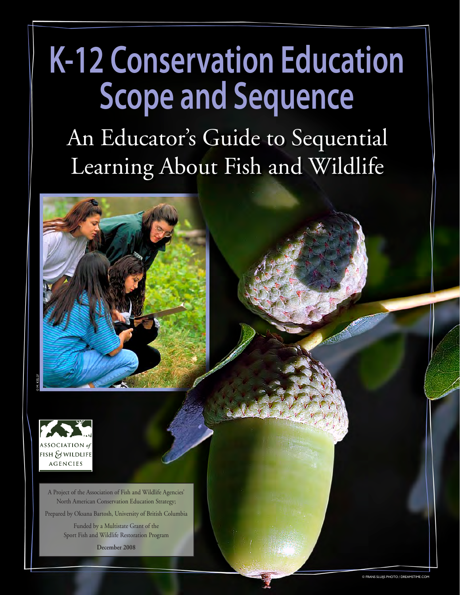An Educator's Guide to Sequential Learning About Fish and Wildlife





A Project of the Association of Fish and Wildlife Agencies' North American Conservation Education Strategy;

Prepared by Oksana Bartosh, University of British Columbia

Funded by a Multistate Grant of the Sport Fish and Wildlife Restoration Program

**December 2008**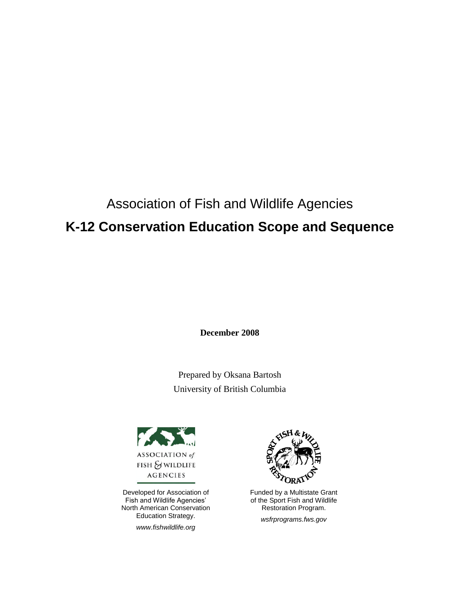# Association of Fish and Wildlife Agencies **K-12 Conservation Education Scope and Sequence**

**December 2008**

Prepared by Oksana Bartosh University of British Columbia



Developed for Association of Fish and Wildlife Agencies' North American Conservation Education Strategy.

*www.fishwildlife.org*



Funded by a Multistate Grant of the Sport Fish and Wildlife Restoration Program.

*wsfrprograms.fws.gov*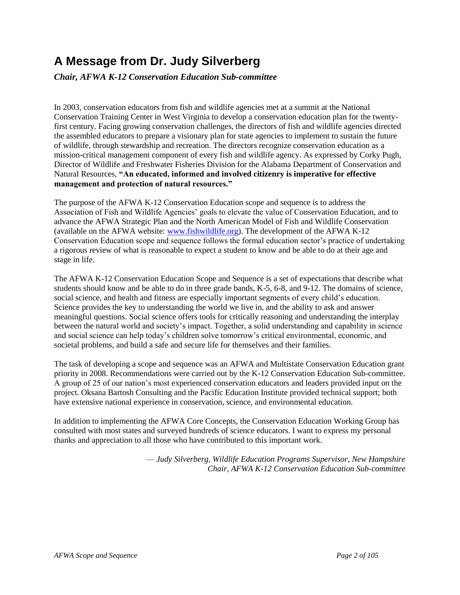# **A Message from Dr. Judy Silverberg**

*Chair, AFWA K-12 Conservation Education Sub-committee*

In 2003, conservation educators from fish and wildlife agencies met at a summit at the National Conservation Training Center in West Virginia to develop a conservation education plan for the twentyfirst century. Facing growing conservation challenges, the directors of fish and wildlife agencies directed the assembled educators to prepare a visionary plan for state agencies to implement to sustain the future of wildlife, through stewardship and recreation. The directors recognize conservation education as a mission-critical management component of every fish and wildlife agency. As expressed by Corky Pugh, Director of Wildlife and Freshwater Fisheries Division for the Alabama Department of Conservation and Natural Resources, "An educated, informed and involved citizenry is imperative for effective management and protection of natural resources."

The purpose of the AFWA K-12 Conservation Education scope and sequence is to address the Association of Fish and Wildlife Agencies' goals to elevate the value of Conservation Education, and to advance the AFWA Strategic Plan and the North American Model of Fish and Wildlife Conservation (available on the AFWA website: [www.fishwildlife.org\)](http://www.fishandwildlifeassociation.org/). The development of the AFWA K-12 Conservation Education scope and sequence follows the formal education sector's practice of undertaking a rigorous review of what is reasonable to expect a student to know and be able to do at their age and stage in life.

The AFWA K-12 Conservation Education Scope and Sequence is a set of expectations that describe what students should know and be able to do in three grade bands, K-5, 6-8, and 9-12. The domains of science, social science, and health and fitness are especially important segments of every child's education. Science provides the key to understanding the world we live in, and the ability to ask and answer meaningful questions. Social science offers tools for critically reasoning and understanding the interplay between the natural world and society's impact. Together, a solid understanding and capability in science and social science can help today's children solve tomorrow's critical environmental, economic, and societal problems, and build a safe and secure life for themselves and their families.

The task of developing a scope and sequence was an AFWA and Multistate Conservation Education grant priority in 2008. Recommendations were carried out by the K-12 Conservation Education Sub-committee. A group of 25 of our nation's most experienced conservation educators and leaders provided input on the project. Oksana Bartosh Consulting and the Pacific Education Institute provided technical support; both have extensive national experience in conservation, science, and environmental education.

In addition to implementing the AFWA Core Concepts, the Conservation Education Working Group has consulted with most states and surveyed hundreds of science educators. I want to express my personal thanks and appreciation to all those who have contributed to this important work.

> — *Judy Silverberg, Wildlife Education Programs Supervisor, New Hampshire Chair, AFWA K-12 Conservation Education Sub-committee*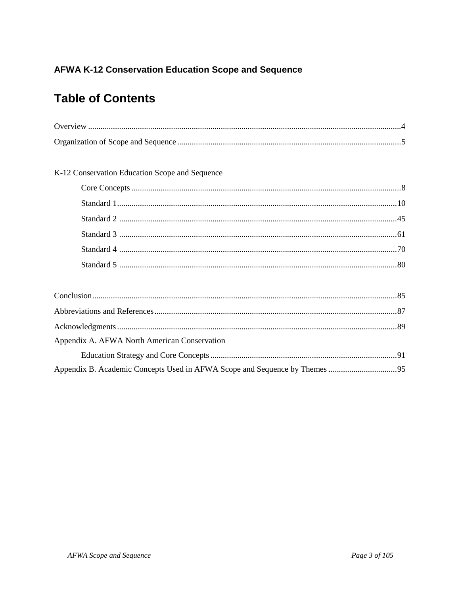# **Table of Contents**

| K-12 Conservation Education Scope and Sequence |  |
|------------------------------------------------|--|

| Appendix A. AFWA North American Conservation |  |
|----------------------------------------------|--|
|                                              |  |
|                                              |  |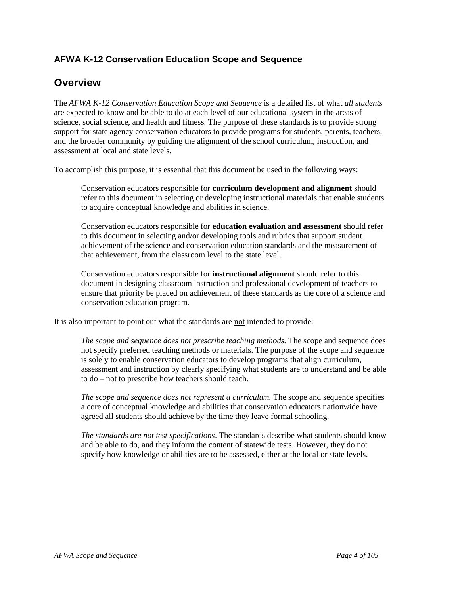#### **Overview**

The *AFWA K-12 Conservation Education Scope and Sequence* is a detailed list of what *all students* are expected to know and be able to do at each level of our educational system in the areas of science, social science, and health and fitness. The purpose of these standards is to provide strong support for state agency conservation educators to provide programs for students, parents, teachers, and the broader community by guiding the alignment of the school curriculum, instruction, and assessment at local and state levels.

To accomplish this purpose, it is essential that this document be used in the following ways:

Conservation educators responsible for **curriculum development and alignment** should refer to this document in selecting or developing instructional materials that enable students to acquire conceptual knowledge and abilities in science.

Conservation educators responsible for **education evaluation and assessment** should refer to this document in selecting and/or developing tools and rubrics that support student achievement of the science and conservation education standards and the measurement of that achievement, from the classroom level to the state level.

Conservation educators responsible for **instructional alignment** should refer to this document in designing classroom instruction and professional development of teachers to ensure that priority be placed on achievement of these standards as the core of a science and conservation education program.

It is also important to point out what the standards are not intended to provide:

*The scope and sequence does not prescribe teaching methods.* The scope and sequence does not specify preferred teaching methods or materials. The purpose of the scope and sequence is solely to enable conservation educators to develop programs that align curriculum, assessment and instruction by clearly specifying what students are to understand and be able to do –not to prescribe how teachers should teach.

*The scope and sequence does not represent a curriculum.* The scope and sequence specifies a core of conceptual knowledge and abilities that conservation educators nationwide have agreed all students should achieve by the time they leave formal schooling.

*The standards are not test specifications*. The standards describe what students should know and be able to do, and they inform the content of statewide tests. However, they do not specify how knowledge or abilities are to be assessed, either at the local or state levels.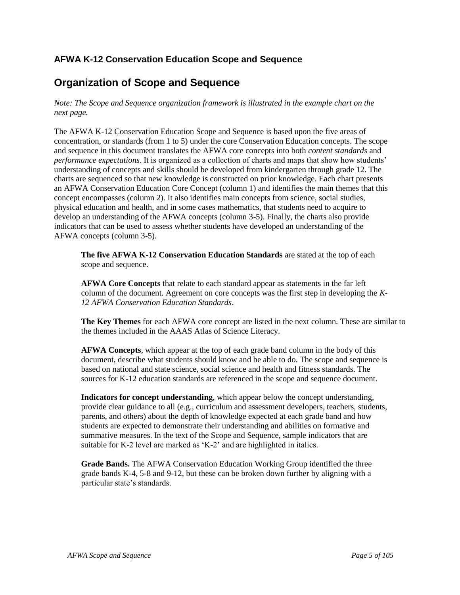## **Organization of Scope and Sequence**

*Note: The Scope and Sequence organization framework is illustrated in the example chart on the next page.*

The AFWA K-12 Conservation Education Scope and Sequence is based upon the five areas of concentration, or standards (from 1 to 5) under the core Conservation Education concepts. The scope and sequence in this document translates the AFWA core concepts into both *content standards* and *performance expectations*. It is organized as a collection of charts and maps that show how students' understanding of concepts and skills should be developed from kindergarten through grade 12. The charts are sequenced so that new knowledge is constructed on prior knowledge. Each chart presents an AFWA Conservation Education Core Concept (column 1) and identifies the main themes that this concept encompasses (column 2). It also identifies main concepts from science, social studies, physical education and health, and in some cases mathematics, that students need to acquire to develop an understanding of the AFWA concepts (column 3-5). Finally, the charts also provide indicators that can be used to assess whether students have developed an understanding of the AFWA concepts (column 3-5).

**The five AFWA K-12 Conservation Education Standards** are stated at the top of each scope and sequence.

**AFWA Core Concepts** that relate to each standard appear as statements in the far left column of the document. Agreement on core concepts was the first step in developing the *K-12 AFWA Conservation Education Standards*.

**The Key Themes** for each AFWA core concept are listed in the next column. These are similar to the themes included in the AAAS Atlas of Science Literacy.

**AFWA Concepts***,* which appear at the top of each grade band column in the body of this document, describe what students should know and be able to do. The scope and sequence is based on national and state science, social science and health and fitness standards. The sources for K-12 education standards are referenced in the scope and sequence document.

**Indicators for concept understanding**, which appear below the concept understanding, provide clear guidance to all (e.g., curriculum and assessment developers, teachers, students, parents, and others) about the depth of knowledge expected at each grade band and how students are expected to demonstrate their understanding and abilities on formative and summative measures. In the text of the Scope and Sequence, sample indicators that are suitable for K-2 level are marked as 'K-2' and are highlighted in italics.

**Grade Bands.** The AFWA Conservation Education Working Group identified the three grade bands K-4, 5-8 and 9-12, but these can be broken down further by aligning with a particular state's standards.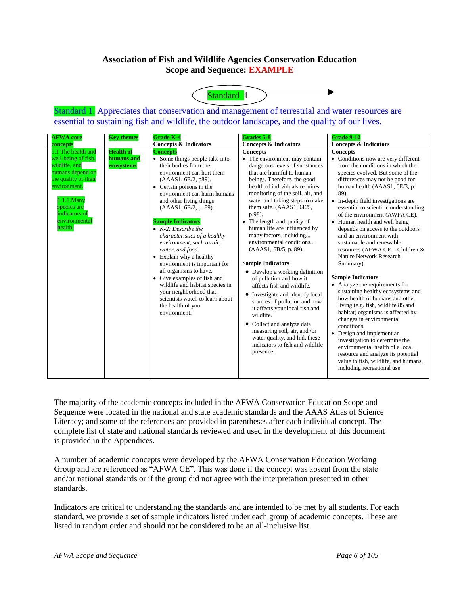#### **Association of Fish and Wildlife Agencies Conservation Education Scope and Sequence: EXAMPLE**



Standard 1. Appreciates that conservation and management of terrestrial and water resources are essential to sustaining fish and wildlife, the outdoor landscape, and the quality of our lives.

| <b>AFWA</b> core                                                                                                                                                                                 | <b>Key themes</b>                            | <b>Grade K-4</b>                                                                                                                                                                                                                                                                                                                                                                                                                                                                                                                                                                                                                                    | Grades 5-8                                                                                                                                                                                                                                                                                                                                                                                                                                                                                                                                                                                                                                                                                                                                                                                                                              | <b>Grade 9-12</b>                                                                                                                                                                                                                                                                                                                                                                                                                                                                                                                                                                                                                                                                                                                                                                                                                                                                                                                                                                                               |
|--------------------------------------------------------------------------------------------------------------------------------------------------------------------------------------------------|----------------------------------------------|-----------------------------------------------------------------------------------------------------------------------------------------------------------------------------------------------------------------------------------------------------------------------------------------------------------------------------------------------------------------------------------------------------------------------------------------------------------------------------------------------------------------------------------------------------------------------------------------------------------------------------------------------------|-----------------------------------------------------------------------------------------------------------------------------------------------------------------------------------------------------------------------------------------------------------------------------------------------------------------------------------------------------------------------------------------------------------------------------------------------------------------------------------------------------------------------------------------------------------------------------------------------------------------------------------------------------------------------------------------------------------------------------------------------------------------------------------------------------------------------------------------|-----------------------------------------------------------------------------------------------------------------------------------------------------------------------------------------------------------------------------------------------------------------------------------------------------------------------------------------------------------------------------------------------------------------------------------------------------------------------------------------------------------------------------------------------------------------------------------------------------------------------------------------------------------------------------------------------------------------------------------------------------------------------------------------------------------------------------------------------------------------------------------------------------------------------------------------------------------------------------------------------------------------|
| concepts                                                                                                                                                                                         |                                              | <b>Concepts &amp; Indicators</b>                                                                                                                                                                                                                                                                                                                                                                                                                                                                                                                                                                                                                    | <b>Concepts &amp; Indicators</b>                                                                                                                                                                                                                                                                                                                                                                                                                                                                                                                                                                                                                                                                                                                                                                                                        | <b>Concepts &amp; Indicators</b>                                                                                                                                                                                                                                                                                                                                                                                                                                                                                                                                                                                                                                                                                                                                                                                                                                                                                                                                                                                |
| 1.1 The health and<br>well-being of fish,<br>wildlife, and<br>humans depend on<br>the quality of their<br>environment.<br>1.1.1.Many<br>species are<br>indicators of<br>environmental<br>health. | <b>Health of</b><br>humans and<br>ecosystems | <b>Concepts</b><br>• Some things people take into<br>their bodies from the<br>environment can hurt them<br>(AAAS1, 6E/2, p89).<br>• Certain poisons in the<br>environment can harm humans<br>and other living things<br>(AAAS1, 6E/2, p. 89).<br><b>Sample Indicators</b><br>$\bullet$ K-2: Describe the<br>characteristics of a healthy<br>environment, such as air,<br>water, and food.<br>• Explain why a healthy<br>environment is important for<br>all organisms to have.<br>• Give examples of fish and<br>wildlife and habitat species in<br>your neighborhood that<br>scientists watch to learn about<br>the health of your<br>environment. | <b>Concepts</b><br>• The environment may contain<br>dangerous levels of substances<br>that are harmful to human<br>beings. Therefore, the good<br>health of individuals requires<br>monitoring of the soil, air, and<br>water and taking steps to make<br>them safe. (AAAS1, 6E/5,<br>p.98).<br>• The length and quality of<br>human life are influenced by<br>many factors, including<br>environmental conditions<br>$(AAAS1, 6B/5, p. 89)$ .<br><b>Sample Indicators</b><br>• Develop a working definition<br>of pollution and how it<br>affects fish and wildlife.<br>• Investigate and identify local<br>sources of pollution and how<br>it affects your local fish and<br>wildlife.<br>• Collect and analyze data<br>measuring soil, air, and /or<br>water quality, and link these<br>indicators to fish and wildlife<br>presence. | <b>Concepts</b><br>• Conditions now are very different<br>from the conditions in which the<br>species evolved. But some of the<br>differences may not be good for<br>human health (AAAS1, 6E/3, p.<br>89).<br>• In-depth field investigations are<br>essential to scientific understanding<br>of the environment (AWFA CE).<br>• Human health and well being<br>depends on access to the outdoors<br>and an environment with<br>sustainable and renewable<br>resources (AFWA CE - Children &<br>Nature Network Research<br>Summary).<br><b>Sample Indicators</b><br>• Analyze the requirements for<br>sustaining healthy ecosystems and<br>how health of humans and other<br>living (e.g. fish, wildlife, 85 and<br>habitat) organisms is affected by<br>changes in environmental<br>conditions.<br>• Design and implement an<br>investigation to determine the<br>environmental health of a local<br>resource and analyze its potential<br>value to fish, wildlife, and humans,<br>including recreational use. |

The majority of the academic concepts included in the AFWA Conservation Education Scope and Sequence were located in the national and state academic standards and the AAAS Atlas of Science Literacy; and some of the references are provided in parentheses after each individual concept. The complete list of state and national standards reviewed and used in the development of this document is provided in the Appendices.

A number of academic concepts were developed by the AFWA Conservation Education Working Group and are referenced as "AFWA CE". This was done if the concept was absent from the state and/or national standards or if the group did not agree with the interpretation presented in other standards.

Indicators are critical to understanding the standards and are intended to be met by all students. For each standard, we provide a set of sample indicators listed under each group of academic concepts. These are listed in random order and should not be considered to be an all-inclusive list.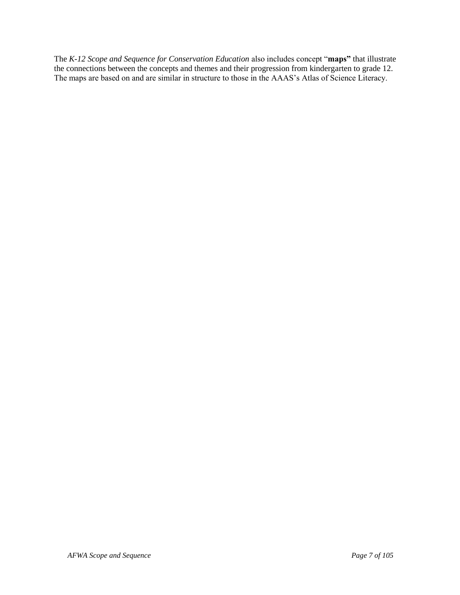The *K-12 Scope and Sequence for Conservation Education* also includes concept "maps" that illustrate the connections between the concepts and themes and their progression from kindergarten to grade 12. The maps are based on and are similar in structure to those in the AAAS's Atlas of Science Literacy.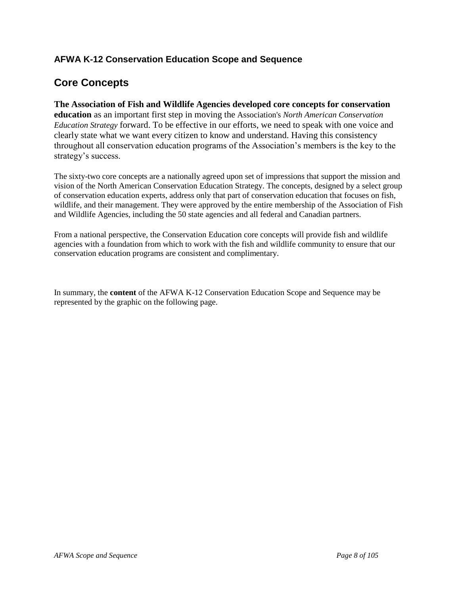## **Core Concepts**

**The Association of Fish and Wildlife Agencies developed core concepts for conservation education** as an important first step in moving the Association's *North American Conservation Education Strategy* forward. To be effective in our efforts, we need to speak with one voice and clearly state what we want every citizen to know and understand. Having this consistency throughout all conservation education programs of the Association's members is the key to the strategy's success.

The sixty-two core concepts are a nationally agreed upon set of impressions that support the mission and vision of the North American Conservation Education Strategy. The concepts, designed by a select group of conservation education experts, address only that part of conservation education that focuses on fish, wildlife, and their management. They were approved by the entire membership of the Association of Fish and Wildlife Agencies, including the 50 state agencies and all federal and Canadian partners.

From a national perspective, the Conservation Education core concepts will provide fish and wildlife agencies with a foundation from which to work with the fish and wildlife community to ensure that our conservation education programs are consistent and complimentary.

In summary, the **content** of the AFWA K-12 Conservation Education Scope and Sequence may be represented by the graphic on the following page.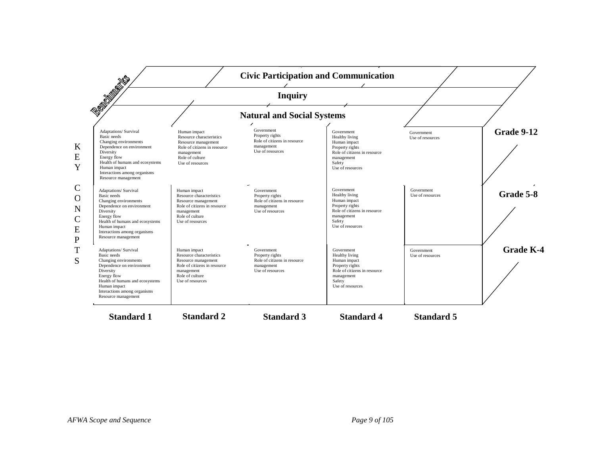|                                                                                                                                                                                                                                         |                                                                                                                                                      | <b>Inquiry</b>                                                                                  |                                                                                                                                             |                                |                   |
|-----------------------------------------------------------------------------------------------------------------------------------------------------------------------------------------------------------------------------------------|------------------------------------------------------------------------------------------------------------------------------------------------------|-------------------------------------------------------------------------------------------------|---------------------------------------------------------------------------------------------------------------------------------------------|--------------------------------|-------------------|
| <b>Company Report</b>                                                                                                                                                                                                                   |                                                                                                                                                      | <b>Natural and Social Systems</b>                                                               |                                                                                                                                             |                                |                   |
| Adaptations/ Survival<br><b>Basic</b> needs<br>Changing environments<br>Dependence on environment<br>Diversity<br>Energy flow<br>Health of humans and ecosystems<br>Human impact<br>Interactions among organisms<br>Resource management | Human impact<br>Resource characteristics<br>Resource management<br>Role of citizens in resource<br>management<br>Role of culture<br>Use of resources | Government<br>Property rights<br>Role of citizens in resource<br>management<br>Use of resources | Government<br>Healthy living<br>Human impact<br>Property rights<br>Role of citizens in resource<br>management<br>Safety<br>Use of resources | Government<br>Use of resources | <b>Grade 9-12</b> |
| Adaptations/ Survival<br>Basic needs<br>Changing environments<br>Dependence on environment<br>Diversity<br>Energy flow<br>Health of humans and ecosystems<br>Human impact<br>Interactions among organisms<br>Resource management        | Human impact<br>Resource characteristics<br>Resource management<br>Role of citizens in resource<br>management<br>Role of culture<br>Use of resources | Government<br>Property rights<br>Role of citizens in resource<br>management<br>Use of resources | Government<br>Healthy living<br>Human impact<br>Property rights<br>Role of citizens in resource<br>management<br>Safety<br>Use of resources | Government<br>Use of resources | Grade 5-8         |
| Adaptations/ Survival<br>Basic needs<br>Changing environments<br>Dependence on environment<br>Diversity<br>Energy flow<br>Health of humans and ecosystems<br>Human impact<br>Interactions among organisms<br>Resource management        | Human impact<br>Resource characteristics<br>Resource management<br>Role of citizens in resource<br>management<br>Role of culture<br>Use of resources | Government<br>Property rights<br>Role of citizens in resource<br>management<br>Use of resources | Government<br>Healthy living<br>Human impact<br>Property rights<br>Role of citizens in resource<br>management<br>Safety<br>Use of resources | Government<br>Use of resources | <b>Grade K-4</b>  |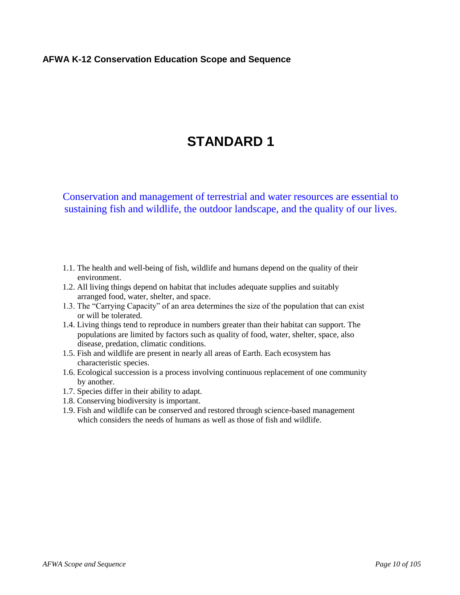# **STANDARD 1**

- 1.1. The health and well-being of fish, wildlife and humans depend on the quality of their environment.
- 1.2. All living things depend on habitat that includes adequate supplies and suitably arranged food, water, shelter, and space.
- 1.3. The "Carrying Capacity" of an area determines the size of the population that can exist or will be tolerated.
- 1.4. Living things tend to reproduce in numbers greater than their habitat can support. The populations are limited by factors such as quality of food, water, shelter, space, also disease, predation, climatic conditions.
- 1.5. Fish and wildlife are present in nearly all areas of Earth. Each ecosystem has characteristic species.
- 1.6. Ecological succession is a process involving continuous replacement of one community by another.
- 1.7. Species differ in their ability to adapt.
- 1.8. Conserving biodiversity is important.
- 1.9. Fish and wildlife can be conserved and restored through science-based management which considers the needs of humans as well as those of fish and wildlife.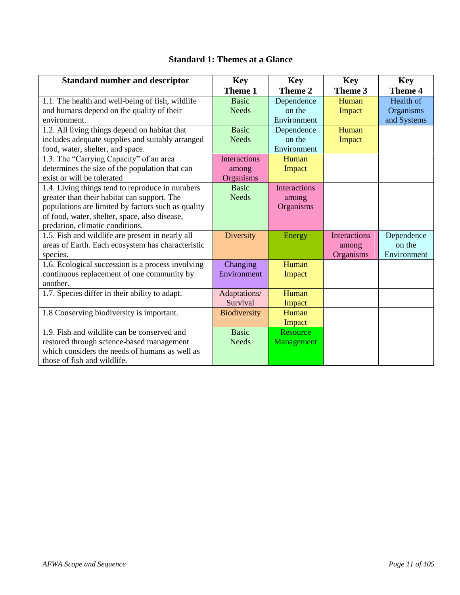## **Standard 1: Themes at a Glance**

| <b>Standard number and descriptor</b>              | <b>Key</b>          | <b>Key</b>          | <b>Key</b>          | <b>Key</b>     |
|----------------------------------------------------|---------------------|---------------------|---------------------|----------------|
|                                                    | Theme 1             | Theme 2             | Theme 3             | <b>Theme 4</b> |
| 1.1. The health and well-being of fish, wildlife   | <b>Basic</b>        | Dependence          | Human               | Health of      |
| and humans depend on the quality of their          | <b>Needs</b>        | on the              | Impact              | Organisms      |
| environment.                                       |                     | Environment         |                     | and Systems    |
| 1.2. All living things depend on habitat that      | <b>Basic</b>        | Dependence          | Human               |                |
| includes adequate supplies and suitably arranged   | <b>Needs</b>        | on the              | Impact              |                |
| food, water, shelter, and space.                   |                     | Environment         |                     |                |
| 1.3. The "Carrying Capacity" of an area            | <b>Interactions</b> | Human               |                     |                |
| determines the size of the population that can     | among               | Impact              |                     |                |
| exist or will be tolerated                         | Organisms           |                     |                     |                |
| 1.4. Living things tend to reproduce in numbers    | <b>Basic</b>        | <b>Interactions</b> |                     |                |
| greater than their habitat can support. The        | <b>Needs</b>        | among               |                     |                |
| populations are limited by factors such as quality |                     | Organisms           |                     |                |
| of food, water, shelter, space, also disease,      |                     |                     |                     |                |
| predation, climatic conditions.                    |                     |                     |                     |                |
| 1.5. Fish and wildlife are present in nearly all   | Diversity           | Energy              | <b>Interactions</b> | Dependence     |
| areas of Earth. Each ecosystem has characteristic  |                     |                     | among               | on the         |
| species.                                           |                     |                     | Organisms           | Environment    |
| 1.6. Ecological succession is a process involving  | Changing            | Human               |                     |                |
| continuous replacement of one community by         | Environment         | Impact              |                     |                |
| another.                                           |                     |                     |                     |                |
| 1.7. Species differ in their ability to adapt.     | Adaptations/        | Human               |                     |                |
|                                                    | Survival            | Impact              |                     |                |
| 1.8 Conserving biodiversity is important.          | <b>Biodiversity</b> | Human               |                     |                |
|                                                    |                     | Impact              |                     |                |
| 1.9. Fish and wildlife can be conserved and        | <b>Basic</b>        | Resource            |                     |                |
| restored through science-based management          | <b>Needs</b>        | Management          |                     |                |
| which considers the needs of humans as well as     |                     |                     |                     |                |
| those of fish and wildlife.                        |                     |                     |                     |                |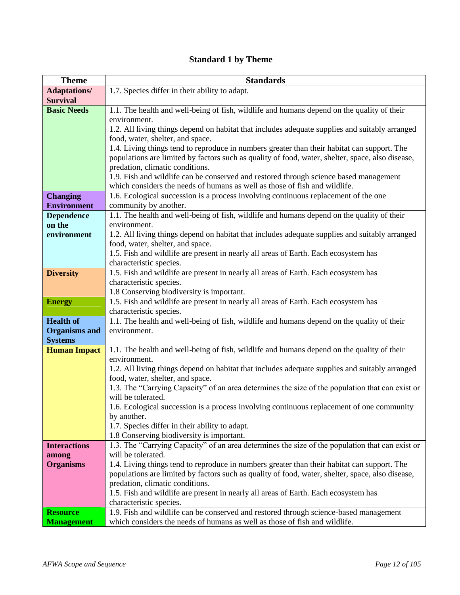## **Standard 1 by Theme**

| <b>Theme</b>         | <b>Standards</b>                                                                                                                                                    |
|----------------------|---------------------------------------------------------------------------------------------------------------------------------------------------------------------|
| <b>Adaptations/</b>  | 1.7. Species differ in their ability to adapt.                                                                                                                      |
| <b>Survival</b>      |                                                                                                                                                                     |
| <b>Basic Needs</b>   | 1.1. The health and well-being of fish, wildlife and humans depend on the quality of their                                                                          |
|                      | environment.                                                                                                                                                        |
|                      | 1.2. All living things depend on habitat that includes adequate supplies and suitably arranged                                                                      |
|                      | food, water, shelter, and space.                                                                                                                                    |
|                      | 1.4. Living things tend to reproduce in numbers greater than their habitat can support. The                                                                         |
|                      | populations are limited by factors such as quality of food, water, shelter, space, also disease,                                                                    |
|                      | predation, climatic conditions.                                                                                                                                     |
|                      | 1.9. Fish and wildlife can be conserved and restored through science based management<br>which considers the needs of humans as well as those of fish and wildlife. |
| <b>Changing</b>      | 1.6. Ecological succession is a process involving continuous replacement of the one                                                                                 |
| <b>Environment</b>   | community by another.                                                                                                                                               |
| <b>Dependence</b>    | 1.1. The health and well-being of fish, wildlife and humans depend on the quality of their                                                                          |
| on the               | environment.                                                                                                                                                        |
| environment          | 1.2. All living things depend on habitat that includes adequate supplies and suitably arranged                                                                      |
|                      | food, water, shelter, and space.                                                                                                                                    |
|                      | 1.5. Fish and wildlife are present in nearly all areas of Earth. Each ecosystem has                                                                                 |
|                      | characteristic species.                                                                                                                                             |
| <b>Diversity</b>     | 1.5. Fish and wildlife are present in nearly all areas of Earth. Each ecosystem has                                                                                 |
|                      | characteristic species.                                                                                                                                             |
|                      | 1.8 Conserving biodiversity is important.                                                                                                                           |
| <b>Energy</b>        | 1.5. Fish and wildlife are present in nearly all areas of Earth. Each ecosystem has                                                                                 |
| <b>Health of</b>     | characteristic species.<br>1.1. The health and well-being of fish, wildlife and humans depend on the quality of their                                               |
| <b>Organisms</b> and | environment.                                                                                                                                                        |
| <b>Systems</b>       |                                                                                                                                                                     |
| <b>Human Impact</b>  | 1.1. The health and well-being of fish, wildlife and humans depend on the quality of their                                                                          |
|                      | environment.                                                                                                                                                        |
|                      | 1.2. All living things depend on habitat that includes adequate supplies and suitably arranged                                                                      |
|                      | food, water, shelter, and space.                                                                                                                                    |
|                      | 1.3. The "Carrying Capacity" of an area determines the size of the population that can exist or                                                                     |
|                      | will be tolerated.                                                                                                                                                  |
|                      | 1.6. Ecological succession is a process involving continuous replacement of one community<br>by another.                                                            |
|                      | 1.7. Species differ in their ability to adapt.                                                                                                                      |
|                      | 1.8 Conserving biodiversity is important.                                                                                                                           |
| <b>Interactions</b>  | 1.3. The "Carrying Capacity" of an area determines the size of the population that can exist or                                                                     |
| among                | will be tolerated.                                                                                                                                                  |
| <b>Organisms</b>     | 1.4. Living things tend to reproduce in numbers greater than their habitat can support. The                                                                         |
|                      | populations are limited by factors such as quality of food, water, shelter, space, also disease,                                                                    |
|                      | predation, climatic conditions.                                                                                                                                     |
|                      | 1.5. Fish and wildlife are present in nearly all areas of Earth. Each ecosystem has                                                                                 |
|                      | characteristic species.                                                                                                                                             |
| <b>Resource</b>      | 1.9. Fish and wildlife can be conserved and restored through science-based management                                                                               |
| <b>Management</b>    | which considers the needs of humans as well as those of fish and wildlife.                                                                                          |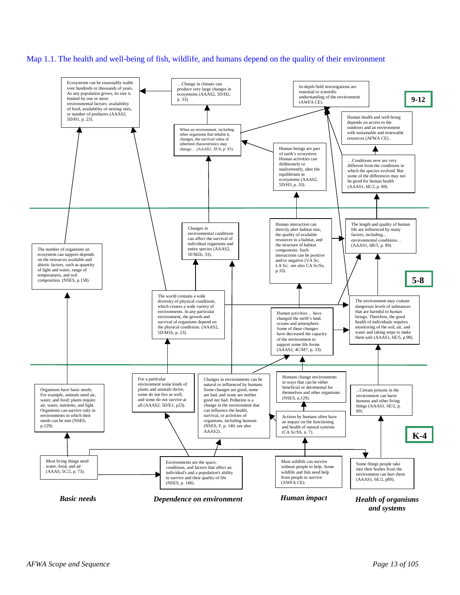#### Map 1.1. The health and well-being of fish, wildlife, and humans depend on the quality of their environment

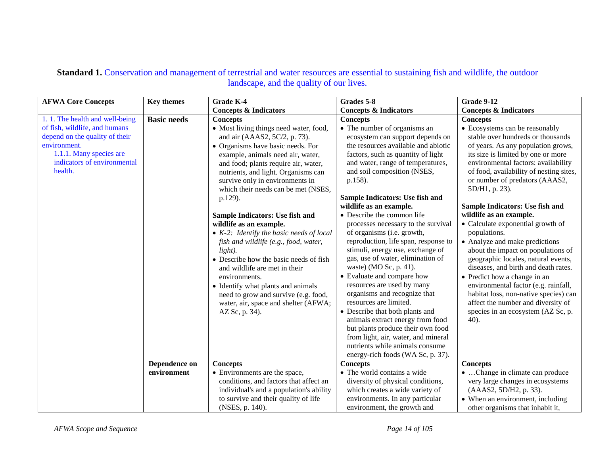| <b>AFWA Core Concepts</b>                                                                                                                                                              | <b>Key themes</b>  | <b>Grade K-4</b>                                                                                                                                                                                                                                                                                                                                                                                                                                                                                                                                                                                                                                                                                                                                   | Grades 5-8                                                                                                                                                                                                                                                                                                                                                                                                                                                                                                                                                                                                                                                                                                                                                                                                                                                                                                   | <b>Grade 9-12</b>                                                                                                                                                                                                                                                                                                                                                                                                                                                                                                                                                                                                                                                                                                                                                                          |
|----------------------------------------------------------------------------------------------------------------------------------------------------------------------------------------|--------------------|----------------------------------------------------------------------------------------------------------------------------------------------------------------------------------------------------------------------------------------------------------------------------------------------------------------------------------------------------------------------------------------------------------------------------------------------------------------------------------------------------------------------------------------------------------------------------------------------------------------------------------------------------------------------------------------------------------------------------------------------------|--------------------------------------------------------------------------------------------------------------------------------------------------------------------------------------------------------------------------------------------------------------------------------------------------------------------------------------------------------------------------------------------------------------------------------------------------------------------------------------------------------------------------------------------------------------------------------------------------------------------------------------------------------------------------------------------------------------------------------------------------------------------------------------------------------------------------------------------------------------------------------------------------------------|--------------------------------------------------------------------------------------------------------------------------------------------------------------------------------------------------------------------------------------------------------------------------------------------------------------------------------------------------------------------------------------------------------------------------------------------------------------------------------------------------------------------------------------------------------------------------------------------------------------------------------------------------------------------------------------------------------------------------------------------------------------------------------------------|
|                                                                                                                                                                                        |                    | <b>Concepts &amp; Indicators</b>                                                                                                                                                                                                                                                                                                                                                                                                                                                                                                                                                                                                                                                                                                                   | <b>Concepts &amp; Indicators</b>                                                                                                                                                                                                                                                                                                                                                                                                                                                                                                                                                                                                                                                                                                                                                                                                                                                                             | <b>Concepts &amp; Indicators</b>                                                                                                                                                                                                                                                                                                                                                                                                                                                                                                                                                                                                                                                                                                                                                           |
| 1.1. The health and well-being<br>of fish, wildlife, and humans<br>depend on the quality of their<br>environment.<br>1.1.1. Many species are<br>indicators of environmental<br>health. | <b>Basic needs</b> | <b>Concepts</b><br>• Most living things need water, food,<br>and air (AAAS2, 5C/2, p. 73).<br>• Organisms have basic needs. For<br>example, animals need air, water,<br>and food; plants require air, water,<br>nutrients, and light. Organisms can<br>survive only in environments in<br>which their needs can be met (NSES,<br>p.129).<br>Sample Indicators: Use fish and<br>wildlife as an example.<br>$\bullet$ K-2: Identify the basic needs of local<br>fish and wildlife (e.g., food, water,<br>light).<br>• Describe how the basic needs of fish<br>and wildlife are met in their<br>environments.<br>• Identify what plants and animals<br>need to grow and survive (e.g. food,<br>water, air, space and shelter (AFWA;<br>AZ Sc, p. 34). | <b>Concepts</b><br>• The number of organisms an<br>ecosystem can support depends on<br>the resources available and abiotic<br>factors, such as quantity of light<br>and water, range of temperatures,<br>and soil composition (NSES,<br>p.158).<br>Sample Indicators: Use fish and<br>wildlife as an example.<br>• Describe the common life<br>processes necessary to the survival<br>of organisms (i.e. growth,<br>reproduction, life span, response to<br>stimuli, energy use, exchange of<br>gas, use of water, elimination of<br>waste) (MO Sc, p. 41).<br>• Evaluate and compare how<br>resources are used by many<br>organisms and recognize that<br>resources are limited.<br>• Describe that both plants and<br>animals extract energy from food<br>but plants produce their own food<br>from light, air, water, and mineral<br>nutrients while animals consume<br>energy-rich foods (WA Sc, p. 37). | <b>Concepts</b><br>• Ecosystems can be reasonably<br>stable over hundreds or thousands<br>of years. As any population grows,<br>its size is limited by one or more<br>environmental factors: availability<br>of food, availability of nesting sites,<br>or number of predators (AAAS2,<br>5D/H1, p. 23).<br>Sample Indicators: Use fish and<br>wildlife as an example.<br>• Calculate exponential growth of<br>populations.<br>• Analyze and make predictions<br>about the impact on populations of<br>geographic locales, natural events,<br>diseases, and birth and death rates.<br>• Predict how a change in an<br>environmental factor (e.g. rainfall,<br>habitat loss, non-native species) can<br>affect the number and diversity of<br>species in an ecosystem (AZ Sc, p.<br>$40$ ). |
|                                                                                                                                                                                        | Dependence on      | <b>Concepts</b>                                                                                                                                                                                                                                                                                                                                                                                                                                                                                                                                                                                                                                                                                                                                    | <b>Concepts</b>                                                                                                                                                                                                                                                                                                                                                                                                                                                                                                                                                                                                                                                                                                                                                                                                                                                                                              | <b>Concepts</b>                                                                                                                                                                                                                                                                                                                                                                                                                                                                                                                                                                                                                                                                                                                                                                            |
|                                                                                                                                                                                        | environment        | • Environments are the space,                                                                                                                                                                                                                                                                                                                                                                                                                                                                                                                                                                                                                                                                                                                      | • The world contains a wide                                                                                                                                                                                                                                                                                                                                                                                                                                                                                                                                                                                                                                                                                                                                                                                                                                                                                  | • Change in climate can produce                                                                                                                                                                                                                                                                                                                                                                                                                                                                                                                                                                                                                                                                                                                                                            |
|                                                                                                                                                                                        |                    | conditions, and factors that affect an                                                                                                                                                                                                                                                                                                                                                                                                                                                                                                                                                                                                                                                                                                             | diversity of physical conditions,                                                                                                                                                                                                                                                                                                                                                                                                                                                                                                                                                                                                                                                                                                                                                                                                                                                                            | very large changes in ecosystems                                                                                                                                                                                                                                                                                                                                                                                                                                                                                                                                                                                                                                                                                                                                                           |
|                                                                                                                                                                                        |                    | individual's and a population's ability                                                                                                                                                                                                                                                                                                                                                                                                                                                                                                                                                                                                                                                                                                            | which creates a wide variety of                                                                                                                                                                                                                                                                                                                                                                                                                                                                                                                                                                                                                                                                                                                                                                                                                                                                              | (AAAS2, 5D/H2, p. 33).                                                                                                                                                                                                                                                                                                                                                                                                                                                                                                                                                                                                                                                                                                                                                                     |
|                                                                                                                                                                                        |                    | to survive and their quality of life                                                                                                                                                                                                                                                                                                                                                                                                                                                                                                                                                                                                                                                                                                               | environments. In any particular                                                                                                                                                                                                                                                                                                                                                                                                                                                                                                                                                                                                                                                                                                                                                                                                                                                                              | • When an environment, including                                                                                                                                                                                                                                                                                                                                                                                                                                                                                                                                                                                                                                                                                                                                                           |
|                                                                                                                                                                                        |                    | (NSES, p. 140).                                                                                                                                                                                                                                                                                                                                                                                                                                                                                                                                                                                                                                                                                                                                    | environment, the growth and                                                                                                                                                                                                                                                                                                                                                                                                                                                                                                                                                                                                                                                                                                                                                                                                                                                                                  | other organisms that inhabit it,                                                                                                                                                                                                                                                                                                                                                                                                                                                                                                                                                                                                                                                                                                                                                           |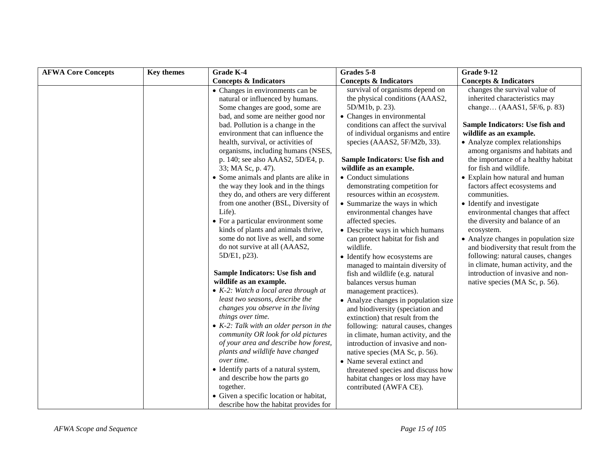| <b>AFWA Core Concepts</b> | <b>Key themes</b> | <b>Grade K-4</b>                                                                                                                                                                                                                                                                                                                                                                                                                                                                                                                                                                                                                                                                                                                                                                                                                                                                                                                                                                                                                                                                                  | Grades 5-8                                                                                                                                                                                                                                                                                                                                                                                                                                                                                                                                                                                                                                                                                                                                                                                                                                                                                                                                                                                       | <b>Grade 9-12</b>                                                                                                                                                                                                                                                                                                                                                                                                                                                                                                                                                                                                                                                                                                                                |
|---------------------------|-------------------|---------------------------------------------------------------------------------------------------------------------------------------------------------------------------------------------------------------------------------------------------------------------------------------------------------------------------------------------------------------------------------------------------------------------------------------------------------------------------------------------------------------------------------------------------------------------------------------------------------------------------------------------------------------------------------------------------------------------------------------------------------------------------------------------------------------------------------------------------------------------------------------------------------------------------------------------------------------------------------------------------------------------------------------------------------------------------------------------------|--------------------------------------------------------------------------------------------------------------------------------------------------------------------------------------------------------------------------------------------------------------------------------------------------------------------------------------------------------------------------------------------------------------------------------------------------------------------------------------------------------------------------------------------------------------------------------------------------------------------------------------------------------------------------------------------------------------------------------------------------------------------------------------------------------------------------------------------------------------------------------------------------------------------------------------------------------------------------------------------------|--------------------------------------------------------------------------------------------------------------------------------------------------------------------------------------------------------------------------------------------------------------------------------------------------------------------------------------------------------------------------------------------------------------------------------------------------------------------------------------------------------------------------------------------------------------------------------------------------------------------------------------------------------------------------------------------------------------------------------------------------|
|                           |                   | <b>Concepts &amp; Indicators</b>                                                                                                                                                                                                                                                                                                                                                                                                                                                                                                                                                                                                                                                                                                                                                                                                                                                                                                                                                                                                                                                                  | <b>Concepts &amp; Indicators</b>                                                                                                                                                                                                                                                                                                                                                                                                                                                                                                                                                                                                                                                                                                                                                                                                                                                                                                                                                                 | <b>Concepts &amp; Indicators</b>                                                                                                                                                                                                                                                                                                                                                                                                                                                                                                                                                                                                                                                                                                                 |
|                           |                   | • Changes in environments can be<br>natural or influenced by humans.<br>Some changes are good, some are<br>bad, and some are neither good nor<br>bad. Pollution is a change in the<br>environment that can influence the<br>health, survival, or activities of<br>organisms, including humans (NSES,<br>p. 140; see also AAAS2, 5D/E4, p.<br>33; MA Sc, p. 47).<br>• Some animals and plants are alike in<br>the way they look and in the things<br>they do, and others are very different<br>from one another (BSL, Diversity of<br>Life).<br>• For a particular environment some<br>kinds of plants and animals thrive,<br>some do not live as well, and some<br>do not survive at all (AAAS2,<br>5D/E1, p23).<br>Sample Indicators: Use fish and<br>wildlife as an example.<br>$\bullet$ K-2: Watch a local area through at<br>least two seasons, describe the<br>changes you observe in the living<br>things over time.<br>$\bullet$ K-2: Talk with an older person in the<br>community OR look for old pictures<br>of your area and describe how forest,<br>plants and wildlife have changed | survival of organisms depend on<br>the physical conditions (AAAS2,<br>5D/M1b, p. 23).<br>• Changes in environmental<br>conditions can affect the survival<br>of individual organisms and entire<br>species (AAAS2, 5F/M2b, 33).<br>Sample Indicators: Use fish and<br>wildlife as an example.<br>• Conduct simulations<br>demonstrating competition for<br>resources within an ecosystem.<br>• Summarize the ways in which<br>environmental changes have<br>affected species.<br>• Describe ways in which humans<br>can protect habitat for fish and<br>wildlife.<br>• Identify how ecosystems are<br>managed to maintain diversity of<br>fish and wildlife (e.g. natural<br>balances versus human<br>management practices).<br>• Analyze changes in population size<br>and biodiversity (speciation and<br>extinction) that result from the<br>following: natural causes, changes<br>in climate, human activity, and the<br>introduction of invasive and non-<br>native species (MA Sc, p. 56). | changes the survival value of<br>inherited characteristics may<br>change (AAAS1, 5F/6, p. 83)<br>Sample Indicators: Use fish and<br>wildlife as an example.<br>• Analyze complex relationships<br>among organisms and habitats and<br>the importance of a healthy habitat<br>for fish and wildlife.<br>• Explain how natural and human<br>factors affect ecosystems and<br>communities.<br>• Identify and investigate<br>environmental changes that affect<br>the diversity and balance of an<br>ecosystem.<br>• Analyze changes in population size<br>and biodiversity that result from the<br>following: natural causes, changes<br>in climate, human activity, and the<br>introduction of invasive and non-<br>native species (MA Sc, p. 56). |
|                           |                   |                                                                                                                                                                                                                                                                                                                                                                                                                                                                                                                                                                                                                                                                                                                                                                                                                                                                                                                                                                                                                                                                                                   |                                                                                                                                                                                                                                                                                                                                                                                                                                                                                                                                                                                                                                                                                                                                                                                                                                                                                                                                                                                                  |                                                                                                                                                                                                                                                                                                                                                                                                                                                                                                                                                                                                                                                                                                                                                  |
|                           |                   | over time.<br>• Identify parts of a natural system,<br>and describe how the parts go<br>together.                                                                                                                                                                                                                                                                                                                                                                                                                                                                                                                                                                                                                                                                                                                                                                                                                                                                                                                                                                                                 | • Name several extinct and<br>threatened species and discuss how<br>habitat changes or loss may have<br>contributed (AWFA CE).                                                                                                                                                                                                                                                                                                                                                                                                                                                                                                                                                                                                                                                                                                                                                                                                                                                                   |                                                                                                                                                                                                                                                                                                                                                                                                                                                                                                                                                                                                                                                                                                                                                  |
|                           |                   | • Given a specific location or habitat,<br>describe how the habitat provides for                                                                                                                                                                                                                                                                                                                                                                                                                                                                                                                                                                                                                                                                                                                                                                                                                                                                                                                                                                                                                  |                                                                                                                                                                                                                                                                                                                                                                                                                                                                                                                                                                                                                                                                                                                                                                                                                                                                                                                                                                                                  |                                                                                                                                                                                                                                                                                                                                                                                                                                                                                                                                                                                                                                                                                                                                                  |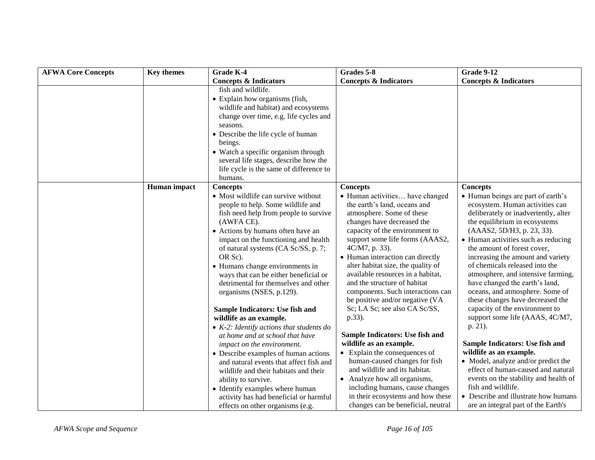| <b>AFWA Core Concepts</b> | <b>Key themes</b> | <b>Grade K-4</b>                                                                                                                                                                                                                                                                                                                                                                                                                                                             | Grades 5-8                                                                                                                                                                                                                                                                                                                                                                                                                                                                          | <b>Grade 9-12</b>                                                                                                                                                                                                                                                                                                                                                                                                                                                                                                                             |
|---------------------------|-------------------|------------------------------------------------------------------------------------------------------------------------------------------------------------------------------------------------------------------------------------------------------------------------------------------------------------------------------------------------------------------------------------------------------------------------------------------------------------------------------|-------------------------------------------------------------------------------------------------------------------------------------------------------------------------------------------------------------------------------------------------------------------------------------------------------------------------------------------------------------------------------------------------------------------------------------------------------------------------------------|-----------------------------------------------------------------------------------------------------------------------------------------------------------------------------------------------------------------------------------------------------------------------------------------------------------------------------------------------------------------------------------------------------------------------------------------------------------------------------------------------------------------------------------------------|
|                           |                   | <b>Concepts &amp; Indicators</b>                                                                                                                                                                                                                                                                                                                                                                                                                                             | <b>Concepts &amp; Indicators</b>                                                                                                                                                                                                                                                                                                                                                                                                                                                    | <b>Concepts &amp; Indicators</b>                                                                                                                                                                                                                                                                                                                                                                                                                                                                                                              |
|                           |                   | fish and wildlife.                                                                                                                                                                                                                                                                                                                                                                                                                                                           |                                                                                                                                                                                                                                                                                                                                                                                                                                                                                     |                                                                                                                                                                                                                                                                                                                                                                                                                                                                                                                                               |
|                           |                   | • Explain how organisms (fish,                                                                                                                                                                                                                                                                                                                                                                                                                                               |                                                                                                                                                                                                                                                                                                                                                                                                                                                                                     |                                                                                                                                                                                                                                                                                                                                                                                                                                                                                                                                               |
|                           |                   | wildlife and habitat) and ecosystems                                                                                                                                                                                                                                                                                                                                                                                                                                         |                                                                                                                                                                                                                                                                                                                                                                                                                                                                                     |                                                                                                                                                                                                                                                                                                                                                                                                                                                                                                                                               |
|                           |                   | change over time, e.g. life cycles and                                                                                                                                                                                                                                                                                                                                                                                                                                       |                                                                                                                                                                                                                                                                                                                                                                                                                                                                                     |                                                                                                                                                                                                                                                                                                                                                                                                                                                                                                                                               |
|                           |                   | seasons.                                                                                                                                                                                                                                                                                                                                                                                                                                                                     |                                                                                                                                                                                                                                                                                                                                                                                                                                                                                     |                                                                                                                                                                                                                                                                                                                                                                                                                                                                                                                                               |
|                           |                   | • Describe the life cycle of human                                                                                                                                                                                                                                                                                                                                                                                                                                           |                                                                                                                                                                                                                                                                                                                                                                                                                                                                                     |                                                                                                                                                                                                                                                                                                                                                                                                                                                                                                                                               |
|                           |                   | beings.                                                                                                                                                                                                                                                                                                                                                                                                                                                                      |                                                                                                                                                                                                                                                                                                                                                                                                                                                                                     |                                                                                                                                                                                                                                                                                                                                                                                                                                                                                                                                               |
|                           |                   | • Watch a specific organism through                                                                                                                                                                                                                                                                                                                                                                                                                                          |                                                                                                                                                                                                                                                                                                                                                                                                                                                                                     |                                                                                                                                                                                                                                                                                                                                                                                                                                                                                                                                               |
|                           |                   | several life stages, describe how the                                                                                                                                                                                                                                                                                                                                                                                                                                        |                                                                                                                                                                                                                                                                                                                                                                                                                                                                                     |                                                                                                                                                                                                                                                                                                                                                                                                                                                                                                                                               |
|                           |                   | life cycle is the same of difference to                                                                                                                                                                                                                                                                                                                                                                                                                                      |                                                                                                                                                                                                                                                                                                                                                                                                                                                                                     |                                                                                                                                                                                                                                                                                                                                                                                                                                                                                                                                               |
|                           |                   | humans.                                                                                                                                                                                                                                                                                                                                                                                                                                                                      |                                                                                                                                                                                                                                                                                                                                                                                                                                                                                     |                                                                                                                                                                                                                                                                                                                                                                                                                                                                                                                                               |
|                           | Human impact      | <b>Concepts</b>                                                                                                                                                                                                                                                                                                                                                                                                                                                              | <b>Concepts</b>                                                                                                                                                                                                                                                                                                                                                                                                                                                                     | <b>Concepts</b>                                                                                                                                                                                                                                                                                                                                                                                                                                                                                                                               |
|                           |                   | • Most wildlife can survive without<br>people to help. Some wildlife and<br>fish need help from people to survive<br>(AWFA CE).<br>• Actions by humans often have an<br>impact on the functioning and health<br>of natural systems (CA Sc/SS, p. 7;<br>OR Sc).<br>• Humans change environments in<br>ways that can be either beneficial or<br>detrimental for themselves and other<br>organisms (NSES, p.129).<br>Sample Indicators: Use fish and<br>wildlife as an example. | • Human activities have changed<br>the earth's land, oceans and<br>atmosphere. Some of these<br>changes have decreased the<br>capacity of the environment to<br>support some life forms (AAAS2,<br>4C/M7, p. 33).<br>• Human interaction can directly<br>alter habitat size, the quality of<br>available resources in a habitat,<br>and the structure of habitat<br>components. Such interactions can<br>be positive and/or negative (VA<br>Sc; LA Sc; see also CA Sc/SS,<br>p.33). | • Human beings are part of earth's<br>ecosystem. Human activities can<br>deliberately or inadvertently, alter<br>the equilibrium in ecosystems<br>(AAAS2, 5D/H3, p. 23, 33).<br>• Human activities such as reducing<br>the amount of forest cover,<br>increasing the amount and variety<br>of chemicals released into the<br>atmosphere, and intensive farming,<br>have changed the earth's land,<br>oceans, and atmosphere. Some of<br>these changes have decreased the<br>capacity of the environment to<br>support some life (AAAS, 4C/M7, |
|                           |                   | • $K-2$ : Identify actions that students do                                                                                                                                                                                                                                                                                                                                                                                                                                  |                                                                                                                                                                                                                                                                                                                                                                                                                                                                                     | p. 21).                                                                                                                                                                                                                                                                                                                                                                                                                                                                                                                                       |
|                           |                   | at home and at school that have                                                                                                                                                                                                                                                                                                                                                                                                                                              | Sample Indicators: Use fish and                                                                                                                                                                                                                                                                                                                                                                                                                                                     |                                                                                                                                                                                                                                                                                                                                                                                                                                                                                                                                               |
|                           |                   | impact on the environment.                                                                                                                                                                                                                                                                                                                                                                                                                                                   | wildlife as an example.                                                                                                                                                                                                                                                                                                                                                                                                                                                             | Sample Indicators: Use fish and                                                                                                                                                                                                                                                                                                                                                                                                                                                                                                               |
|                           |                   | • Describe examples of human actions                                                                                                                                                                                                                                                                                                                                                                                                                                         | • Explain the consequences of                                                                                                                                                                                                                                                                                                                                                                                                                                                       | wildlife as an example.                                                                                                                                                                                                                                                                                                                                                                                                                                                                                                                       |
|                           |                   | and natural events that affect fish and                                                                                                                                                                                                                                                                                                                                                                                                                                      | human-caused changes for fish                                                                                                                                                                                                                                                                                                                                                                                                                                                       | • Model, analyze and/or predict the                                                                                                                                                                                                                                                                                                                                                                                                                                                                                                           |
|                           |                   | wildlife and their habitats and their                                                                                                                                                                                                                                                                                                                                                                                                                                        | and wildlife and its habitat.                                                                                                                                                                                                                                                                                                                                                                                                                                                       | effect of human-caused and natural                                                                                                                                                                                                                                                                                                                                                                                                                                                                                                            |
|                           |                   | ability to survive.                                                                                                                                                                                                                                                                                                                                                                                                                                                          | • Analyze how all organisms,                                                                                                                                                                                                                                                                                                                                                                                                                                                        | events on the stability and health of                                                                                                                                                                                                                                                                                                                                                                                                                                                                                                         |
|                           |                   | • Identify examples where human                                                                                                                                                                                                                                                                                                                                                                                                                                              | including humans, cause changes                                                                                                                                                                                                                                                                                                                                                                                                                                                     | fish and wildlife.                                                                                                                                                                                                                                                                                                                                                                                                                                                                                                                            |
|                           |                   | activity has had beneficial or harmful<br>effects on other organisms (e.g.                                                                                                                                                                                                                                                                                                                                                                                                   | in their ecosystems and how these<br>changes can be beneficial, neutral                                                                                                                                                                                                                                                                                                                                                                                                             | • Describe and illustrate how humans<br>are an integral part of the Earth's                                                                                                                                                                                                                                                                                                                                                                                                                                                                   |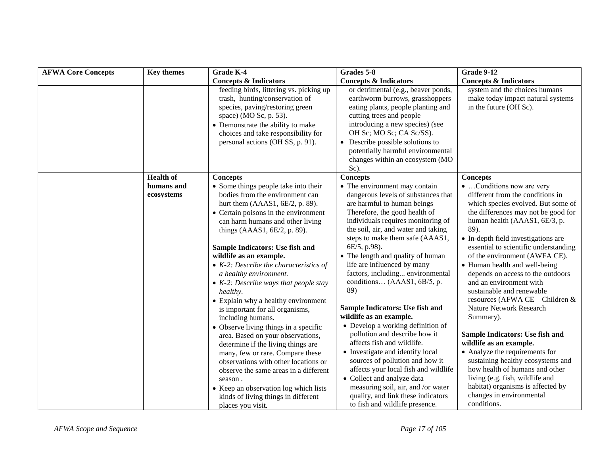| <b>AFWA Core Concepts</b> | <b>Key themes</b>        | Grade K-4                                                                                                                                                                                                                                                                                                                                                                                                                                                                                                                                                                                                                                                                                                                                                                                                                                                                        | Grades 5-8                                                                                                                                                                                                                                                                                                                                                                                                                                                                                                                                                                                                                                                                                                                                                                                                                                      | <b>Grade 9-12</b>                                                                                                                                                                                                                                                                                                                                                                                                                                                                                                                                                                                                                                                                                                                                                                                        |
|---------------------------|--------------------------|----------------------------------------------------------------------------------------------------------------------------------------------------------------------------------------------------------------------------------------------------------------------------------------------------------------------------------------------------------------------------------------------------------------------------------------------------------------------------------------------------------------------------------------------------------------------------------------------------------------------------------------------------------------------------------------------------------------------------------------------------------------------------------------------------------------------------------------------------------------------------------|-------------------------------------------------------------------------------------------------------------------------------------------------------------------------------------------------------------------------------------------------------------------------------------------------------------------------------------------------------------------------------------------------------------------------------------------------------------------------------------------------------------------------------------------------------------------------------------------------------------------------------------------------------------------------------------------------------------------------------------------------------------------------------------------------------------------------------------------------|----------------------------------------------------------------------------------------------------------------------------------------------------------------------------------------------------------------------------------------------------------------------------------------------------------------------------------------------------------------------------------------------------------------------------------------------------------------------------------------------------------------------------------------------------------------------------------------------------------------------------------------------------------------------------------------------------------------------------------------------------------------------------------------------------------|
|                           |                          | <b>Concepts &amp; Indicators</b>                                                                                                                                                                                                                                                                                                                                                                                                                                                                                                                                                                                                                                                                                                                                                                                                                                                 | <b>Concepts &amp; Indicators</b>                                                                                                                                                                                                                                                                                                                                                                                                                                                                                                                                                                                                                                                                                                                                                                                                                | <b>Concepts &amp; Indicators</b>                                                                                                                                                                                                                                                                                                                                                                                                                                                                                                                                                                                                                                                                                                                                                                         |
|                           |                          | feeding birds, littering vs. picking up<br>trash, hunting/conservation of<br>species, paving/restoring green<br>space) (MO Sc, p. 53).<br>• Demonstrate the ability to make<br>choices and take responsibility for<br>personal actions (OH SS, p. 91).                                                                                                                                                                                                                                                                                                                                                                                                                                                                                                                                                                                                                           | or detrimental (e.g., beaver ponds,<br>earthworm burrows, grasshoppers<br>eating plants, people planting and<br>cutting trees and people<br>introducing a new species) (see<br>OH Sc; MO Sc; CA Sc/SS).<br>• Describe possible solutions to<br>potentially harmful environmental<br>changes within an ecosystem (MO<br>Sc).                                                                                                                                                                                                                                                                                                                                                                                                                                                                                                                     | system and the choices humans<br>make today impact natural systems<br>in the future (OH Sc).                                                                                                                                                                                                                                                                                                                                                                                                                                                                                                                                                                                                                                                                                                             |
|                           | <b>Health of</b>         | <b>Concepts</b>                                                                                                                                                                                                                                                                                                                                                                                                                                                                                                                                                                                                                                                                                                                                                                                                                                                                  | <b>Concepts</b>                                                                                                                                                                                                                                                                                                                                                                                                                                                                                                                                                                                                                                                                                                                                                                                                                                 | Concepts                                                                                                                                                                                                                                                                                                                                                                                                                                                                                                                                                                                                                                                                                                                                                                                                 |
|                           | humans and<br>ecosystems | • Some things people take into their<br>bodies from the environment can<br>hurt them (AAAS1, 6E/2, p. 89).<br>• Certain poisons in the environment<br>can harm humans and other living<br>things (AAAS1, 6E/2, p. 89).<br>Sample Indicators: Use fish and<br>wildlife as an example.<br>$\bullet$ K-2: Describe the characteristics of<br>a healthy environment.<br>• $K-2$ : Describe ways that people stay<br>healthy.<br>• Explain why a healthy environment<br>is important for all organisms,<br>including humans.<br>• Observe living things in a specific<br>area. Based on your observations,<br>determine if the living things are<br>many, few or rare. Compare these<br>observations with other locations or<br>observe the same areas in a different<br>season.<br>• Keep an observation log which lists<br>kinds of living things in different<br>places you visit. | • The environment may contain<br>dangerous levels of substances that<br>are harmful to human beings<br>Therefore, the good health of<br>individuals requires monitoring of<br>the soil, air, and water and taking<br>steps to make them safe (AAAS1,<br>6E/5, p.98).<br>• The length and quality of human<br>life are influenced by many<br>factors, including environmental<br>conditions (AAAS1, 6B/5, p.<br>89)<br>Sample Indicators: Use fish and<br>wildlife as an example.<br>• Develop a working definition of<br>pollution and describe how it<br>affects fish and wildlife.<br>• Investigate and identify local<br>sources of pollution and how it<br>affects your local fish and wildlife<br>• Collect and analyze data<br>measuring soil, air, and /or water<br>quality, and link these indicators<br>to fish and wildlife presence. | •  Conditions now are very<br>different from the conditions in<br>which species evolved. But some of<br>the differences may not be good for<br>human health (AAAS1, 6E/3, p.<br>89).<br>• In-depth field investigations are<br>essential to scientific understanding<br>of the environment (AWFA CE).<br>• Human health and well-being<br>depends on access to the outdoors<br>and an environment with<br>sustainable and renewable<br>resources (AFWA CE - Children &<br>Nature Network Research<br>Summary).<br>Sample Indicators: Use fish and<br>wildlife as an example.<br>• Analyze the requirements for<br>sustaining healthy ecosystems and<br>how health of humans and other<br>living (e.g. fish, wildlife and<br>habitat) organisms is affected by<br>changes in environmental<br>conditions. |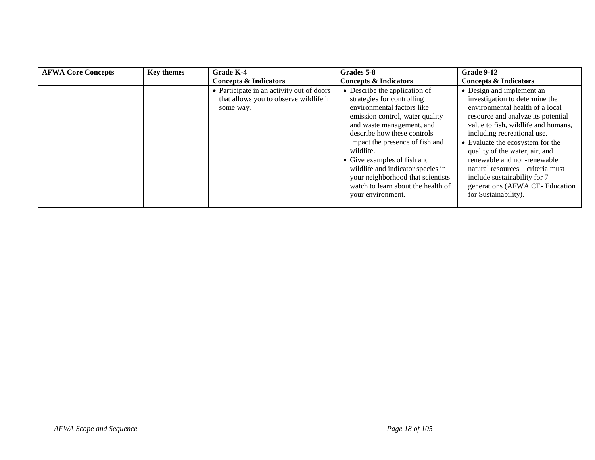| <b>AFWA Core Concepts</b> | <b>Key themes</b> | Grade K-4                                                                                        | Grades 5-8                                                                                                                                                                                                                                                                                                                                                                                                   | <b>Grade 9-12</b>                                                                                                                                                                                                                                                                                                                                                                                                                              |
|---------------------------|-------------------|--------------------------------------------------------------------------------------------------|--------------------------------------------------------------------------------------------------------------------------------------------------------------------------------------------------------------------------------------------------------------------------------------------------------------------------------------------------------------------------------------------------------------|------------------------------------------------------------------------------------------------------------------------------------------------------------------------------------------------------------------------------------------------------------------------------------------------------------------------------------------------------------------------------------------------------------------------------------------------|
|                           |                   | <b>Concepts &amp; Indicators</b>                                                                 | <b>Concepts &amp; Indicators</b>                                                                                                                                                                                                                                                                                                                                                                             | <b>Concepts &amp; Indicators</b>                                                                                                                                                                                                                                                                                                                                                                                                               |
|                           |                   | • Participate in an activity out of doors<br>that allows you to observe wildlife in<br>some way. | • Describe the application of<br>strategies for controlling<br>environmental factors like<br>emission control, water quality<br>and waste management, and<br>describe how these controls<br>impact the presence of fish and<br>wildlife.<br>• Give examples of fish and<br>wildlife and indicator species in<br>your neighborhood that scientists<br>watch to learn about the health of<br>your environment. | • Design and implement an<br>investigation to determine the<br>environmental health of a local<br>resource and analyze its potential<br>value to fish, wildlife and humans,<br>including recreational use.<br>• Evaluate the ecosystem for the<br>quality of the water, air, and<br>renewable and non-renewable<br>natural resources – criteria must<br>include sustainability for 7<br>generations (AFWA CE-Education<br>for Sustainability). |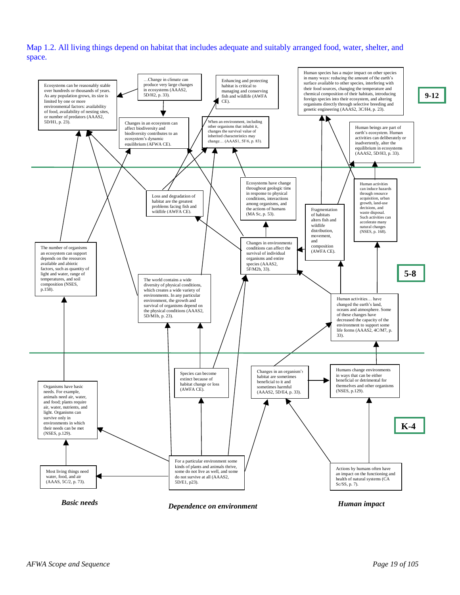Map 1.2. All living things depend on habitat that includes adequate and suitably arranged food, water, shelter, and space.

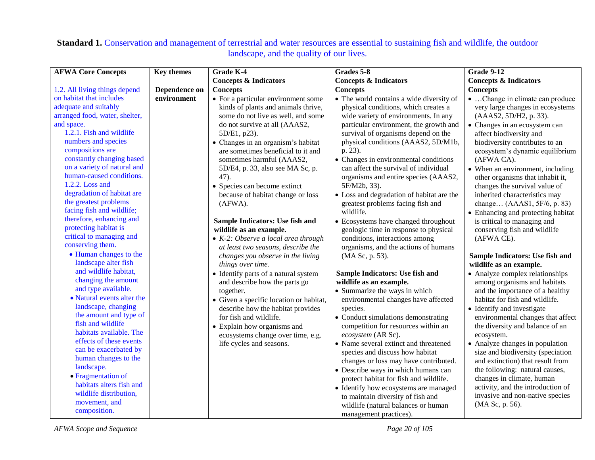| <b>AFWA Core Concepts</b>                   | <b>Key themes</b> | Grade K-4                                   | Grades 5-8                                | <b>Grade 9-12</b>                  |
|---------------------------------------------|-------------------|---------------------------------------------|-------------------------------------------|------------------------------------|
|                                             |                   | <b>Concepts &amp; Indicators</b>            | <b>Concepts &amp; Indicators</b>          | <b>Concepts &amp; Indicators</b>   |
| 1.2. All living things depend               | Dependence on     | <b>Concepts</b>                             | <b>Concepts</b>                           | <b>Concepts</b>                    |
| on habitat that includes                    | environment       | • For a particular environment some         | • The world contains a wide diversity of  | • Change in climate can produce    |
| adequate and suitably                       |                   | kinds of plants and animals thrive,         | physical conditions, which creates a      | very large changes in ecosystems   |
| arranged food, water, shelter,              |                   | some do not live as well, and some          | wide variety of environments. In any      | (AAAS2, 5D/H2, p. 33).             |
| and space.                                  |                   | do not survive at all (AAAS2,               | particular environment, the growth and    | • Changes in an ecosystem can      |
| 1.2.1. Fish and wildlife                    |                   | 5D/E1, p23).                                | survival of organisms depend on the       | affect biodiversity and            |
| numbers and species                         |                   | • Changes in an organism's habitat          | physical conditions (AAAS2, 5D/M1b,       | biodiversity contributes to an     |
| compositions are                            |                   | are sometimes beneficial to it and          | p. 23).                                   | ecosystem's dynamic equilibrium    |
| constantly changing based                   |                   | sometimes harmful (AAAS2,                   | • Changes in environmental conditions     | (AFWA CA).                         |
| on a variety of natural and                 |                   | 5D/E4, p. 33, also see MA Sc, p.            | can affect the survival of individual     | • When an environment, including   |
| human-caused conditions.                    |                   | 47).                                        | organisms and entire species (AAAS2,      | other organisms that inhabit it,   |
| 1.2.2. Loss and                             |                   | • Species can become extinct                | 5F/M2b, 33).                              | changes the survival value of      |
| degradation of habitat are                  |                   | because of habitat change or loss           | • Loss and degradation of habitat are the | inherited characteristics may      |
| the greatest problems                       |                   | $(AFWA)$ .                                  | greatest problems facing fish and         | change (AAAS1, 5F/6, p. 83)        |
| facing fish and wildlife;                   |                   |                                             | wildlife.                                 | • Enhancing and protecting habitat |
| therefore, enhancing and                    |                   | Sample Indicators: Use fish and             | • Ecosystems have changed throughout      | is critical to managing and        |
| protecting habitat is                       |                   | wildlife as an example.                     | geologic time in response to physical     | conserving fish and wildlife       |
| critical to managing and                    |                   | $\bullet$ K-2: Observe a local area through | conditions, interactions among            | (AFWA CE).                         |
| conserving them.                            |                   | at least two seasons, describe the          | organisms, and the actions of humans      |                                    |
| • Human changes to the                      |                   | changes you observe in the living           | (MA Sc, p. 53).                           | Sample Indicators: Use fish and    |
| landscape alter fish                        |                   | things over time.                           |                                           | wildlife as an example.            |
| and wildlife habitat,                       |                   | • Identify parts of a natural system        | Sample Indicators: Use fish and           | • Analyze complex relationships    |
| changing the amount                         |                   | and describe how the parts go               | wildlife as an example.                   | among organisms and habitats       |
| and type available.                         |                   | together.                                   | • Summarize the ways in which             | and the importance of a healthy    |
| • Natural events alter the                  |                   | • Given a specific location or habitat,     | environmental changes have affected       | habitat for fish and wildlife.     |
| landscape, changing                         |                   | describe how the habitat provides           | species.                                  | • Identify and investigate         |
| the amount and type of<br>fish and wildlife |                   | for fish and wildlife.                      | • Conduct simulations demonstrating       | environmental changes that affect  |
| habitats available. The                     |                   | • Explain how organisms and                 | competition for resources within an       | the diversity and balance of an    |
| effects of these events                     |                   | ecosystems change over time, e.g.           | ecosystem (AR Sc).                        | ecosystem.                         |
| can be exacerbated by                       |                   | life cycles and seasons.                    | • Name several extinct and threatened     | • Analyze changes in population    |
| human changes to the                        |                   |                                             | species and discuss how habitat           | size and biodiversity (speciation  |
| landscape.                                  |                   |                                             | changes or loss may have contributed.     | and extinction) that result from   |
| • Fragmentation of                          |                   |                                             | • Describe ways in which humans can       | the following: natural causes,     |
| habitats alters fish and                    |                   |                                             | protect habitat for fish and wildlife.    | changes in climate, human          |
| wildlife distribution,                      |                   |                                             | • Identify how ecosystems are managed     | activity, and the introduction of  |
| movement, and                               |                   |                                             | to maintain diversity of fish and         | invasive and non-native species    |
| composition.                                |                   |                                             | wildlife (natural balances or human       | (MA Sc, p. 56).                    |
|                                             |                   |                                             | management practices).                    |                                    |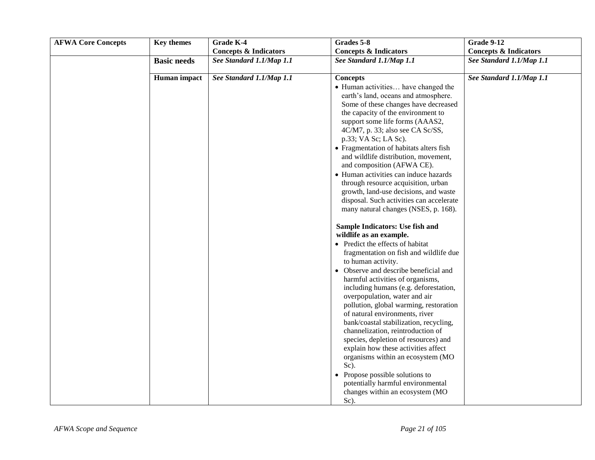| <b>Basic needs</b> | <b>Concepts &amp; Indicators</b><br>See Standard 1.1/Map 1.1 | <b>Concepts &amp; Indicators</b>                                                                                                                                                                                                                                                                                                                                                                                                                                                                                                                                                                                                                                                                                                                                                                                                                     | <b>Concepts &amp; Indicators</b> |
|--------------------|--------------------------------------------------------------|------------------------------------------------------------------------------------------------------------------------------------------------------------------------------------------------------------------------------------------------------------------------------------------------------------------------------------------------------------------------------------------------------------------------------------------------------------------------------------------------------------------------------------------------------------------------------------------------------------------------------------------------------------------------------------------------------------------------------------------------------------------------------------------------------------------------------------------------------|----------------------------------|
|                    |                                                              |                                                                                                                                                                                                                                                                                                                                                                                                                                                                                                                                                                                                                                                                                                                                                                                                                                                      |                                  |
|                    |                                                              | See Standard 1.1/Map 1.1                                                                                                                                                                                                                                                                                                                                                                                                                                                                                                                                                                                                                                                                                                                                                                                                                             | See Standard 1.1/Map 1.1         |
| Human impact       | See Standard 1.1/Map 1.1                                     | <b>Concepts</b><br>• Human activities have changed the<br>earth's land, oceans and atmosphere.<br>Some of these changes have decreased<br>the capacity of the environment to<br>support some life forms (AAAS2,<br>4C/M7, p. 33; also see CA Sc/SS,<br>p.33; VA Sc; LA Sc).<br>• Fragmentation of habitats alters fish<br>and wildlife distribution, movement,<br>and composition (AFWA CE).<br>• Human activities can induce hazards<br>through resource acquisition, urban                                                                                                                                                                                                                                                                                                                                                                         | See Standard 1.1/Map 1.1         |
|                    |                                                              | growth, land-use decisions, and waste<br>disposal. Such activities can accelerate<br>many natural changes (NSES, p. 168).<br>Sample Indicators: Use fish and<br>wildlife as an example.<br>• Predict the effects of habitat<br>fragmentation on fish and wildlife due<br>to human activity.<br>• Observe and describe beneficial and<br>harmful activities of organisms,<br>including humans (e.g. deforestation,<br>overpopulation, water and air<br>pollution, global warming, restoration<br>of natural environments, river<br>bank/coastal stabilization, recycling,<br>channelization, reintroduction of<br>species, depletion of resources) and<br>explain how these activities affect<br>organisms within an ecosystem (MO<br>Sc).<br>• Propose possible solutions to<br>potentially harmful environmental<br>changes within an ecosystem (MO |                                  |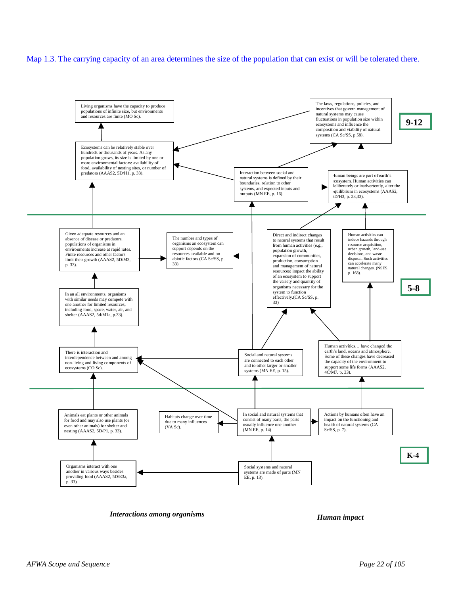#### Map 1.3. The carrying capacity of an area determines the size of the population that can exist or will be tolerated there.



*Interactions among organisms Human impact*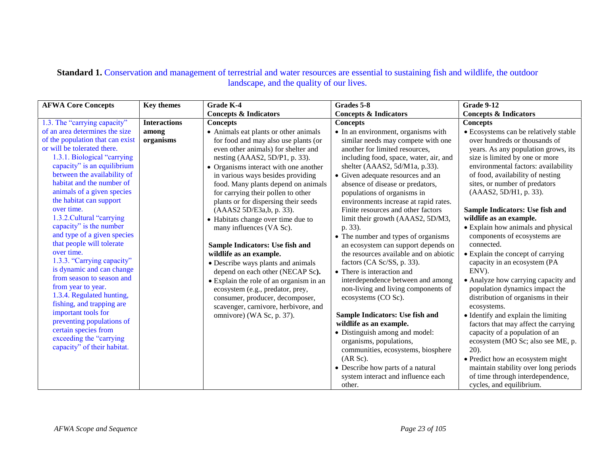| <b>AFWA Core Concepts</b>                       | <b>Key themes</b>   | <b>Grade K-4</b>                        | Grades 5-8                             | <b>Grade 9-12</b>                     |
|-------------------------------------------------|---------------------|-----------------------------------------|----------------------------------------|---------------------------------------|
|                                                 |                     | <b>Concepts &amp; Indicators</b>        | <b>Concepts &amp; Indicators</b>       | <b>Concepts &amp; Indicators</b>      |
| 1.3. The "carrying capacity"                    | <b>Interactions</b> | <b>Concepts</b>                         | <b>Concepts</b>                        | <b>Concepts</b>                       |
| of an area determines the size                  | among               | • Animals eat plants or other animals   | • In an environment, organisms with    | • Ecosystems can be relatively stable |
| of the population that can exist                | organisms           | for food and may also use plants (or    | similar needs may compete with one     | over hundreds or thousands of         |
| or will be tolerated there.                     |                     | even other animals) for shelter and     | another for limited resources,         | years. As any population grows, its   |
| 1.3.1. Biological "carrying                     |                     | nesting (AAAS2, 5D/P1, p. 33).          | including food, space, water, air, and | size is limited by one or more        |
| capacity" is an equilibrium                     |                     | • Organisms interact with one another   | shelter (AAAS2, 5d/M1a, p.33).         | environmental factors: availability   |
| between the availability of                     |                     | in various ways besides providing       | • Given adequate resources and an      | of food, availability of nesting      |
| habitat and the number of                       |                     | food. Many plants depend on animals     | absence of disease or predators,       | sites, or number of predators         |
| animals of a given species                      |                     | for carrying their pollen to other      | populations of organisms in            | (AAAS2, 5D/H1, p. 33).                |
| the habitat can support                         |                     | plants or for dispersing their seeds    | environments increase at rapid rates.  |                                       |
| over time.                                      |                     | (AAAS2 5D/E3a,b, p. 33).                | Finite resources and other factors     | Sample Indicators: Use fish and       |
| 1.3.2. Cultural "carrying                       |                     | • Habitats change over time due to      | limit their growth (AAAS2, 5D/M3,      | wildlife as an example.               |
| capacity" is the number                         |                     | many influences (VA Sc).                | p. 33).                                | • Explain how animals and physical    |
| and type of a given species                     |                     |                                         | • The number and types of organisms    | components of ecosystems are          |
| that people will tolerate                       |                     | Sample Indicators: Use fish and         | an ecosystem can support depends on    | connected.                            |
| over time.                                      |                     | wildlife as an example.                 | the resources available and on abiotic | • Explain the concept of carrying     |
| 1.3.3. "Carrying capacity"                      |                     | • Describe ways plants and animals      | factors (CA Sc/SS, p. 33).             | capacity in an ecosystem (PA          |
| is dynamic and can change                       |                     | depend on each other (NECAP Sc).        | • There is interaction and             | ENV).                                 |
| from season to season and                       |                     | • Explain the role of an organism in an | interdependence between and among      | • Analyze how carrying capacity and   |
| from year to year.<br>1.3.4. Regulated hunting, |                     | ecosystem (e.g., predator, prey,        | non-living and living components of    | population dynamics impact the        |
| fishing, and trapping are                       |                     | consumer, producer, decomposer,         | ecosystems (CO Sc).                    | distribution of organisms in their    |
| important tools for                             |                     | scavenger, carnivore, herbivore, and    |                                        | ecosystems.                           |
| preventing populations of                       |                     | omnivore) (WA Sc, p. 37).               | Sample Indicators: Use fish and        | • Identify and explain the limiting   |
| certain species from                            |                     |                                         | wildlife as an example.                | factors that may affect the carrying  |
| exceeding the "carrying                         |                     |                                         | • Distinguish among and model:         | capacity of a population of an        |
| capacity" of their habitat.                     |                     |                                         | organisms, populations,                | ecosystem (MO Sc; also see ME, p.     |
|                                                 |                     |                                         | communities, ecosystems, biosphere     | $20$ ).                               |
|                                                 |                     |                                         | (AR Sc).                               | • Predict how an ecosystem might      |
|                                                 |                     |                                         | • Describe how parts of a natural      | maintain stability over long periods  |
|                                                 |                     |                                         | system interact and influence each     | of time through interdependence,      |
|                                                 |                     |                                         | other.                                 | cycles, and equilibrium.              |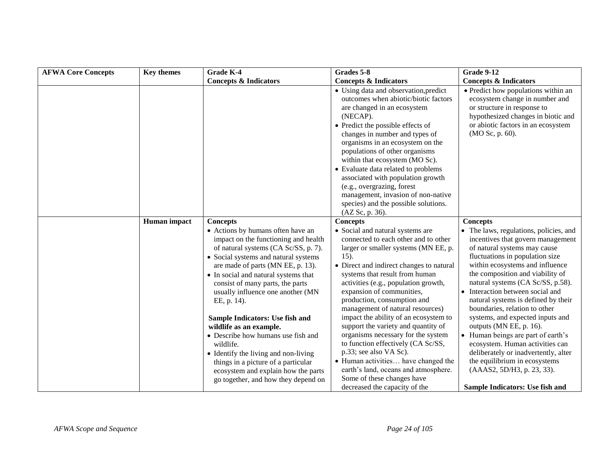| <b>AFWA Core Concepts</b> | <b>Key themes</b> | <b>Grade K-4</b>                                                                                                                                                                                                                                                                                                                                                                                                                                                                                                                                                                                             | Grades 5-8                                                                                                                                                                                                                                                                                                                                                                                                                                                                                                                                                                                                                                                                         | <b>Grade 9-12</b>                                                                                                                                                                                                                                                                                                                                                                                                                                                                                                                                                                                                                                        |
|---------------------------|-------------------|--------------------------------------------------------------------------------------------------------------------------------------------------------------------------------------------------------------------------------------------------------------------------------------------------------------------------------------------------------------------------------------------------------------------------------------------------------------------------------------------------------------------------------------------------------------------------------------------------------------|------------------------------------------------------------------------------------------------------------------------------------------------------------------------------------------------------------------------------------------------------------------------------------------------------------------------------------------------------------------------------------------------------------------------------------------------------------------------------------------------------------------------------------------------------------------------------------------------------------------------------------------------------------------------------------|----------------------------------------------------------------------------------------------------------------------------------------------------------------------------------------------------------------------------------------------------------------------------------------------------------------------------------------------------------------------------------------------------------------------------------------------------------------------------------------------------------------------------------------------------------------------------------------------------------------------------------------------------------|
|                           |                   | <b>Concepts &amp; Indicators</b>                                                                                                                                                                                                                                                                                                                                                                                                                                                                                                                                                                             | <b>Concepts &amp; Indicators</b>                                                                                                                                                                                                                                                                                                                                                                                                                                                                                                                                                                                                                                                   | <b>Concepts &amp; Indicators</b>                                                                                                                                                                                                                                                                                                                                                                                                                                                                                                                                                                                                                         |
|                           |                   |                                                                                                                                                                                                                                                                                                                                                                                                                                                                                                                                                                                                              | • Using data and observation, predict<br>outcomes when abiotic/biotic factors<br>are changed in an ecosystem<br>(NECAP).<br>• Predict the possible effects of<br>changes in number and types of<br>organisms in an ecosystem on the<br>populations of other organisms<br>within that ecosystem (MO Sc).<br>• Evaluate data related to problems<br>associated with population growth<br>(e.g., overgrazing, forest<br>management, invasion of non-native<br>species) and the possible solutions.<br>(AZ Sc, p. 36).                                                                                                                                                                 | • Predict how populations within an<br>ecosystem change in number and<br>or structure in response to<br>hypothesized changes in biotic and<br>or abiotic factors in an ecosystem<br>(MO Sc, p. 60).                                                                                                                                                                                                                                                                                                                                                                                                                                                      |
|                           | Human impact      | <b>Concepts</b>                                                                                                                                                                                                                                                                                                                                                                                                                                                                                                                                                                                              | <b>Concepts</b>                                                                                                                                                                                                                                                                                                                                                                                                                                                                                                                                                                                                                                                                    | <b>Concepts</b>                                                                                                                                                                                                                                                                                                                                                                                                                                                                                                                                                                                                                                          |
|                           |                   | • Actions by humans often have an<br>impact on the functioning and health<br>of natural systems (CA Sc/SS, p. 7).<br>• Social systems and natural systems<br>are made of parts (MN EE, p. 13).<br>• In social and natural systems that<br>consist of many parts, the parts<br>usually influence one another (MN<br>EE, p. 14).<br>Sample Indicators: Use fish and<br>wildlife as an example.<br>• Describe how humans use fish and<br>wildlife.<br>• Identify the living and non-living<br>things in a picture of a particular<br>ecosystem and explain how the parts<br>go together, and how they depend on | • Social and natural systems are<br>connected to each other and to other<br>larger or smaller systems (MN EE, p.<br>15).<br>• Direct and indirect changes to natural<br>systems that result from human<br>activities (e.g., population growth,<br>expansion of communities,<br>production, consumption and<br>management of natural resources)<br>impact the ability of an ecosystem to<br>support the variety and quantity of<br>organisms necessary for the system<br>to function effectively (CA Sc/SS,<br>p.33; see also VA Sc).<br>• Human activities have changed the<br>earth's land, oceans and atmosphere.<br>Some of these changes have<br>decreased the capacity of the | • The laws, regulations, policies, and<br>incentives that govern management<br>of natural systems may cause<br>fluctuations in population size<br>within ecosystems and influence<br>the composition and viability of<br>natural systems (CA Sc/SS, p.58).<br>• Interaction between social and<br>natural systems is defined by their<br>boundaries, relation to other<br>systems, and expected inputs and<br>outputs (MN EE, p. 16).<br>• Human beings are part of earth's<br>ecosystem. Human activities can<br>deliberately or inadvertently, alter<br>the equilibrium in ecosystems<br>(AAAS2, 5D/H3, p. 23, 33).<br>Sample Indicators: Use fish and |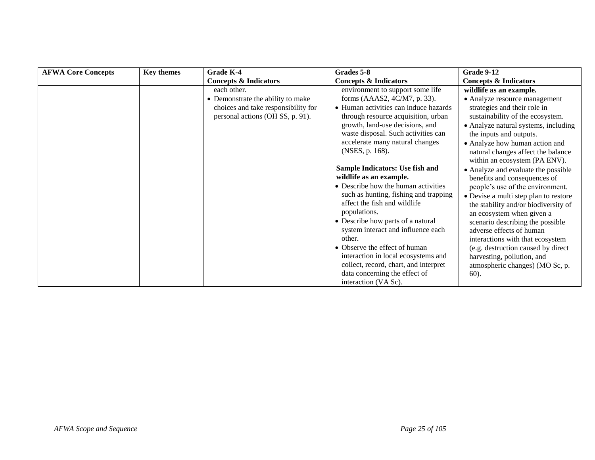| <b>Grade K-4</b>                    | Grades 5-8                            | Grade 9-12                                                                                                                                                                                                                                                                                                                                                                                                                                                                                                                                             |
|-------------------------------------|---------------------------------------|--------------------------------------------------------------------------------------------------------------------------------------------------------------------------------------------------------------------------------------------------------------------------------------------------------------------------------------------------------------------------------------------------------------------------------------------------------------------------------------------------------------------------------------------------------|
| <b>Concepts &amp; Indicators</b>    | <b>Concepts &amp; Indicators</b>      | <b>Concepts &amp; Indicators</b>                                                                                                                                                                                                                                                                                                                                                                                                                                                                                                                       |
| each other.                         | environment to support some life      | wildlife as an example.                                                                                                                                                                                                                                                                                                                                                                                                                                                                                                                                |
| • Demonstrate the ability to make   | forms (AAAS2, 4C/M7, p. 33).          | • Analyze resource management                                                                                                                                                                                                                                                                                                                                                                                                                                                                                                                          |
| choices and take responsibility for | • Human activities can induce hazards | strategies and their role in                                                                                                                                                                                                                                                                                                                                                                                                                                                                                                                           |
| personal actions (OH SS, p. 91).    | through resource acquisition, urban   | sustainability of the ecosystem.                                                                                                                                                                                                                                                                                                                                                                                                                                                                                                                       |
|                                     | growth, land-use decisions, and       | • Analyze natural systems, including                                                                                                                                                                                                                                                                                                                                                                                                                                                                                                                   |
|                                     |                                       | the inputs and outputs.                                                                                                                                                                                                                                                                                                                                                                                                                                                                                                                                |
|                                     |                                       | • Analyze how human action and                                                                                                                                                                                                                                                                                                                                                                                                                                                                                                                         |
|                                     |                                       | natural changes affect the balance                                                                                                                                                                                                                                                                                                                                                                                                                                                                                                                     |
|                                     |                                       | within an ecosystem (PA ENV).                                                                                                                                                                                                                                                                                                                                                                                                                                                                                                                          |
|                                     |                                       | • Analyze and evaluate the possible                                                                                                                                                                                                                                                                                                                                                                                                                                                                                                                    |
|                                     |                                       | benefits and consequences of                                                                                                                                                                                                                                                                                                                                                                                                                                                                                                                           |
|                                     |                                       | people's use of the environment.                                                                                                                                                                                                                                                                                                                                                                                                                                                                                                                       |
|                                     |                                       | • Devise a multi step plan to restore                                                                                                                                                                                                                                                                                                                                                                                                                                                                                                                  |
|                                     |                                       | the stability and/or biodiversity of                                                                                                                                                                                                                                                                                                                                                                                                                                                                                                                   |
|                                     |                                       | an ecosystem when given a                                                                                                                                                                                                                                                                                                                                                                                                                                                                                                                              |
|                                     |                                       | scenario describing the possible                                                                                                                                                                                                                                                                                                                                                                                                                                                                                                                       |
|                                     |                                       | adverse effects of human                                                                                                                                                                                                                                                                                                                                                                                                                                                                                                                               |
|                                     |                                       | interactions with that ecosystem                                                                                                                                                                                                                                                                                                                                                                                                                                                                                                                       |
|                                     |                                       | (e.g. destruction caused by direct                                                                                                                                                                                                                                                                                                                                                                                                                                                                                                                     |
|                                     |                                       | harvesting, pollution, and                                                                                                                                                                                                                                                                                                                                                                                                                                                                                                                             |
|                                     |                                       | atmospheric changes) (MO Sc, p.                                                                                                                                                                                                                                                                                                                                                                                                                                                                                                                        |
|                                     |                                       | $60$ ).                                                                                                                                                                                                                                                                                                                                                                                                                                                                                                                                                |
|                                     |                                       | waste disposal. Such activities can<br>accelerate many natural changes<br>(NSES, p. 168).<br>Sample Indicators: Use fish and<br>wildlife as an example.<br>• Describe how the human activities<br>such as hunting, fishing and trapping<br>affect the fish and wildlife<br>populations.<br>• Describe how parts of a natural<br>system interact and influence each<br>other.<br>• Observe the effect of human<br>interaction in local ecosystems and<br>collect, record, chart, and interpret<br>data concerning the effect of<br>interaction (VA Sc). |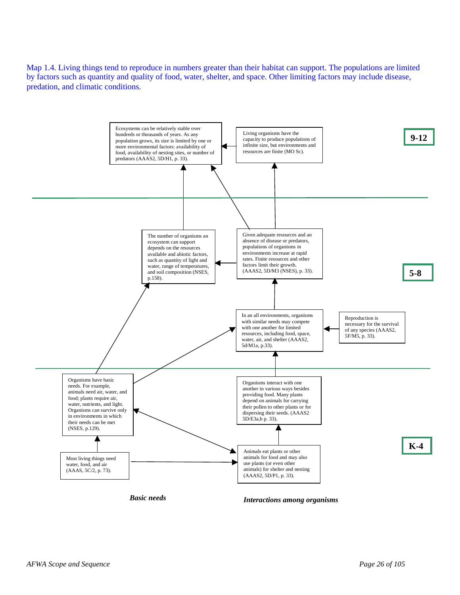Map 1.4. Living things tend to reproduce in numbers greater than their habitat can support. The populations are limited by factors such as quantity and quality of food, water, shelter, and space. Other limiting factors may include disease, predation, and climatic conditions.

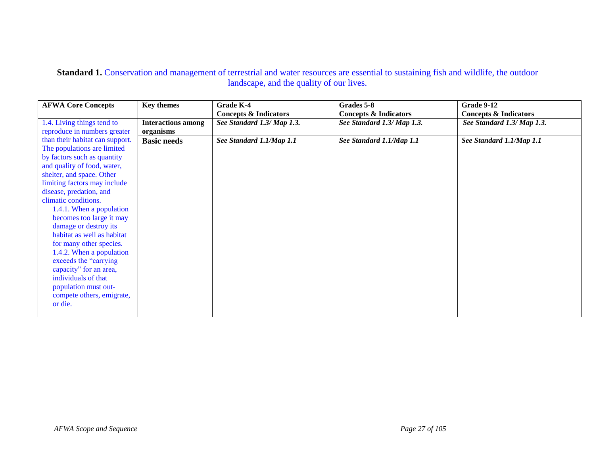| <b>AFWA Core Concepts</b>       | <b>Key themes</b>         | <b>Grade K-4</b>                 | Grades 5-8                       | Grade 9-12                       |
|---------------------------------|---------------------------|----------------------------------|----------------------------------|----------------------------------|
|                                 |                           | <b>Concepts &amp; Indicators</b> | <b>Concepts &amp; Indicators</b> | <b>Concepts &amp; Indicators</b> |
| 1.4. Living things tend to      | <b>Interactions among</b> | See Standard 1.3/ Map 1.3.       | See Standard 1.3/ Map 1.3.       | See Standard 1.3/ Map 1.3.       |
| reproduce in numbers greater    | organisms                 |                                  |                                  |                                  |
| than their habitat can support. | <b>Basic needs</b>        | See Standard 1.1/Map 1.1         | See Standard 1.1/Map 1.1         | See Standard 1.1/Map 1.1         |
| The populations are limited     |                           |                                  |                                  |                                  |
| by factors such as quantity     |                           |                                  |                                  |                                  |
| and quality of food, water,     |                           |                                  |                                  |                                  |
| shelter, and space. Other       |                           |                                  |                                  |                                  |
| limiting factors may include    |                           |                                  |                                  |                                  |
| disease, predation, and         |                           |                                  |                                  |                                  |
| climatic conditions.            |                           |                                  |                                  |                                  |
| 1.4.1. When a population        |                           |                                  |                                  |                                  |
| becomes too large it may        |                           |                                  |                                  |                                  |
| damage or destroy its           |                           |                                  |                                  |                                  |
| habitat as well as habitat      |                           |                                  |                                  |                                  |
| for many other species.         |                           |                                  |                                  |                                  |
| 1.4.2. When a population        |                           |                                  |                                  |                                  |
| exceeds the "carrying"          |                           |                                  |                                  |                                  |
| capacity" for an area,          |                           |                                  |                                  |                                  |
| individuals of that             |                           |                                  |                                  |                                  |
| population must out-            |                           |                                  |                                  |                                  |
| compete others, emigrate,       |                           |                                  |                                  |                                  |
| or die.                         |                           |                                  |                                  |                                  |
|                                 |                           |                                  |                                  |                                  |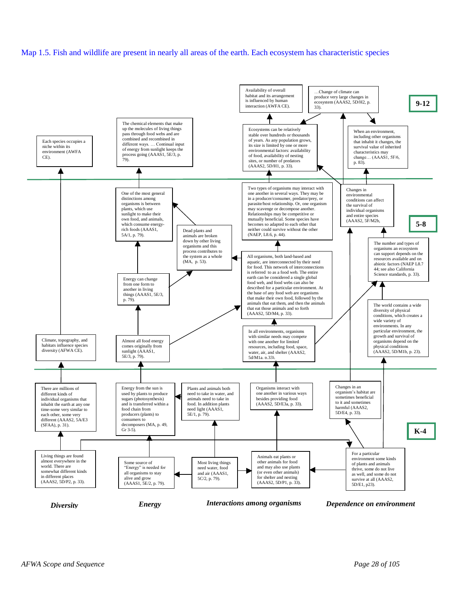#### Map 1.5. Fish and wildlife are present in nearly all areas of the earth. Each ecosystem has characteristic species

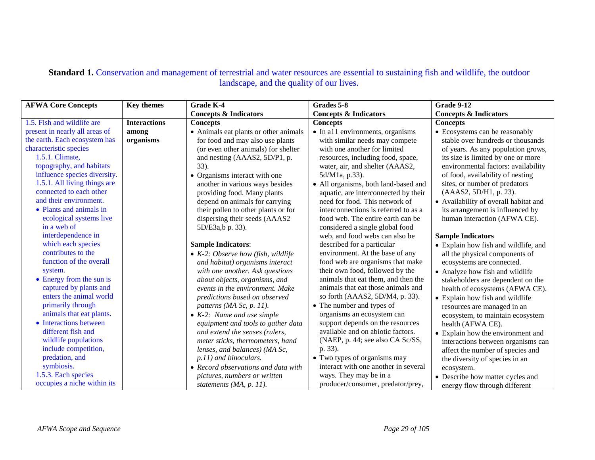| <b>AFWA Core Concepts</b>        | <b>Key themes</b>   | Grade K-4                             | Grades 5-8                               | Grade 9-12                            |
|----------------------------------|---------------------|---------------------------------------|------------------------------------------|---------------------------------------|
|                                  |                     | <b>Concepts &amp; Indicators</b>      | <b>Concepts &amp; Indicators</b>         | <b>Concepts &amp; Indicators</b>      |
| 1.5. Fish and wildlife are       | <b>Interactions</b> | <b>Concepts</b>                       | <b>Concepts</b>                          | <b>Concepts</b>                       |
| present in nearly all areas of   | among               | • Animals eat plants or other animals | $\bullet$ In all environments, organisms | • Ecosystems can be reasonably        |
| the earth. Each ecosystem has    | organisms           | for food and may also use plants      | with similar needs may compete           | stable over hundreds or thousands     |
| characteristic species           |                     | (or even other animals) for shelter   | with one another for limited             | of years. As any population grows,    |
| 1.5.1. Climate,                  |                     | and nesting (AAAS2, 5D/P1, p.         | resources, including food, space,        | its size is limited by one or more    |
| topography, and habitats         |                     | 33).                                  | water, air, and shelter (AAAS2,          | environmental factors: availability   |
| influence species diversity.     |                     | • Organisms interact with one         | 5d/M1a, p.33).                           | of food, availability of nesting      |
| 1.5.1. All living things are     |                     | another in various ways besides       | • All organisms, both land-based and     | sites, or number of predators         |
| connected to each other          |                     | providing food. Many plants           | aquatic, are interconnected by their     | (AAAS2, 5D/H1, p. 23).                |
| and their environment.           |                     | depend on animals for carrying        | need for food. This network of           | • Availability of overall habitat and |
| • Plants and animals in          |                     | their pollen to other plants or for   | interconnections is referred to as a     | its arrangement is influenced by      |
| ecological systems live          |                     | dispersing their seeds (AAAS2         | food web. The entire earth can be        | human interaction (AFWA CE).          |
| in a web of                      |                     | 5D/E3a,b p. 33).                      | considered a single global food          |                                       |
| interdependence in               |                     |                                       | web, and food webs can also be           | <b>Sample Indicators</b>              |
| which each species               |                     | <b>Sample Indicators:</b>             | described for a particular               | • Explain how fish and wildlife, and  |
| contributes to the               |                     | • $K-2$ : Observe how (fish, wildlife | environment. At the base of any          | all the physical components of        |
| function of the overall          |                     | and habitat) organisms interact       | food web are organisms that make         | ecosystems are connected.             |
| system.                          |                     | with one another. Ask questions       | their own food, followed by the          | • Analyze how fish and wildlife       |
| $\bullet$ Energy from the sun is |                     | about objects, organisms, and         | animals that eat them, and then the      | stakeholders are dependent on the     |
| captured by plants and           |                     | events in the environment. Make       | animals that eat those animals and       | health of ecosystems (AFWA CE).       |
| enters the animal world          |                     | predictions based on observed         | so forth (AAAS2, 5D/M4, p. 33).          | • Explain how fish and wildlife       |
| primarily through                |                     | patterns (MA Sc, p. 11).              | • The number and types of                | resources are managed in an           |
| animals that eat plants.         |                     | $\bullet$ K-2: Name and use simple    | organisms an ecosystem can               | ecosystem, to maintain ecosystem      |
| • Interactions between           |                     | equipment and tools to gather data    | support depends on the resources         | health (AFWA CE).                     |
| different fish and               |                     | and extend the senses (rulers,        | available and on abiotic factors.        | • Explain how the environment and     |
| wildlife populations             |                     | meter sticks, thermometers, hand      | (NAEP, p. 44; see also CA Sc/SS,         | interactions between organisms can    |
| include competition,             |                     | lenses, and balances) (MA Sc,         | p. 33).                                  | affect the number of species and      |
| predation, and                   |                     | p.11) and binoculars.                 | • Two types of organisms may             | the diversity of species in an        |
| symbiosis.                       |                     | • Record observations and data with   | interact with one another in several     | ecosystem.                            |
| 1.5.3. Each species              |                     | pictures, numbers or written          | ways. They may be in a                   | • Describe how matter cycles and      |
| occupies a niche within its      |                     | statements (MA, p. 11).               | producer/consumer, predator/prey,        | energy flow through different         |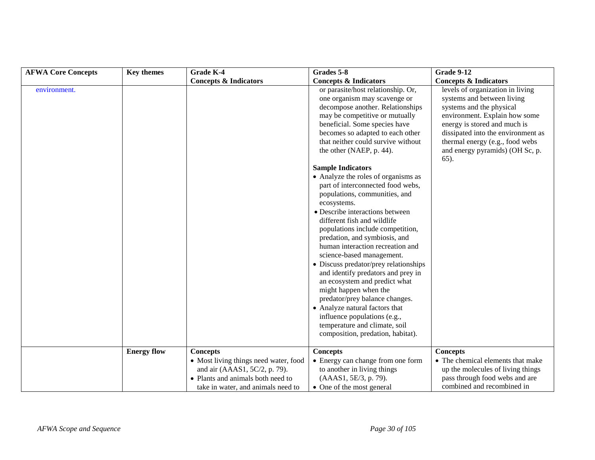| <b>AFWA Core Concepts</b> | <b>Key themes</b>  | <b>Grade K-4</b>                                                                                                                                  | Grades 5-8                                                                                                                                                                                                                                                                                                                                                                                                                                                                                                                                                                                                                                                                                                                                                                                                                                                                                   | <b>Grade 9-12</b>                                                                                                                                                                                                                                                               |
|---------------------------|--------------------|---------------------------------------------------------------------------------------------------------------------------------------------------|----------------------------------------------------------------------------------------------------------------------------------------------------------------------------------------------------------------------------------------------------------------------------------------------------------------------------------------------------------------------------------------------------------------------------------------------------------------------------------------------------------------------------------------------------------------------------------------------------------------------------------------------------------------------------------------------------------------------------------------------------------------------------------------------------------------------------------------------------------------------------------------------|---------------------------------------------------------------------------------------------------------------------------------------------------------------------------------------------------------------------------------------------------------------------------------|
|                           |                    | <b>Concepts &amp; Indicators</b>                                                                                                                  | <b>Concepts &amp; Indicators</b>                                                                                                                                                                                                                                                                                                                                                                                                                                                                                                                                                                                                                                                                                                                                                                                                                                                             | <b>Concepts &amp; Indicators</b>                                                                                                                                                                                                                                                |
| environment.              |                    |                                                                                                                                                   | or parasite/host relationship. Or,<br>one organism may scavenge or<br>decompose another. Relationships<br>may be competitive or mutually<br>beneficial. Some species have<br>becomes so adapted to each other<br>that neither could survive without<br>the other (NAEP, p. 44).<br><b>Sample Indicators</b><br>• Analyze the roles of organisms as<br>part of interconnected food webs,<br>populations, communities, and<br>ecosystems.<br>• Describe interactions between<br>different fish and wildlife<br>populations include competition,<br>predation, and symbiosis, and<br>human interaction recreation and<br>science-based management.<br>• Discuss predator/prey relationships<br>and identify predators and prey in<br>an ecosystem and predict what<br>might happen when the<br>predator/prey balance changes.<br>• Analyze natural factors that<br>influence populations (e.g., | levels of organization in living<br>systems and between living<br>systems and the physical<br>environment. Explain how some<br>energy is stored and much is<br>dissipated into the environment as<br>thermal energy (e.g., food webs<br>and energy pyramids) (OH Sc, p.<br>65). |
|                           |                    |                                                                                                                                                   | temperature and climate, soil<br>composition, predation, habitat).                                                                                                                                                                                                                                                                                                                                                                                                                                                                                                                                                                                                                                                                                                                                                                                                                           |                                                                                                                                                                                                                                                                                 |
|                           | <b>Energy flow</b> | <b>Concepts</b>                                                                                                                                   | <b>Concepts</b>                                                                                                                                                                                                                                                                                                                                                                                                                                                                                                                                                                                                                                                                                                                                                                                                                                                                              | <b>Concepts</b>                                                                                                                                                                                                                                                                 |
|                           |                    | • Most living things need water, food<br>and air (AAAS1, 5C/2, p. 79).<br>• Plants and animals both need to<br>take in water, and animals need to | • Energy can change from one form<br>to another in living things<br>(AAAS1, 5E/3, p. 79).<br>• One of the most general                                                                                                                                                                                                                                                                                                                                                                                                                                                                                                                                                                                                                                                                                                                                                                       | • The chemical elements that make<br>up the molecules of living things<br>pass through food webs and are<br>combined and recombined in                                                                                                                                          |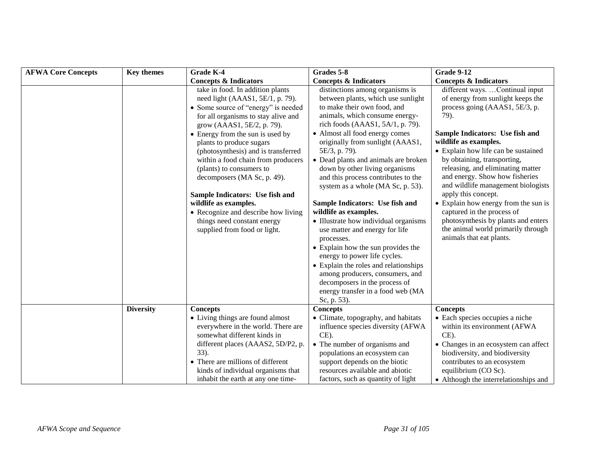| <b>AFWA Core Concepts</b> | <b>Key themes</b> | Grade K-4                                                                                                                                                                                                                                                                               | Grades 5-8                                                                                                                                                                                                                                                                                                                                                                               | Grade 9-12                                                                                                                                                                                                                                                           |
|---------------------------|-------------------|-----------------------------------------------------------------------------------------------------------------------------------------------------------------------------------------------------------------------------------------------------------------------------------------|------------------------------------------------------------------------------------------------------------------------------------------------------------------------------------------------------------------------------------------------------------------------------------------------------------------------------------------------------------------------------------------|----------------------------------------------------------------------------------------------------------------------------------------------------------------------------------------------------------------------------------------------------------------------|
|                           |                   | <b>Concepts &amp; Indicators</b>                                                                                                                                                                                                                                                        | <b>Concepts &amp; Indicators</b>                                                                                                                                                                                                                                                                                                                                                         | <b>Concepts &amp; Indicators</b>                                                                                                                                                                                                                                     |
|                           |                   | take in food. In addition plants<br>need light $(AAAS1, 5E/1, p. 79)$ .<br>• Some source of "energy" is needed<br>for all organisms to stay alive and<br>grow (AAAS1, 5E/2, p. 79).                                                                                                     | distinctions among organisms is<br>between plants, which use sunlight<br>to make their own food, and<br>animals, which consume energy-<br>rich foods (AAAS1, $5A/1$ , p. 79).                                                                                                                                                                                                            | different ways. Continual input<br>of energy from sunlight keeps the<br>process going (AAAS1, 5E/3, p.<br>79).                                                                                                                                                       |
|                           |                   | • Energy from the sun is used by<br>plants to produce sugars<br>(photosynthesis) and is transferred<br>within a food chain from producers<br>(plants) to consumers to<br>decomposers (MA Sc, p. 49).<br>Sample Indicators: Use fish and                                                 | • Almost all food energy comes<br>originally from sunlight (AAAS1,<br>5E/3, p. 79).<br>• Dead plants and animals are broken<br>down by other living organisms<br>and this process contributes to the<br>system as a whole (MA Sc, p. 53).                                                                                                                                                | Sample Indicators: Use fish and<br>wildlife as examples.<br>• Explain how life can be sustained<br>by obtaining, transporting,<br>releasing, and eliminating matter<br>and energy. Show how fisheries<br>and wildlife management biologists<br>apply this concept.   |
|                           |                   | wildlife as examples.<br>• Recognize and describe how living<br>things need constant energy<br>supplied from food or light.                                                                                                                                                             | Sample Indicators: Use fish and<br>wildlife as examples.<br>• Illustrate how individual organisms<br>use matter and energy for life<br>processes.<br>• Explain how the sun provides the<br>energy to power life cycles.<br>• Explain the roles and relationships<br>among producers, consumers, and<br>decomposers in the process of<br>energy transfer in a food web (MA<br>Sc, p. 53). | • Explain how energy from the sun is<br>captured in the process of<br>photosynthesis by plants and enters<br>the animal world primarily through<br>animals that eat plants.                                                                                          |
|                           | <b>Diversity</b>  | <b>Concepts</b><br>• Living things are found almost<br>everywhere in the world. There are<br>somewhat different kinds in<br>different places (AAAS2, 5D/P2, p.<br>33).<br>• There are millions of different<br>kinds of individual organisms that<br>inhabit the earth at any one time- | <b>Concepts</b><br>• Climate, topography, and habitats<br>influence species diversity (AFWA<br>$CE$ ).<br>• The number of organisms and<br>populations an ecosystem can<br>support depends on the biotic<br>resources available and abiotic<br>factors, such as quantity of light                                                                                                        | <b>Concepts</b><br>• Each species occupies a niche<br>within its environment (AFWA<br>CE).<br>• Changes in an ecosystem can affect<br>biodiversity, and biodiversity<br>contributes to an ecosystem<br>equilibrium (CO Sc).<br>• Although the interrelationships and |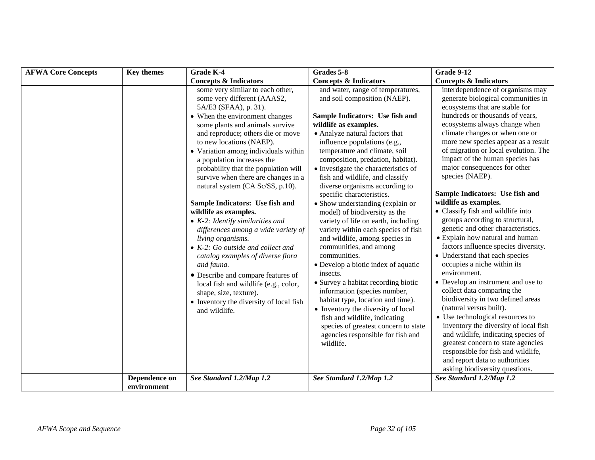| <b>AFWA Core Concepts</b> | <b>Key themes</b>            | Grade K-4                                                                                                                                                                                                                                                                                                                                                                                                                                                                                                                                                                                                                                                                                                                                                                                                                                                        | Grades 5-8                                                                                                                                                                                                                                                                                                                                                                                                                                                                                                                                                                                                                                                                                                                                                                                                                                                                                                                   | <b>Grade 9-12</b>                                                                                                                                                                                                                                                                                                                                                                                                                                                                                                                                                                                                                                                                                                                                                                                                                                                                                                                          |
|---------------------------|------------------------------|------------------------------------------------------------------------------------------------------------------------------------------------------------------------------------------------------------------------------------------------------------------------------------------------------------------------------------------------------------------------------------------------------------------------------------------------------------------------------------------------------------------------------------------------------------------------------------------------------------------------------------------------------------------------------------------------------------------------------------------------------------------------------------------------------------------------------------------------------------------|------------------------------------------------------------------------------------------------------------------------------------------------------------------------------------------------------------------------------------------------------------------------------------------------------------------------------------------------------------------------------------------------------------------------------------------------------------------------------------------------------------------------------------------------------------------------------------------------------------------------------------------------------------------------------------------------------------------------------------------------------------------------------------------------------------------------------------------------------------------------------------------------------------------------------|--------------------------------------------------------------------------------------------------------------------------------------------------------------------------------------------------------------------------------------------------------------------------------------------------------------------------------------------------------------------------------------------------------------------------------------------------------------------------------------------------------------------------------------------------------------------------------------------------------------------------------------------------------------------------------------------------------------------------------------------------------------------------------------------------------------------------------------------------------------------------------------------------------------------------------------------|
|                           |                              | <b>Concepts &amp; Indicators</b>                                                                                                                                                                                                                                                                                                                                                                                                                                                                                                                                                                                                                                                                                                                                                                                                                                 | <b>Concepts &amp; Indicators</b>                                                                                                                                                                                                                                                                                                                                                                                                                                                                                                                                                                                                                                                                                                                                                                                                                                                                                             | <b>Concepts &amp; Indicators</b>                                                                                                                                                                                                                                                                                                                                                                                                                                                                                                                                                                                                                                                                                                                                                                                                                                                                                                           |
|                           |                              | some very similar to each other,<br>some very different (AAAS2,<br>5A/E3 (SFAA), p. 31).<br>• When the environment changes<br>some plants and animals survive<br>and reproduce; others die or move<br>to new locations (NAEP).<br>• Variation among individuals within<br>a population increases the<br>probability that the population will<br>survive when there are changes in a<br>natural system (CA Sc/SS, p.10).<br>Sample Indicators: Use fish and<br>wildlife as examples.<br>$\bullet$ K-2: Identify similarities and<br>differences among a wide variety of<br>living organisms.<br>$\bullet$ K-2: Go outside and collect and<br>catalog examples of diverse flora<br>and fauna.<br>• Describe and compare features of<br>local fish and wildlife (e.g., color,<br>shape, size, texture).<br>• Inventory the diversity of local fish<br>and wildlife. | and water, range of temperatures,<br>and soil composition (NAEP).<br>Sample Indicators: Use fish and<br>wildlife as examples.<br>• Analyze natural factors that<br>influence populations (e.g.,<br>temperature and climate, soil<br>composition, predation, habitat).<br>• Investigate the characteristics of<br>fish and wildlife, and classify<br>diverse organisms according to<br>specific characteristics.<br>• Show understanding (explain or<br>model) of biodiversity as the<br>variety of life on earth, including<br>variety within each species of fish<br>and wildlife, among species in<br>communities, and among<br>communities.<br>• Develop a biotic index of aquatic<br>insects.<br>• Survey a habitat recording biotic<br>information (species number,<br>habitat type, location and time).<br>• Inventory the diversity of local<br>fish and wildlife, indicating<br>species of greatest concern to state | interdependence of organisms may<br>generate biological communities in<br>ecosystems that are stable for<br>hundreds or thousands of years,<br>ecosystems always change when<br>climate changes or when one or<br>more new species appear as a result<br>of migration or local evolution. The<br>impact of the human species has<br>major consequences for other<br>species (NAEP).<br>Sample Indicators: Use fish and<br>wildlife as examples.<br>• Classify fish and wildlife into<br>groups according to structural,<br>genetic and other characteristics.<br>• Explain how natural and human<br>factors influence species diversity.<br>• Understand that each species<br>occupies a niche within its<br>environment.<br>• Develop an instrument and use to<br>collect data comparing the<br>biodiversity in two defined areas<br>(natural versus built).<br>• Use technological resources to<br>inventory the diversity of local fish |
|                           |                              |                                                                                                                                                                                                                                                                                                                                                                                                                                                                                                                                                                                                                                                                                                                                                                                                                                                                  | agencies responsible for fish and<br>wildlife.                                                                                                                                                                                                                                                                                                                                                                                                                                                                                                                                                                                                                                                                                                                                                                                                                                                                               | and wildlife, indicating species of<br>greatest concern to state agencies<br>responsible for fish and wildlife,<br>and report data to authorities<br>asking biodiversity questions.                                                                                                                                                                                                                                                                                                                                                                                                                                                                                                                                                                                                                                                                                                                                                        |
|                           | Dependence on<br>environment | See Standard 1.2/Map 1.2                                                                                                                                                                                                                                                                                                                                                                                                                                                                                                                                                                                                                                                                                                                                                                                                                                         | See Standard 1.2/Map 1.2                                                                                                                                                                                                                                                                                                                                                                                                                                                                                                                                                                                                                                                                                                                                                                                                                                                                                                     | See Standard 1.2/Map 1.2                                                                                                                                                                                                                                                                                                                                                                                                                                                                                                                                                                                                                                                                                                                                                                                                                                                                                                                   |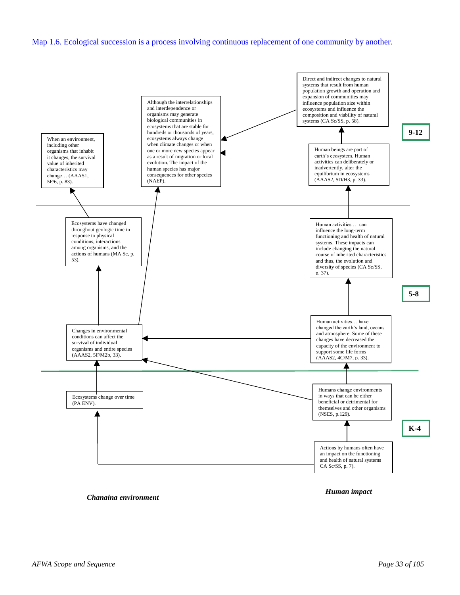#### Map 1.6. Ecological succession is a process involving continuous replacement of one community by another.



*Changing environment*

*Human impact*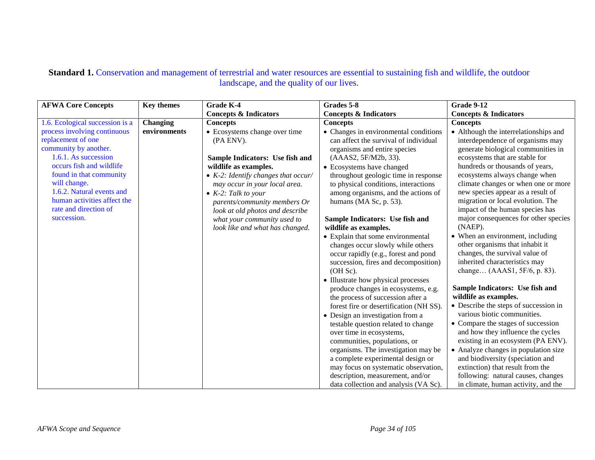| <b>AFWA Core Concepts</b>       | <b>Key themes</b> | Grade K-4                                   | Grades 5-8                              | <b>Grade 9-12</b>                                                    |
|---------------------------------|-------------------|---------------------------------------------|-----------------------------------------|----------------------------------------------------------------------|
|                                 |                   | <b>Concepts &amp; Indicators</b>            | <b>Concepts &amp; Indicators</b>        | <b>Concepts &amp; Indicators</b>                                     |
| 1.6. Ecological succession is a | <b>Changing</b>   | <b>Concepts</b>                             | <b>Concepts</b>                         | <b>Concepts</b>                                                      |
| process involving continuous    | environments      | • Ecosystems change over time               | • Changes in environmental conditions   | • Although the interrelationships and                                |
| replacement of one              |                   | (PA ENV).                                   | can affect the survival of individual   | interdependence of organisms may                                     |
| community by another.           |                   |                                             | organisms and entire species            | generate biological communities in                                   |
| 1.6.1. As succession            |                   | Sample Indicators: Use fish and             | (AAAS2, 5F/M2b, 33).                    | ecosystems that are stable for                                       |
| occurs fish and wildlife        |                   | wildlife as examples.                       | • Ecosystems have changed               | hundreds or thousands of years,                                      |
| found in that community         |                   | $\bullet$ K-2: Identify changes that occur/ | throughout geologic time in response    | ecosystems always change when                                        |
| will change.                    |                   | may occur in your local area.               | to physical conditions, interactions    | climate changes or when one or more                                  |
| 1.6.2. Natural events and       |                   | $\bullet$ K-2: Talk to your                 | among organisms, and the actions of     | new species appear as a result of                                    |
| human activities affect the     |                   | parents/community members Or                | humans (MA Sc, p. 53).                  | migration or local evolution. The                                    |
| rate and direction of           |                   | look at old photos and describe             |                                         | impact of the human species has                                      |
| succession.                     |                   | what your community used to                 | Sample Indicators: Use fish and         | major consequences for other species                                 |
|                                 |                   | look like and what has changed.             | wildlife as examples.                   | (NAEP).                                                              |
|                                 |                   |                                             | • Explain that some environmental       | • When an environment, including                                     |
|                                 |                   |                                             | changes occur slowly while others       | other organisms that inhabit it                                      |
|                                 |                   |                                             | occur rapidly (e.g., forest and pond    | changes, the survival value of                                       |
|                                 |                   |                                             | succession, fires and decomposition)    | inherited characteristics may                                        |
|                                 |                   |                                             | (OH Sc).                                | change (AAAS1, 5F/6, p. 83).                                         |
|                                 |                   |                                             | • Illustrate how physical processes     |                                                                      |
|                                 |                   |                                             | produce changes in ecosystems, e.g.     | Sample Indicators: Use fish and                                      |
|                                 |                   |                                             | the process of succession after a       | wildlife as examples.                                                |
|                                 |                   |                                             | forest fire or desertification (NH SS). | • Describe the steps of succession in<br>various biotic communities. |
|                                 |                   |                                             | • Design an investigation from a        |                                                                      |
|                                 |                   |                                             | testable question related to change     | • Compare the stages of succession                                   |
|                                 |                   |                                             | over time in ecosystems,                | and how they influence the cycles                                    |
|                                 |                   |                                             | communities, populations, or            | existing in an ecosystem (PA ENV).                                   |
|                                 |                   |                                             | organisms. The investigation may be     | • Analyze changes in population size                                 |
|                                 |                   |                                             | a complete experimental design or       | and biodiversity (speciation and                                     |
|                                 |                   |                                             | may focus on systematic observation,    | extinction) that result from the                                     |
|                                 |                   |                                             | description, measurement, and/or        | following: natural causes, changes                                   |
|                                 |                   |                                             | data collection and analysis (VA Sc).   | in climate, human activity, and the                                  |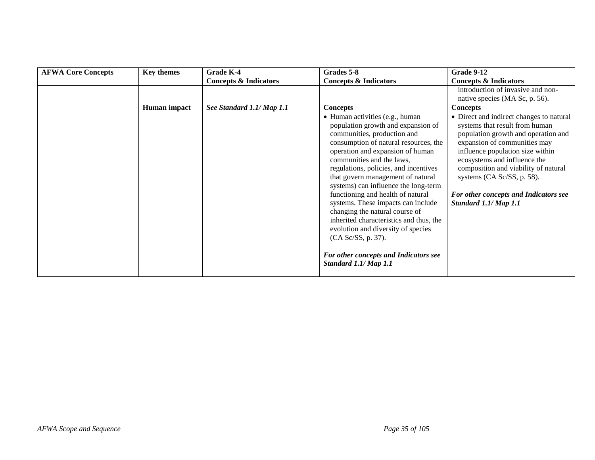| <b>AFWA Core Concepts</b> | <b>Key themes</b> | Grade K-4                        | Grades 5-8                                                                                                                                                                                                                                                                                                                                                                                                                                        | Grade 9-12                                                                                                                                                                                                                                                                                                                                                    |
|---------------------------|-------------------|----------------------------------|---------------------------------------------------------------------------------------------------------------------------------------------------------------------------------------------------------------------------------------------------------------------------------------------------------------------------------------------------------------------------------------------------------------------------------------------------|---------------------------------------------------------------------------------------------------------------------------------------------------------------------------------------------------------------------------------------------------------------------------------------------------------------------------------------------------------------|
|                           |                   | <b>Concepts &amp; Indicators</b> | <b>Concepts &amp; Indicators</b>                                                                                                                                                                                                                                                                                                                                                                                                                  | <b>Concepts &amp; Indicators</b>                                                                                                                                                                                                                                                                                                                              |
|                           |                   |                                  |                                                                                                                                                                                                                                                                                                                                                                                                                                                   | introduction of invasive and non-                                                                                                                                                                                                                                                                                                                             |
|                           |                   |                                  |                                                                                                                                                                                                                                                                                                                                                                                                                                                   | native species (MA Sc, p. 56).                                                                                                                                                                                                                                                                                                                                |
|                           | Human impact      | See Standard 1.1/ Map 1.1        | <b>Concepts</b>                                                                                                                                                                                                                                                                                                                                                                                                                                   | <b>Concepts</b>                                                                                                                                                                                                                                                                                                                                               |
|                           |                   |                                  | • Human activities (e.g., human<br>population growth and expansion of<br>communities, production and<br>consumption of natural resources, the<br>operation and expansion of human<br>communities and the laws,<br>regulations, policies, and incentives<br>that govern management of natural<br>systems) can influence the long-term<br>functioning and health of natural<br>systems. These impacts can include<br>changing the natural course of | • Direct and indirect changes to natural<br>systems that result from human<br>population growth and operation and<br>expansion of communities may<br>influence population size within<br>ecosystems and influence the<br>composition and viability of natural<br>systems (CA Sc/SS, p. 58).<br>For other concepts and Indicators see<br>Standard 1.1/ Map 1.1 |
|                           |                   |                                  | inherited characteristics and thus, the<br>evolution and diversity of species<br>(CA Sc/SS, p. 37).                                                                                                                                                                                                                                                                                                                                               |                                                                                                                                                                                                                                                                                                                                                               |
|                           |                   |                                  | For other concepts and Indicators see<br>Standard 1.1/ Map 1.1                                                                                                                                                                                                                                                                                                                                                                                    |                                                                                                                                                                                                                                                                                                                                                               |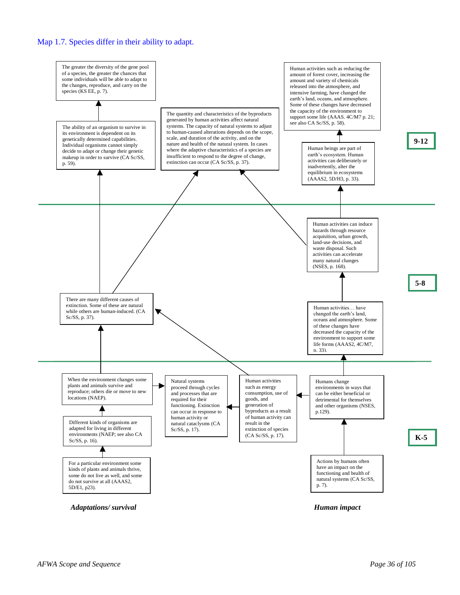

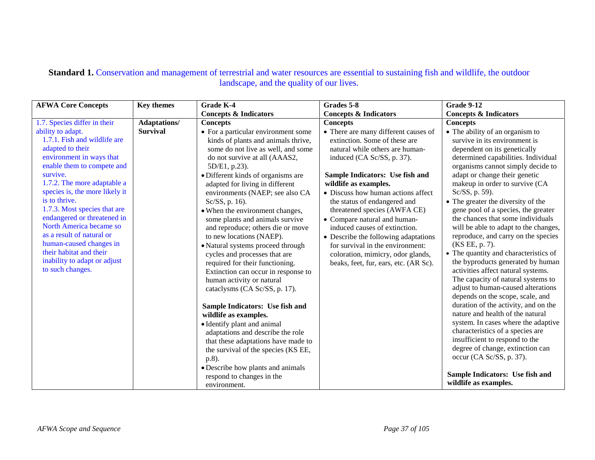#### **Standard 1.** Conservation and management of terrestrial and water resources are essential to sustaining fish and wildlife, the outdoor landscape, and the quality of our lives.

| <b>AFWA Core Concepts</b>                                                                                                                                                                                                                                                                                                                                                                                                                                      | <b>Key themes</b>   | Grade K-4<br>Grades 5-8                                                                                                                                                                                                                                                                                                                                                                                                                                                                                                                                                                                                                                                                                                                                                                                                                                                                                                                                           |                                                                                                                                                                                                                                                                                                                                                                                                                                                                                                                                     | <b>Grade 9-12</b>                                                                                                                                                                                                                                                                                                                                                                                                                                                                                                                                                                                                                                                                                                                                                                                                                                                                                                                                                                                                                              |
|----------------------------------------------------------------------------------------------------------------------------------------------------------------------------------------------------------------------------------------------------------------------------------------------------------------------------------------------------------------------------------------------------------------------------------------------------------------|---------------------|-------------------------------------------------------------------------------------------------------------------------------------------------------------------------------------------------------------------------------------------------------------------------------------------------------------------------------------------------------------------------------------------------------------------------------------------------------------------------------------------------------------------------------------------------------------------------------------------------------------------------------------------------------------------------------------------------------------------------------------------------------------------------------------------------------------------------------------------------------------------------------------------------------------------------------------------------------------------|-------------------------------------------------------------------------------------------------------------------------------------------------------------------------------------------------------------------------------------------------------------------------------------------------------------------------------------------------------------------------------------------------------------------------------------------------------------------------------------------------------------------------------------|------------------------------------------------------------------------------------------------------------------------------------------------------------------------------------------------------------------------------------------------------------------------------------------------------------------------------------------------------------------------------------------------------------------------------------------------------------------------------------------------------------------------------------------------------------------------------------------------------------------------------------------------------------------------------------------------------------------------------------------------------------------------------------------------------------------------------------------------------------------------------------------------------------------------------------------------------------------------------------------------------------------------------------------------|
|                                                                                                                                                                                                                                                                                                                                                                                                                                                                |                     | <b>Concepts &amp; Indicators</b>                                                                                                                                                                                                                                                                                                                                                                                                                                                                                                                                                                                                                                                                                                                                                                                                                                                                                                                                  | <b>Concepts &amp; Indicators</b>                                                                                                                                                                                                                                                                                                                                                                                                                                                                                                    | <b>Concepts &amp; Indicators</b>                                                                                                                                                                                                                                                                                                                                                                                                                                                                                                                                                                                                                                                                                                                                                                                                                                                                                                                                                                                                               |
| 1.7. Species differ in their                                                                                                                                                                                                                                                                                                                                                                                                                                   | <b>Adaptations/</b> | <b>Concepts</b>                                                                                                                                                                                                                                                                                                                                                                                                                                                                                                                                                                                                                                                                                                                                                                                                                                                                                                                                                   | <b>Concepts</b>                                                                                                                                                                                                                                                                                                                                                                                                                                                                                                                     | <b>Concepts</b>                                                                                                                                                                                                                                                                                                                                                                                                                                                                                                                                                                                                                                                                                                                                                                                                                                                                                                                                                                                                                                |
| ability to adapt.<br>1.7.1. Fish and wildlife are<br>adapted to their<br>environment in ways that<br>enable them to compete and<br>survive.<br>1.7.2. The more adaptable a<br>species is, the more likely it<br>is to thrive.<br>1.7.3. Most species that are<br>endangered or threatened in<br>North America became so<br>as a result of natural or<br>human-caused changes in<br>their habitat and their<br>inability to adapt or adjust<br>to such changes. | <b>Survival</b>     | • For a particular environment some<br>kinds of plants and animals thrive,<br>some do not live as well, and some<br>do not survive at all (AAAS2,<br>5D/E1, p.23).<br>· Different kinds of organisms are<br>adapted for living in different<br>environments (NAEP; see also CA<br>Sc/SS, p. 16).<br>• When the environment changes,<br>some plants and animals survive<br>and reproduce; others die or move<br>to new locations (NAEP).<br>• Natural systems proceed through<br>cycles and processes that are<br>required for their functioning.<br>Extinction can occur in response to<br>human activity or natural<br>cataclysms (CA Sc/SS, p. 17).<br>Sample Indicators: Use fish and<br>wildlife as examples.<br>• Identify plant and animal<br>adaptations and describe the role<br>that these adaptations have made to<br>the survival of the species (KS EE,<br>$p.8$ ).<br>• Describe how plants and animals<br>respond to changes in the<br>environment. | • There are many different causes of<br>extinction. Some of these are<br>natural while others are human-<br>induced (CA Sc/SS, p. 37).<br>Sample Indicators: Use fish and<br>wildlife as examples.<br>• Discuss how human actions affect<br>the status of endangered and<br>threatened species (AWFA CE)<br>• Compare natural and human-<br>induced causes of extinction.<br>• Describe the following adaptations<br>for survival in the environment:<br>coloration, mimicry, odor glands,<br>beaks, feet, fur, ears, etc. (AR Sc). | • The ability of an organism to<br>survive in its environment is<br>dependent on its genetically<br>determined capabilities. Individual<br>organisms cannot simply decide to<br>adapt or change their genetic<br>makeup in order to survive (CA<br>Sc/SS, p. 59).<br>• The greater the diversity of the<br>gene pool of a species, the greater<br>the chances that some individuals<br>will be able to adapt to the changes,<br>reproduce, and carry on the species<br>(KS EE, p. 7).<br>• The quantity and characteristics of<br>the byproducts generated by human<br>activities affect natural systems.<br>The capacity of natural systems to<br>adjust to human-caused alterations<br>depends on the scope, scale, and<br>duration of the activity, and on the<br>nature and health of the natural<br>system. In cases where the adaptive<br>characteristics of a species are<br>insufficient to respond to the<br>degree of change, extinction can<br>occur (CA Sc/SS, p. 37).<br>Sample Indicators: Use fish and<br>wildlife as examples. |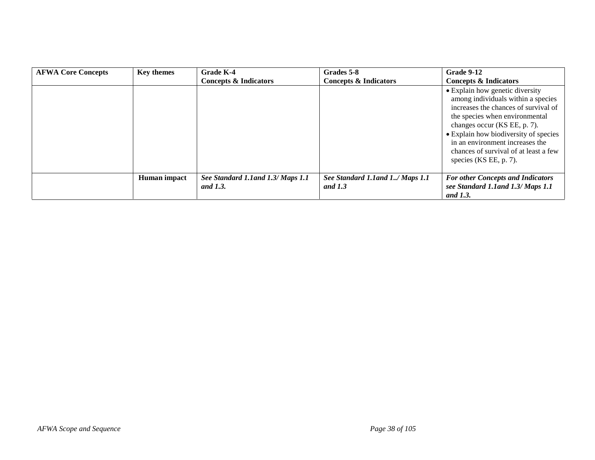| <b>AFWA Core Concepts</b> | <b>Key themes</b> | <b>Grade K-4</b>                   | Grades 5-8                       | Grade 9-12                                                                                                                                                                                                                                                                                                                       |
|---------------------------|-------------------|------------------------------------|----------------------------------|----------------------------------------------------------------------------------------------------------------------------------------------------------------------------------------------------------------------------------------------------------------------------------------------------------------------------------|
|                           |                   | <b>Concepts &amp; Indicators</b>   | <b>Concepts &amp; Indicators</b> | <b>Concepts &amp; Indicators</b>                                                                                                                                                                                                                                                                                                 |
|                           |                   |                                    |                                  | • Explain how genetic diversity<br>among individuals within a species<br>increases the chances of survival of<br>the species when environmental<br>changes occur (KS EE, p. 7).<br>• Explain how biodiversity of species<br>in an environment increases the<br>chances of survival of at least a few<br>species $(KSEE, p. 7)$ . |
|                           | Human impact      | See Standard 1.1 and 1.3/ Maps 1.1 | See Standard 1.1 and 1/ Maps 1.1 | <b>For other Concepts and Indicators</b>                                                                                                                                                                                                                                                                                         |
|                           |                   | and 1.3.                           | and $1.3$                        | see Standard 1.1 and 1.3/ Maps 1.1<br>and 1.3.                                                                                                                                                                                                                                                                                   |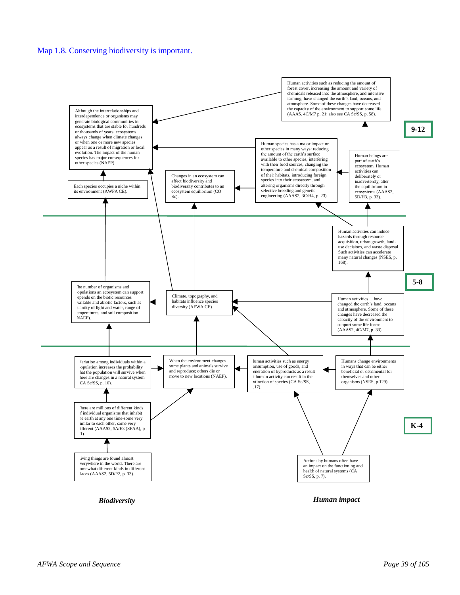#### Map 1.8. Conserving biodiversity is important.

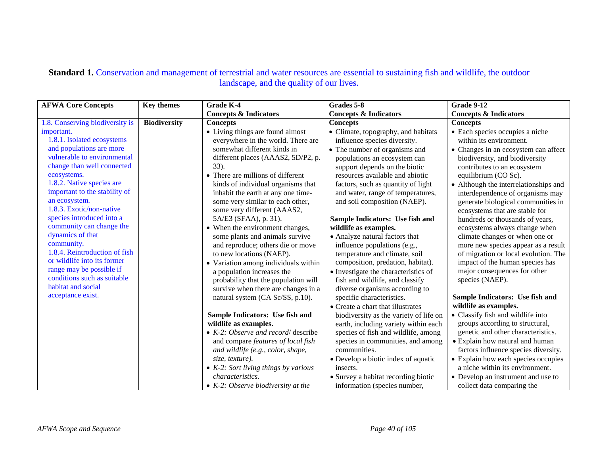#### Standard 1. Conservation and management of terrestrial and water resources are essential to sustaining fish and wildlife, the outdoor landscape, and the quality of our lives.

| <b>AFWA Core Concepts</b>                             | <b>Key themes</b>   | <b>Grade K-4</b>                                              | Grades 5-8                                                    | <b>Grade 9-12</b>                                                           |
|-------------------------------------------------------|---------------------|---------------------------------------------------------------|---------------------------------------------------------------|-----------------------------------------------------------------------------|
|                                                       |                     | <b>Concepts &amp; Indicators</b>                              | <b>Concepts &amp; Indicators</b>                              | <b>Concepts &amp; Indicators</b>                                            |
| 1.8. Conserving biodiversity is                       | <b>Biodiversity</b> | <b>Concepts</b>                                               | <b>Concepts</b>                                               | <b>Concepts</b>                                                             |
| important.                                            |                     | • Living things are found almost                              | • Climate, topography, and habitats                           | • Each species occupies a niche                                             |
| 1.8.1. Isolated ecosystems                            |                     | everywhere in the world. There are                            | influence species diversity.                                  | within its environment.                                                     |
| and populations are more                              |                     | somewhat different kinds in                                   | • The number of organisms and                                 | • Changes in an ecosystem can affect                                        |
| vulnerable to environmental                           |                     | different places (AAAS2, 5D/P2, p.                            | populations an ecosystem can                                  | biodiversity, and biodiversity                                              |
| change than well connected                            |                     | 33).                                                          | support depends on the biotic                                 | contributes to an ecosystem                                                 |
| ecosystems.                                           |                     | • There are millions of different                             | resources available and abiotic                               | equilibrium (CO Sc).                                                        |
| 1.8.2. Native species are                             |                     | kinds of individual organisms that                            | factors, such as quantity of light                            | • Although the interrelationships and                                       |
| important to the stability of                         |                     | inhabit the earth at any one time-                            | and water, range of temperatures,                             | interdependence of organisms may                                            |
| an ecosystem.                                         |                     | some very similar to each other,                              | and soil composition (NAEP).                                  | generate biological communities in                                          |
| 1.8.3. Exotic/non-native<br>species introduced into a |                     | some very different (AAAS2,                                   |                                                               | ecosystems that are stable for                                              |
| community can change the                              |                     | 5A/E3 (SFAA), p. 31).                                         | Sample Indicators: Use fish and                               | hundreds or thousands of years,                                             |
| dynamics of that                                      |                     | • When the environment changes,                               | wildlife as examples.                                         | ecosystems always change when                                               |
| community.                                            |                     | some plants and animals survive                               | • Analyze natural factors that                                | climate changes or when one or                                              |
| 1.8.4. Reintroduction of fish                         |                     | and reproduce; others die or move<br>to new locations (NAEP). | influence populations (e.g.,<br>temperature and climate, soil | more new species appear as a result<br>of migration or local evolution. The |
| or wildlife into its former                           |                     | • Variation among individuals within                          | composition, predation, habitat).                             | impact of the human species has                                             |
| range may be possible if                              |                     | a population increases the                                    | • Investigate the characteristics of                          | major consequences for other                                                |
| conditions such as suitable                           |                     | probability that the population will                          | fish and wildlife, and classify                               | species (NAEP).                                                             |
| habitat and social                                    |                     | survive when there are changes in a                           | diverse organisms according to                                |                                                                             |
| acceptance exist.                                     |                     | natural system (CA Sc/SS, p.10).                              | specific characteristics.                                     | Sample Indicators: Use fish and                                             |
|                                                       |                     |                                                               | • Create a chart that illustrates                             | wildlife as examples.                                                       |
|                                                       |                     | Sample Indicators: Use fish and                               | biodiversity as the variety of life on                        | • Classify fish and wildlife into                                           |
|                                                       |                     | wildlife as examples.                                         | earth, including variety within each                          | groups according to structural,                                             |
|                                                       |                     | $\bullet$ K-2: Observe and record/ describe                   | species of fish and wildlife, among                           | genetic and other characteristics.                                          |
|                                                       |                     | and compare features of local fish                            | species in communities, and among                             | • Explain how natural and human                                             |
|                                                       |                     | and wildlife (e.g., color, shape,                             | communities.                                                  | factors influence species diversity.                                        |
|                                                       |                     | size, texture).                                               | • Develop a biotic index of aquatic                           | • Explain how each species occupies                                         |
|                                                       |                     | • $K-2$ : Sort living things by various                       | insects.                                                      | a niche within its environment.                                             |
|                                                       |                     | characteristics.                                              | · Survey a habitat recording biotic                           | • Develop an instrument and use to                                          |
|                                                       |                     | $\bullet$ K-2: Observe biodiversity at the                    | information (species number,                                  | collect data comparing the                                                  |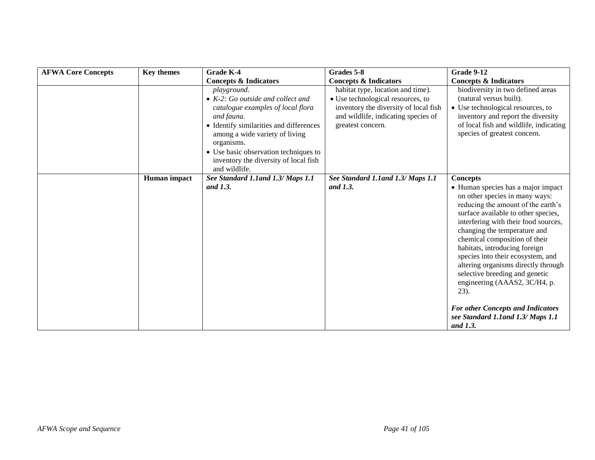| <b>AFWA Core Concepts</b> | <b>Key themes</b> | Grade K-4                                                                                                                                                                                                                                                                                                 | Grades 5-8                                                                                                                                                                  | Grade 9-12                                                                                                                                                                                                                                                                                                                                                                                                                                                                                                                           |
|---------------------------|-------------------|-----------------------------------------------------------------------------------------------------------------------------------------------------------------------------------------------------------------------------------------------------------------------------------------------------------|-----------------------------------------------------------------------------------------------------------------------------------------------------------------------------|--------------------------------------------------------------------------------------------------------------------------------------------------------------------------------------------------------------------------------------------------------------------------------------------------------------------------------------------------------------------------------------------------------------------------------------------------------------------------------------------------------------------------------------|
|                           |                   | <b>Concepts &amp; Indicators</b>                                                                                                                                                                                                                                                                          | <b>Concepts &amp; Indicators</b>                                                                                                                                            | <b>Concepts &amp; Indicators</b>                                                                                                                                                                                                                                                                                                                                                                                                                                                                                                     |
|                           |                   | playground.<br>$\bullet$ K-2: Go outside and collect and<br>catalogue examples of local flora<br>and fauna.<br>• Identify similarities and differences<br>among a wide variety of living<br>organisms.<br>• Use basic observation techniques to<br>inventory the diversity of local fish<br>and wildlife. | habitat type, location and time).<br>• Use technological resources, to<br>inventory the diversity of local fish<br>and wildlife, indicating species of<br>greatest concern. | biodiversity in two defined areas<br>(natural versus built).<br>• Use technological resources, to<br>inventory and report the diversity<br>of local fish and wildlife, indicating<br>species of greatest concern.                                                                                                                                                                                                                                                                                                                    |
|                           | Human impact      | See Standard 1.1 and 1.3/ Maps 1.1                                                                                                                                                                                                                                                                        | See Standard 1.1 and 1.3/ Maps 1.1                                                                                                                                          | <b>Concepts</b>                                                                                                                                                                                                                                                                                                                                                                                                                                                                                                                      |
|                           |                   | and 1.3.                                                                                                                                                                                                                                                                                                  | and 1.3.                                                                                                                                                                    | • Human species has a major impact<br>on other species in many ways:<br>reducing the amount of the earth's<br>surface available to other species,<br>interfering with their food sources,<br>changing the temperature and<br>chemical composition of their<br>habitats, introducing foreign<br>species into their ecosystem, and<br>altering organisms directly through<br>selective breeding and genetic<br>engineering (AAAS2, 3C/H4, p.<br>23).<br><b>For other Concepts and Indicators</b><br>see Standard 1.1 and 1.3/ Maps 1.1 |
|                           |                   |                                                                                                                                                                                                                                                                                                           |                                                                                                                                                                             | and 1.3.                                                                                                                                                                                                                                                                                                                                                                                                                                                                                                                             |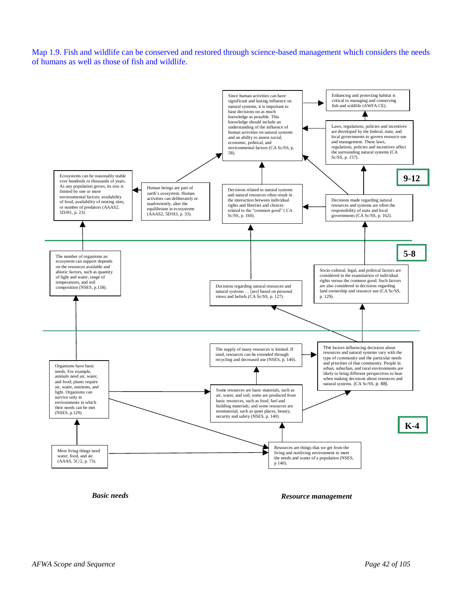Map 1.9. Fish and wildlife can be conserved and restored through science-based management which considers the needs of humans as well as those of fish and wildlife.



*Basic needs*

*Resource management*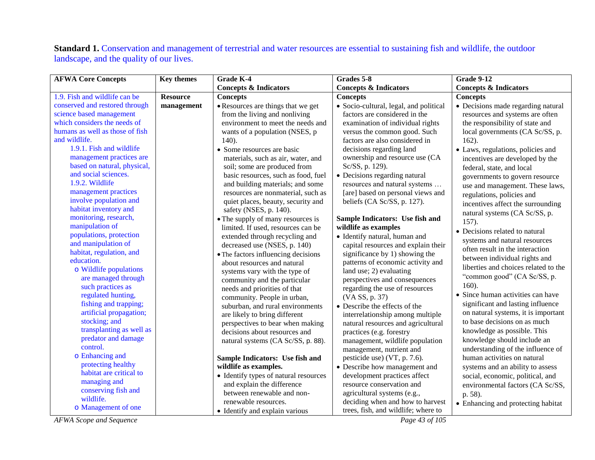**Standard 1.** Conservation and management of terrestrial and water resources are essential to sustaining fish and wildlife, the outdoor landscape, and the quality of our lives.

| <b>AFWA Core Concepts</b>                        | <b>Key themes</b> | Grade K-4                                                | Grades 5-8                                                | <b>Grade 9-12</b>                    |
|--------------------------------------------------|-------------------|----------------------------------------------------------|-----------------------------------------------------------|--------------------------------------|
|                                                  |                   | <b>Concepts &amp; Indicators</b>                         | <b>Concepts &amp; Indicators</b>                          | <b>Concepts &amp; Indicators</b>     |
| 1.9. Fish and wildlife can be                    | <b>Resource</b>   | <b>Concepts</b>                                          | <b>Concepts</b>                                           | <b>Concepts</b>                      |
| conserved and restored through                   | management        | • Resources are things that we get                       | · Socio-cultural, legal, and political                    | · Decisions made regarding natural   |
| science based management                         |                   | from the living and nonliving                            | factors are considered in the                             | resources and systems are often      |
| which considers the needs of                     |                   | environment to meet the needs and                        | examination of individual rights                          | the responsibility of state and      |
| humans as well as those of fish                  |                   | wants of a population (NSES, p                           | versus the common good. Such                              | local governments (CA Sc/SS, p.      |
| and wildlife.                                    |                   | 140).                                                    | factors are also considered in                            | $162$ ).                             |
| 1.9.1. Fish and wildlife                         |                   | • Some resources are basic                               | decisions regarding land                                  | • Laws, regulations, policies and    |
| management practices are                         |                   | materials, such as air, water, and                       | ownership and resource use (CA                            | incentives are developed by the      |
| based on natural, physical,                      |                   | soil; some are produced from                             | Sc/SS, p. 129).                                           | federal, state, and local            |
| and social sciences.                             |                   | basic resources, such as food, fuel                      | • Decisions regarding natural                             | governments to govern resource       |
| 1.9.2. Wildlife                                  |                   | and building materials; and some                         | resources and natural systems                             | use and management. These laws,      |
| management practices                             |                   | resources are nonmaterial, such as                       | [are] based on personal views and                         | regulations, policies and            |
| involve population and                           |                   | quiet places, beauty, security and                       | beliefs (CA Sc/SS, p. 127).                               | incentives affect the surrounding    |
| habitat inventory and                            |                   | safety (NSES, p. 140).                                   |                                                           | natural systems (CA Sc/SS, p.        |
| monitoring, research,                            |                   | • The supply of many resources is                        | Sample Indicators: Use fish and                           | $157$ ).                             |
| manipulation of                                  |                   | limited. If used, resources can be                       | wildlife as examples                                      | • Decisions related to natural       |
| populations, protection                          |                   | extended through recycling and                           | • Identify natural, human and                             | systems and natural resources        |
| and manipulation of                              |                   | decreased use (NSES, p. 140)                             | capital resources and explain their                       | often result in the interaction      |
| habitat, regulation, and                         |                   | • The factors influencing decisions                      | significance by 1) showing the                            | between individual rights and        |
| education.                                       |                   | about resources and natural                              | patterns of economic activity and                         | liberties and choices related to the |
| o Wildlife populations                           |                   | systems vary with the type of                            | land use; 2) evaluating                                   | "common good" (CA Sc/SS, p.          |
| are managed through                              |                   | community and the particular                             | perspectives and consequences                             | 160).                                |
| such practices as                                |                   | needs and priorities of that                             | regarding the use of resources                            | • Since human activities can have    |
| regulated hunting,                               |                   | community. People in urban,                              | (VA SS, p. 37)                                            | significant and lasting influence    |
| fishing and trapping;<br>artificial propagation; |                   | suburban, and rural environments                         | • Describe the effects of the                             | on natural systems, it is important  |
| stocking; and                                    |                   | are likely to bring different                            | interrelationship among multiple                          | to base decisions on as much         |
| transplanting as well as                         |                   | perspectives to bear when making                         | natural resources and agricultural                        | knowledge as possible. This          |
| predator and damage                              |                   | decisions about resources and                            | practices (e.g. forestry                                  |                                      |
| control.                                         |                   | natural systems (CA Sc/SS, p. 88).                       | management, wildlife population                           | knowledge should include an          |
| o Enhancing and                                  |                   |                                                          | management, nutrient and                                  | understanding of the influence of    |
| protecting healthy                               |                   | Sample Indicators: Use fish and                          | pesticide use) (VT, p. 7.6).                              | human activities on natural          |
| habitat are critical to                          |                   | wildlife as examples.                                    | • Describe how management and                             | systems and an ability to assess     |
| managing and                                     |                   | • Identify types of natural resources                    | development practices affect<br>resource conservation and | social, economic, political, and     |
| conserving fish and                              |                   | and explain the difference<br>between renewable and non- |                                                           | environmental factors (CA Sc/SS,     |
| wildlife.                                        |                   | renewable resources.                                     | agricultural systems (e.g.,                               | p. 58).                              |
| o Management of one                              |                   |                                                          | deciding when and how to harvest                          | • Enhancing and protecting habitat   |
|                                                  |                   | • Identify and explain various                           | trees, fish, and wildlife; where to                       |                                      |

*AFWA Scope and Sequence Page 43 of 105*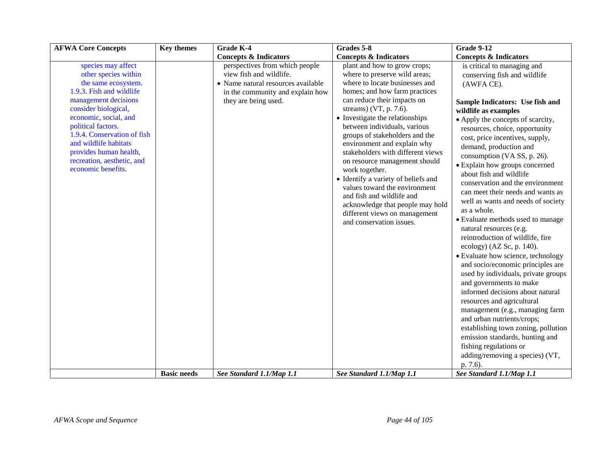| <b>AFWA Core Concepts</b>                                                                                                                                                                                                                                                                                                          | <b>Key themes</b>  | <b>Grade K-4</b>                                                                                                                                            | Grades 5-8                                                                                                                                                                                                                                                                                                                                                                                                                                                                                                                                                                                                                     | <b>Grade 9-12</b>                                                                                                                                                                                                                                                                                                                                                                                                                                                                                                                                                                                                                                                                                                                                                                                                                                                                                                                                                                                                                                                      |
|------------------------------------------------------------------------------------------------------------------------------------------------------------------------------------------------------------------------------------------------------------------------------------------------------------------------------------|--------------------|-------------------------------------------------------------------------------------------------------------------------------------------------------------|--------------------------------------------------------------------------------------------------------------------------------------------------------------------------------------------------------------------------------------------------------------------------------------------------------------------------------------------------------------------------------------------------------------------------------------------------------------------------------------------------------------------------------------------------------------------------------------------------------------------------------|------------------------------------------------------------------------------------------------------------------------------------------------------------------------------------------------------------------------------------------------------------------------------------------------------------------------------------------------------------------------------------------------------------------------------------------------------------------------------------------------------------------------------------------------------------------------------------------------------------------------------------------------------------------------------------------------------------------------------------------------------------------------------------------------------------------------------------------------------------------------------------------------------------------------------------------------------------------------------------------------------------------------------------------------------------------------|
|                                                                                                                                                                                                                                                                                                                                    |                    | <b>Concepts &amp; Indicators</b>                                                                                                                            | <b>Concepts &amp; Indicators</b>                                                                                                                                                                                                                                                                                                                                                                                                                                                                                                                                                                                               | <b>Concepts &amp; Indicators</b>                                                                                                                                                                                                                                                                                                                                                                                                                                                                                                                                                                                                                                                                                                                                                                                                                                                                                                                                                                                                                                       |
| species may affect<br>other species within<br>the same ecosystem.<br>1.9.3. Fish and wildlife<br>management decisions<br>consider biological,<br>economic, social, and<br>political factors.<br>1.9.4. Conservation of fish<br>and wildlife habitats<br>provides human health,<br>recreation, aesthetic, and<br>economic benefits. | <b>Basic needs</b> | perspectives from which people<br>view fish and wildlife.<br>• Name natural resources available<br>in the community and explain how<br>they are being used. | plant and how to grow crops;<br>where to preserve wild areas;<br>where to locate businesses and<br>homes; and how farm practices<br>can reduce their impacts on<br>streams) (VT, p. $7.6$ ).<br>• Investigate the relationships<br>between individuals, various<br>groups of stakeholders and the<br>environment and explain why<br>stakeholders with different views<br>on resource management should<br>work together.<br>• Identify a variety of beliefs and<br>values toward the environment<br>and fish and wildlife and<br>acknowledge that people may hold<br>different views on management<br>and conservation issues. | is critical to managing and<br>conserving fish and wildlife<br>(AWFA CE).<br>Sample Indicators: Use fish and<br>wildlife as examples<br>• Apply the concepts of scarcity,<br>resources, choice, opportunity<br>cost, price incentives, supply,<br>demand, production and<br>consumption (VA SS, p. 26).<br>• Explain how groups concerned<br>about fish and wildlife<br>conservation and the environment<br>can meet their needs and wants as<br>well as wants and needs of society<br>as a whole.<br>• Evaluate methods used to manage<br>natural resources (e.g.<br>reintroduction of wildlife, fire<br>ecology) (AZ Sc, p. 140).<br>• Evaluate how science, technology<br>and socio/economic principles are<br>used by individuals, private groups<br>and governments to make<br>informed decisions about natural<br>resources and agricultural<br>management (e.g., managing farm<br>and urban nutrients/crops;<br>establishing town zoning, pollution<br>emission standards, hunting and<br>fishing regulations or<br>adding/removing a species) (VT,<br>p. 7.6). |
|                                                                                                                                                                                                                                                                                                                                    |                    | See Standard 1.1/Map 1.1                                                                                                                                    | See Standard 1.1/Map 1.1                                                                                                                                                                                                                                                                                                                                                                                                                                                                                                                                                                                                       | See Standard 1.1/Map 1.1                                                                                                                                                                                                                                                                                                                                                                                                                                                                                                                                                                                                                                                                                                                                                                                                                                                                                                                                                                                                                                               |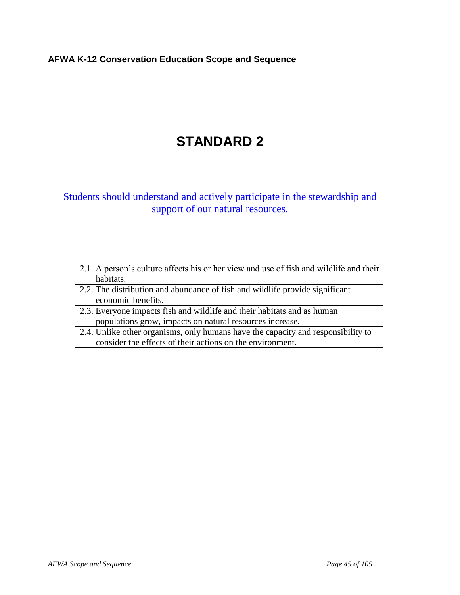## **AFWA K-12 Conservation Education Scope and Sequence**

# **STANDARD 2**

# Students should understand and actively participate in the stewardship and support of our natural resources.

| 2.1. A person's culture affects his or her view and use of fish and wildlife and their |
|----------------------------------------------------------------------------------------|
| habitats.                                                                              |
| 2.2. The distribution and abundance of fish and wildlife provide significant           |
| economic benefits.                                                                     |
| 2.3. Everyone impacts fish and wildlife and their habitats and as human                |
| populations grow, impacts on natural resources increase.                               |
| 2.4. Unlike other organisms, only humans have the capacity and responsibility to       |
| consider the effects of their actions on the environment.                              |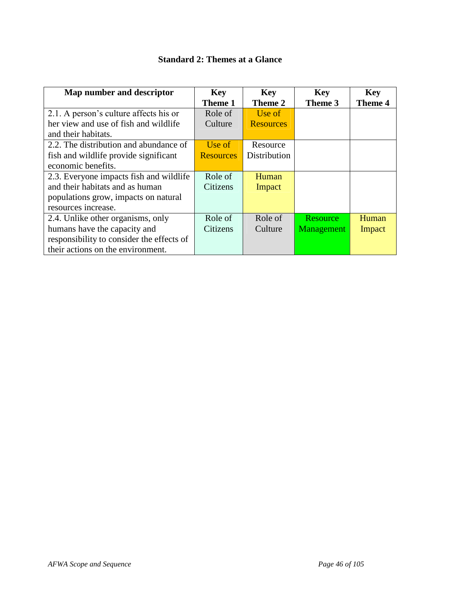| Map number and descriptor                 | <b>Key</b>       | <b>Key</b>       | <b>Key</b> | <b>Key</b>     |
|-------------------------------------------|------------------|------------------|------------|----------------|
|                                           | Theme 1          | Theme 2          | Theme 3    | <b>Theme 4</b> |
| 2.1. A person's culture affects his or    | Role of          | Use of           |            |                |
| her view and use of fish and wildlife     | Culture          | <b>Resources</b> |            |                |
| and their habitats.                       |                  |                  |            |                |
| 2.2. The distribution and abundance of    | Use of           | Resource         |            |                |
| fish and wildlife provide significant     | <b>Resources</b> | Distribution     |            |                |
| economic benefits.                        |                  |                  |            |                |
| 2.3. Everyone impacts fish and wildlife   | Role of          | Human            |            |                |
| and their habitats and as human           | Citizens         | Impact           |            |                |
| populations grow, impacts on natural      |                  |                  |            |                |
| resources increase.                       |                  |                  |            |                |
| 2.4. Unlike other organisms, only         | Role of          | Role of          | Resource   | Human          |
| humans have the capacity and              | Citizens         | Culture          | Management | Impact         |
| responsibility to consider the effects of |                  |                  |            |                |
| their actions on the environment.         |                  |                  |            |                |

## **Standard 2: Themes at a Glance**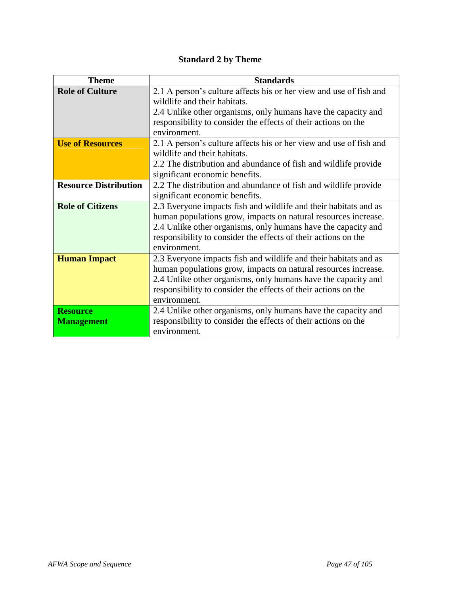# **Standard 2 by Theme**

| <b>Theme</b>                 | <b>Standards</b>                                                   |
|------------------------------|--------------------------------------------------------------------|
| <b>Role of Culture</b>       | 2.1 A person's culture affects his or her view and use of fish and |
|                              | wildlife and their habitats.                                       |
|                              | 2.4 Unlike other organisms, only humans have the capacity and      |
|                              | responsibility to consider the effects of their actions on the     |
|                              | environment.                                                       |
| <b>Use of Resources</b>      | 2.1 A person's culture affects his or her view and use of fish and |
|                              | wildlife and their habitats.                                       |
|                              | 2.2 The distribution and abundance of fish and wildlife provide    |
|                              | significant economic benefits.                                     |
| <b>Resource Distribution</b> | 2.2 The distribution and abundance of fish and wildlife provide    |
|                              | significant economic benefits.                                     |
| <b>Role of Citizens</b>      | 2.3 Everyone impacts fish and wildlife and their habitats and as   |
|                              | human populations grow, impacts on natural resources increase.     |
|                              | 2.4 Unlike other organisms, only humans have the capacity and      |
|                              | responsibility to consider the effects of their actions on the     |
|                              | environment.                                                       |
| <b>Human Impact</b>          | 2.3 Everyone impacts fish and wildlife and their habitats and as   |
|                              | human populations grow, impacts on natural resources increase.     |
|                              | 2.4 Unlike other organisms, only humans have the capacity and      |
|                              | responsibility to consider the effects of their actions on the     |
|                              | environment.                                                       |
| <b>Resource</b>              | 2.4 Unlike other organisms, only humans have the capacity and      |
| <b>Management</b>            | responsibility to consider the effects of their actions on the     |
|                              | environment.                                                       |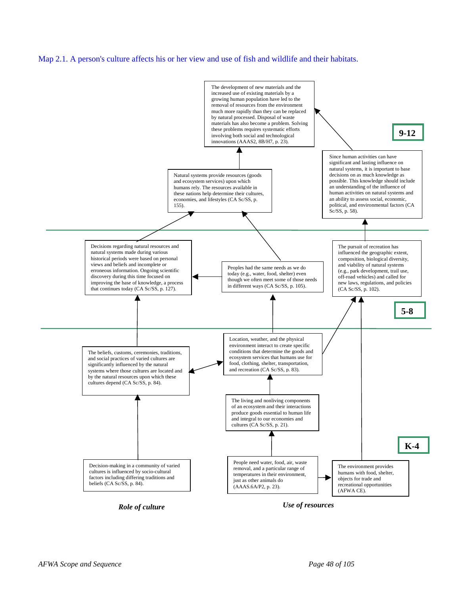#### Map 2.1. A person's culture affects his or her view and use of fish and wildlife and their habitats.

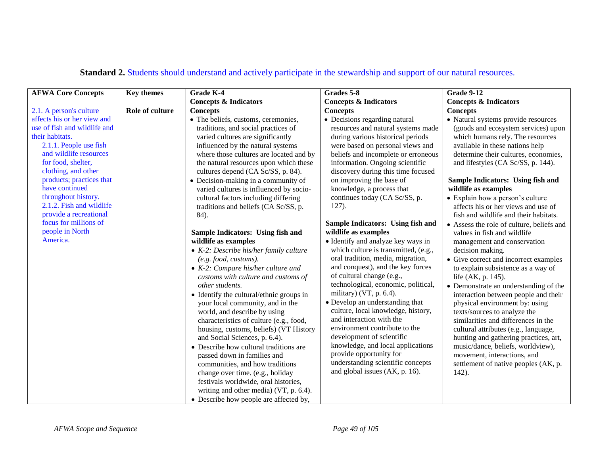| <b>AFWA Core Concepts</b><br><b>Key themes</b><br>2.1. A person's culture                                                                                                                                                                                                                                                                                          |                        |                                                                                                                                                                                                                                                                                                                                                                                                                                                                                                                                                                                                                                                                    | Grades 5-8                                                                                                                                                                                                                                                                                                                                                                                                                                                                                                                                                                                                 | <b>Grade 9-12</b>                                                                                                                                                                                                                                                                                                                                                                                                                                                                                                                                                                                                                                 |
|--------------------------------------------------------------------------------------------------------------------------------------------------------------------------------------------------------------------------------------------------------------------------------------------------------------------------------------------------------------------|------------------------|--------------------------------------------------------------------------------------------------------------------------------------------------------------------------------------------------------------------------------------------------------------------------------------------------------------------------------------------------------------------------------------------------------------------------------------------------------------------------------------------------------------------------------------------------------------------------------------------------------------------------------------------------------------------|------------------------------------------------------------------------------------------------------------------------------------------------------------------------------------------------------------------------------------------------------------------------------------------------------------------------------------------------------------------------------------------------------------------------------------------------------------------------------------------------------------------------------------------------------------------------------------------------------------|---------------------------------------------------------------------------------------------------------------------------------------------------------------------------------------------------------------------------------------------------------------------------------------------------------------------------------------------------------------------------------------------------------------------------------------------------------------------------------------------------------------------------------------------------------------------------------------------------------------------------------------------------|
|                                                                                                                                                                                                                                                                                                                                                                    |                        | <b>Concepts &amp; Indicators</b>                                                                                                                                                                                                                                                                                                                                                                                                                                                                                                                                                                                                                                   | <b>Concepts &amp; Indicators</b>                                                                                                                                                                                                                                                                                                                                                                                                                                                                                                                                                                           | <b>Concepts &amp; Indicators</b>                                                                                                                                                                                                                                                                                                                                                                                                                                                                                                                                                                                                                  |
| affects his or her view and<br>use of fish and wildlife and<br>their habitats.<br>2.1.1. People use fish<br>and wildlife resources<br>for food, shelter,<br>clothing, and other<br>products; practices that<br>have continued<br>throughout history.<br>2.1.2. Fish and wildlife<br>provide a recreational<br>focus for millions of<br>people in North<br>America. | <b>Role of culture</b> | <b>Concepts</b><br>• The beliefs, customs, ceremonies,<br>traditions, and social practices of<br>varied cultures are significantly<br>influenced by the natural systems<br>where those cultures are located and by<br>the natural resources upon which these<br>cultures depend (CA Sc/SS, p. 84).<br>• Decision-making in a community of<br>varied cultures is influenced by socio-<br>cultural factors including differing<br>traditions and beliefs (CA Sc/SS, p.<br>84).<br>Sample Indicators: Using fish and<br>wildlife as examples<br>$\bullet$ K-2: Describe his/her family culture<br>(e.g. food, customs).<br>$\bullet$ K-2: Compare his/her culture and | <b>Concepts</b><br>• Decisions regarding natural<br>resources and natural systems made<br>during various historical periods<br>were based on personal views and<br>beliefs and incomplete or erroneous<br>information. Ongoing scientific<br>discovery during this time focused<br>on improving the base of<br>knowledge, a process that<br>continues today (CA Sc/SS, p.<br>$127$ ).<br>Sample Indicators: Using fish and<br>wildlife as examples<br>• Identify and analyze key ways in<br>which culture is transmitted, (e.g.,<br>oral tradition, media, migration,<br>and conquest), and the key forces | <b>Concepts</b><br>• Natural systems provide resources<br>(goods and ecosystem services) upon<br>which humans rely. The resources<br>available in these nations help<br>determine their cultures, economies,<br>and lifestyles (CA Sc/SS, p. 144).<br>Sample Indicators: Using fish and<br>wildlife as examples<br>• Explain how a person's culture<br>affects his or her views and use of<br>fish and wildlife and their habitats.<br>• Assess the role of culture, beliefs and<br>values in fish and wildlife<br>management and conservation<br>decision making.<br>• Give correct and incorrect examples<br>to explain subsistence as a way of |
|                                                                                                                                                                                                                                                                                                                                                                    |                        | customs with culture and customs of<br>other students.<br>• Identify the cultural/ethnic groups in<br>your local community, and in the<br>world, and describe by using<br>characteristics of culture (e.g., food,<br>housing, customs, beliefs) (VT History<br>and Social Sciences, p. 6.4).<br>• Describe how cultural traditions are<br>passed down in families and<br>communities, and how traditions<br>change over time. (e.g., holiday<br>festivals worldwide, oral histories,<br>writing and other media) (VT, p. 6.4).<br>• Describe how people are affected by,                                                                                           | of cultural change (e.g.,<br>technological, economic, political,<br>military) (VT, $p. 6.4$ ).<br>• Develop an understanding that<br>culture, local knowledge, history,<br>and interaction with the<br>environment contribute to the<br>development of scientific<br>knowledge, and local applications<br>provide opportunity for<br>understanding scientific concepts<br>and global issues (AK, p. 16).                                                                                                                                                                                                   | life (AK, p. 145).<br>• Demonstrate an understanding of the<br>interaction between people and their<br>physical environment by: using<br>texts/sources to analyze the<br>similarities and differences in the<br>cultural attributes (e.g., language,<br>hunting and gathering practices, art,<br>music/dance, beliefs, worldview),<br>movement, interactions, and<br>settlement of native peoples (AK, p.<br>$142$ ).                                                                                                                                                                                                                             |

# **Standard 2.** Students should understand and actively participate in the stewardship and support of our natural resources.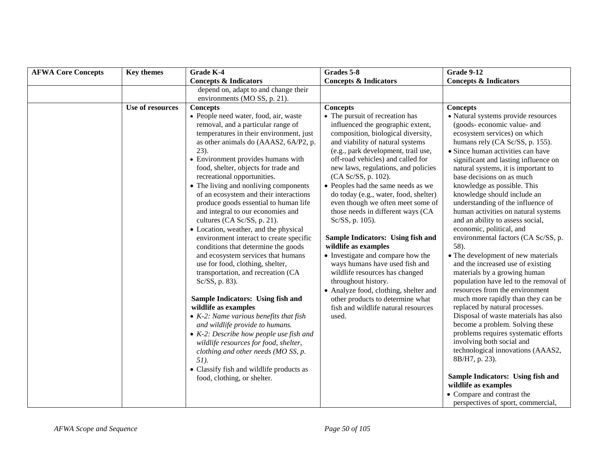| <b>AFWA Core Concepts</b> | <b>Key themes</b> | Grade K-4                                                                                                                                                                                                                                                                                                                                                                                                                                                                                                                                                                                                                                                                                                                                                                                                                                                                                                                                                                                                                                                                                                                                    | Grades 5-8                                                                                                                                                                                                                                                                                                                                                                                                                                                                                                                                                                                                                                                                                                                                                                                                        | <b>Grade 9-12</b>                                                                                                                                                                                                                                                                                                                                                                                                                                                                                                                                                                                                                                                                                                                                                                                                                                                                                                                                                                                                                                                                                                                 |
|---------------------------|-------------------|----------------------------------------------------------------------------------------------------------------------------------------------------------------------------------------------------------------------------------------------------------------------------------------------------------------------------------------------------------------------------------------------------------------------------------------------------------------------------------------------------------------------------------------------------------------------------------------------------------------------------------------------------------------------------------------------------------------------------------------------------------------------------------------------------------------------------------------------------------------------------------------------------------------------------------------------------------------------------------------------------------------------------------------------------------------------------------------------------------------------------------------------|-------------------------------------------------------------------------------------------------------------------------------------------------------------------------------------------------------------------------------------------------------------------------------------------------------------------------------------------------------------------------------------------------------------------------------------------------------------------------------------------------------------------------------------------------------------------------------------------------------------------------------------------------------------------------------------------------------------------------------------------------------------------------------------------------------------------|-----------------------------------------------------------------------------------------------------------------------------------------------------------------------------------------------------------------------------------------------------------------------------------------------------------------------------------------------------------------------------------------------------------------------------------------------------------------------------------------------------------------------------------------------------------------------------------------------------------------------------------------------------------------------------------------------------------------------------------------------------------------------------------------------------------------------------------------------------------------------------------------------------------------------------------------------------------------------------------------------------------------------------------------------------------------------------------------------------------------------------------|
|                           |                   | <b>Concepts &amp; Indicators</b>                                                                                                                                                                                                                                                                                                                                                                                                                                                                                                                                                                                                                                                                                                                                                                                                                                                                                                                                                                                                                                                                                                             | <b>Concepts &amp; Indicators</b>                                                                                                                                                                                                                                                                                                                                                                                                                                                                                                                                                                                                                                                                                                                                                                                  | <b>Concepts &amp; Indicators</b>                                                                                                                                                                                                                                                                                                                                                                                                                                                                                                                                                                                                                                                                                                                                                                                                                                                                                                                                                                                                                                                                                                  |
|                           |                   | depend on, adapt to and change their<br>environments (MO SS, p. 21).                                                                                                                                                                                                                                                                                                                                                                                                                                                                                                                                                                                                                                                                                                                                                                                                                                                                                                                                                                                                                                                                         |                                                                                                                                                                                                                                                                                                                                                                                                                                                                                                                                                                                                                                                                                                                                                                                                                   |                                                                                                                                                                                                                                                                                                                                                                                                                                                                                                                                                                                                                                                                                                                                                                                                                                                                                                                                                                                                                                                                                                                                   |
|                           | Use of resources  | <b>Concepts</b><br>• People need water, food, air, waste<br>removal, and a particular range of<br>temperatures in their environment, just<br>as other animals do (AAAS2, 6A/P2, p.<br>23).<br>• Environment provides humans with<br>food, shelter, objects for trade and<br>recreational opportunities.<br>• The living and nonliving components<br>of an ecosystem and their interactions<br>produce goods essential to human life<br>and integral to our economies and<br>cultures (CA Sc/SS, p. 21).<br>• Location, weather, and the physical<br>environment interact to create specific<br>conditions that determine the goods<br>and ecosystem services that humans<br>use for food, clothing, shelter,<br>transportation, and recreation (CA<br>Sc/SS, p. 83).<br>Sample Indicators: Using fish and<br>wildlife as examples<br>$\bullet$ K-2: Name various benefits that fish<br>and wildlife provide to humans.<br>$\bullet$ K-2: Describe how people use fish and<br>wildlife resources for food, shelter,<br>clothing and other needs (MO SS, p.<br>51).<br>• Classify fish and wildlife products as<br>food, clothing, or shelter. | <b>Concepts</b><br>• The pursuit of recreation has<br>influenced the geographic extent,<br>composition, biological diversity,<br>and viability of natural systems<br>(e.g., park development, trail use,<br>off-road vehicles) and called for<br>new laws, regulations, and policies<br>(CA Sc/SS, p. 102).<br>• Peoples had the same needs as we<br>do today (e.g., water, food, shelter)<br>even though we often meet some of<br>those needs in different ways (CA<br>Sc/SS, p. 105).<br>Sample Indicators: Using fish and<br>wildlife as examples<br>• Investigate and compare how the<br>ways humans have used fish and<br>wildlife resources has changed<br>throughout history.<br>• Analyze food, clothing, shelter and<br>other products to determine what<br>fish and wildlife natural resources<br>used. | <b>Concepts</b><br>• Natural systems provide resources<br>(goods-economic value- and<br>ecosystem services) on which<br>humans rely (CA Sc/SS, p. 155).<br>• Since human activities can have<br>significant and lasting influence on<br>natural systems, it is important to<br>base decisions on as much<br>knowledge as possible. This<br>knowledge should include an<br>understanding of the influence of<br>human activities on natural systems<br>and an ability to assess social,<br>economic, political, and<br>environmental factors (CA Sc/SS, p.<br>58).<br>• The development of new materials<br>and the increased use of existing<br>materials by a growing human<br>population have led to the removal of<br>resources from the environment<br>much more rapidly than they can be<br>replaced by natural processes.<br>Disposal of waste materials has also<br>become a problem. Solving these<br>problems requires systematic efforts<br>involving both social and<br>technological innovations (AAAS2,<br>8B/H7, p. 23).<br>Sample Indicators: Using fish and<br>wildlife as examples<br>• Compare and contrast the |
|                           |                   |                                                                                                                                                                                                                                                                                                                                                                                                                                                                                                                                                                                                                                                                                                                                                                                                                                                                                                                                                                                                                                                                                                                                              |                                                                                                                                                                                                                                                                                                                                                                                                                                                                                                                                                                                                                                                                                                                                                                                                                   | perspectives of sport, commercial,                                                                                                                                                                                                                                                                                                                                                                                                                                                                                                                                                                                                                                                                                                                                                                                                                                                                                                                                                                                                                                                                                                |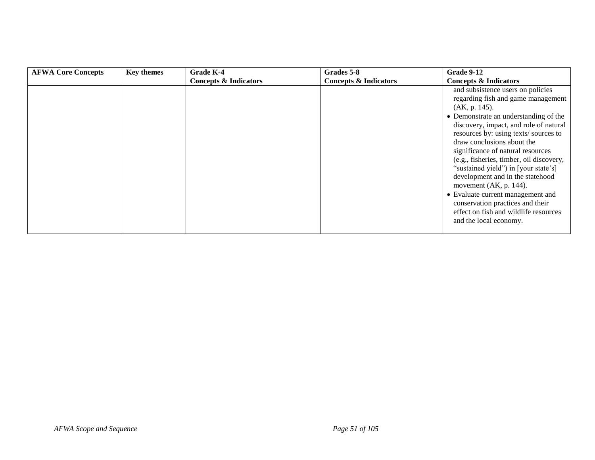| <b>AFWA Core Concepts</b> | <b>Key themes</b> | Grade K-4                        | Grades 5-8                       | Grade 9-12                                                                                                                                                                                                                                                                                                                                                                                                                                                                                                                                                                              |
|---------------------------|-------------------|----------------------------------|----------------------------------|-----------------------------------------------------------------------------------------------------------------------------------------------------------------------------------------------------------------------------------------------------------------------------------------------------------------------------------------------------------------------------------------------------------------------------------------------------------------------------------------------------------------------------------------------------------------------------------------|
|                           |                   | <b>Concepts &amp; Indicators</b> | <b>Concepts &amp; Indicators</b> | <b>Concepts &amp; Indicators</b>                                                                                                                                                                                                                                                                                                                                                                                                                                                                                                                                                        |
|                           |                   |                                  |                                  | and subsistence users on policies<br>regarding fish and game management<br>(AK, p. 145).<br>• Demonstrate an understanding of the<br>discovery, impact, and role of natural<br>resources by: using texts/sources to<br>draw conclusions about the<br>significance of natural resources<br>(e.g., fisheries, timber, oil discovery,<br>"sustained yield") in [your state's]<br>development and in the statehood<br>movement $(AK, p. 144)$ .<br>• Evaluate current management and<br>conservation practices and their<br>effect on fish and wildlife resources<br>and the local economy. |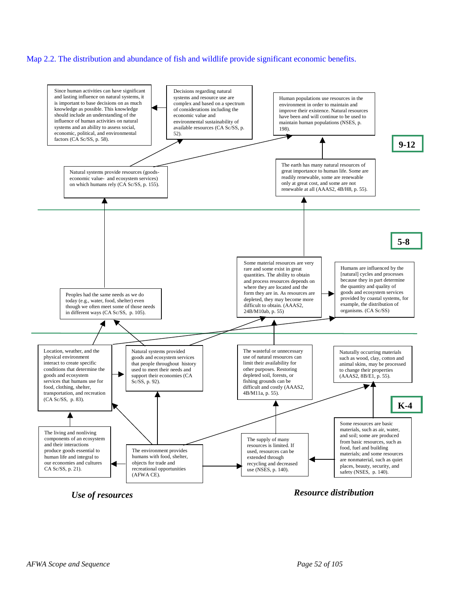#### Map 2.2. The distribution and abundance of fish and wildlife provide significant economic benefits.



*Use of resources Resource distribution*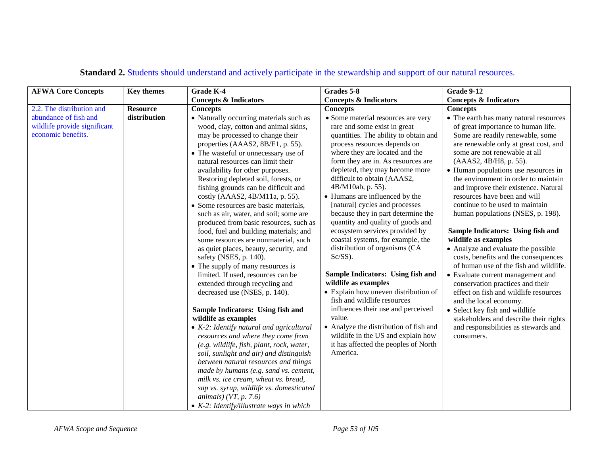| <b>Key themes</b> | <b>Grade K-4</b>                                                                                                                                                                                                                                                                                                                                                                                                                                                                                                                                                                                                                                                                                                                                                                                                                                                                                                                                                                                                                                                                                                                                                                                      | Grades 5-8                                                                                                                                                                                                                                                                                                                                                                                                                                                                                                                                                                                                                                                                                                                                                                                                                                                                                             | <b>Grade 9-12</b>                                                                                                                                                                                                                                                                                                                                                                                                                                                                                                                                                                                                                                                                                                                                                                                                                                                                                                        |
|-------------------|-------------------------------------------------------------------------------------------------------------------------------------------------------------------------------------------------------------------------------------------------------------------------------------------------------------------------------------------------------------------------------------------------------------------------------------------------------------------------------------------------------------------------------------------------------------------------------------------------------------------------------------------------------------------------------------------------------------------------------------------------------------------------------------------------------------------------------------------------------------------------------------------------------------------------------------------------------------------------------------------------------------------------------------------------------------------------------------------------------------------------------------------------------------------------------------------------------|--------------------------------------------------------------------------------------------------------------------------------------------------------------------------------------------------------------------------------------------------------------------------------------------------------------------------------------------------------------------------------------------------------------------------------------------------------------------------------------------------------------------------------------------------------------------------------------------------------------------------------------------------------------------------------------------------------------------------------------------------------------------------------------------------------------------------------------------------------------------------------------------------------|--------------------------------------------------------------------------------------------------------------------------------------------------------------------------------------------------------------------------------------------------------------------------------------------------------------------------------------------------------------------------------------------------------------------------------------------------------------------------------------------------------------------------------------------------------------------------------------------------------------------------------------------------------------------------------------------------------------------------------------------------------------------------------------------------------------------------------------------------------------------------------------------------------------------------|
|                   | <b>Concepts &amp; Indicators</b>                                                                                                                                                                                                                                                                                                                                                                                                                                                                                                                                                                                                                                                                                                                                                                                                                                                                                                                                                                                                                                                                                                                                                                      | <b>Concepts &amp; Indicators</b>                                                                                                                                                                                                                                                                                                                                                                                                                                                                                                                                                                                                                                                                                                                                                                                                                                                                       | <b>Concepts &amp; Indicators</b>                                                                                                                                                                                                                                                                                                                                                                                                                                                                                                                                                                                                                                                                                                                                                                                                                                                                                         |
| <b>Resource</b>   | <b>Concepts</b>                                                                                                                                                                                                                                                                                                                                                                                                                                                                                                                                                                                                                                                                                                                                                                                                                                                                                                                                                                                                                                                                                                                                                                                       | <b>Concepts</b>                                                                                                                                                                                                                                                                                                                                                                                                                                                                                                                                                                                                                                                                                                                                                                                                                                                                                        | <b>Concepts</b>                                                                                                                                                                                                                                                                                                                                                                                                                                                                                                                                                                                                                                                                                                                                                                                                                                                                                                          |
| distribution      | • Naturally occurring materials such as<br>wood, clay, cotton and animal skins,<br>may be processed to change their<br>properties (AAAS2, 8B/E1, p. 55).<br>• The wasteful or unnecessary use of<br>natural resources can limit their<br>availability for other purposes.<br>Restoring depleted soil, forests, or<br>fishing grounds can be difficult and<br>costly (AAAS2, 4B/M11a, p. 55).<br>• Some resources are basic materials,<br>such as air, water, and soil; some are<br>produced from basic resources, such as<br>food, fuel and building materials; and<br>some resources are nonmaterial, such<br>as quiet places, beauty, security, and<br>safety (NSES, p. 140).<br>• The supply of many resources is<br>limited. If used, resources can be<br>extended through recycling and<br>decreased use (NSES, p. 140).<br>Sample Indicators: Using fish and<br>wildlife as examples<br>$\bullet$ K-2: Identify natural and agricultural<br>resources and where they come from<br>(e.g. wildlife, fish, plant, rock, water,<br>soil, sunlight and air) and distinguish<br>between natural resources and things<br>made by humans (e.g. sand vs. cement,<br>milk vs. ice cream, wheat vs. bread, | • Some material resources are very<br>rare and some exist in great<br>quantities. The ability to obtain and<br>process resources depends on<br>where they are located and the<br>form they are in. As resources are<br>depleted, they may become more<br>difficult to obtain (AAAS2,<br>4B/M10ab, p. 55).<br>• Humans are influenced by the<br>[natural] cycles and processes<br>because they in part determine the<br>quantity and quality of goods and<br>ecosystem services provided by<br>coastal systems, for example, the<br>distribution of organisms (CA<br>$Sc/SS$ ).<br>Sample Indicators: Using fish and<br>wildlife as examples<br>• Explain how uneven distribution of<br>fish and wildlife resources<br>influences their use and perceived<br>value.<br>• Analyze the distribution of fish and<br>wildlife in the US and explain how<br>it has affected the peoples of North<br>America. | • The earth has many natural resources<br>of great importance to human life.<br>Some are readily renewable, some<br>are renewable only at great cost, and<br>some are not renewable at all<br>(AAAS2, 4B/H8, p. 55).<br>• Human populations use resources in<br>the environment in order to maintain<br>and improve their existence. Natural<br>resources have been and will<br>continue to be used to maintain<br>human populations (NSES, p. 198).<br>Sample Indicators: Using fish and<br>wildlife as examples<br>• Analyze and evaluate the possible<br>costs, benefits and the consequences<br>of human use of the fish and wildlife.<br>• Evaluate current management and<br>conservation practices and their<br>effect on fish and wildlife resources<br>and the local economy.<br>• Select key fish and wildlife<br>stakeholders and describe their rights<br>and responsibilities as stewards and<br>consumers. |
|                   |                                                                                                                                                                                                                                                                                                                                                                                                                                                                                                                                                                                                                                                                                                                                                                                                                                                                                                                                                                                                                                                                                                                                                                                                       |                                                                                                                                                                                                                                                                                                                                                                                                                                                                                                                                                                                                                                                                                                                                                                                                                                                                                                        |                                                                                                                                                                                                                                                                                                                                                                                                                                                                                                                                                                                                                                                                                                                                                                                                                                                                                                                          |

# **Standard 2.** Students should understand and actively participate in the stewardship and support of our natural resources.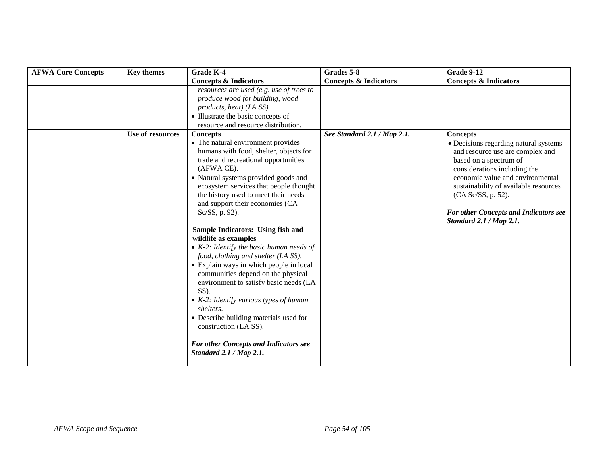| <b>AFWA Core Concepts</b> | <b>Key themes</b> | <b>Grade K-4</b>                                                                                                                                                                                                                                                                                                                                                                                                                                                                                                                                                                                                                                                                                                                                                                                                                   | Grades 5-8                       | <b>Grade 9-12</b>                                                                                                                                                                                                                                                                                                                    |
|---------------------------|-------------------|------------------------------------------------------------------------------------------------------------------------------------------------------------------------------------------------------------------------------------------------------------------------------------------------------------------------------------------------------------------------------------------------------------------------------------------------------------------------------------------------------------------------------------------------------------------------------------------------------------------------------------------------------------------------------------------------------------------------------------------------------------------------------------------------------------------------------------|----------------------------------|--------------------------------------------------------------------------------------------------------------------------------------------------------------------------------------------------------------------------------------------------------------------------------------------------------------------------------------|
|                           |                   | <b>Concepts &amp; Indicators</b>                                                                                                                                                                                                                                                                                                                                                                                                                                                                                                                                                                                                                                                                                                                                                                                                   | <b>Concepts &amp; Indicators</b> | <b>Concepts &amp; Indicators</b>                                                                                                                                                                                                                                                                                                     |
|                           |                   | resources are used (e.g. use of trees to<br>produce wood for building, wood<br>products, heat) (LA SS).<br>• Illustrate the basic concepts of<br>resource and resource distribution.                                                                                                                                                                                                                                                                                                                                                                                                                                                                                                                                                                                                                                               |                                  |                                                                                                                                                                                                                                                                                                                                      |
|                           | Use of resources  | <b>Concepts</b><br>• The natural environment provides<br>humans with food, shelter, objects for<br>trade and recreational opportunities<br>(AFWA CE).<br>• Natural systems provided goods and<br>ecosystem services that people thought<br>the history used to meet their needs<br>and support their economies (CA<br>Sc/SS, p. 92).<br>Sample Indicators: Using fish and<br>wildlife as examples<br>• $K-2$ : Identify the basic human needs of<br>food, clothing and shelter (LA SS).<br>• Explain ways in which people in local<br>communities depend on the physical<br>environment to satisfy basic needs (LA<br>SS).<br>• $K-2$ : Identify various types of human<br>shelters.<br>• Describe building materials used for<br>construction (LA SS).<br><b>For other Concepts and Indicators see</b><br>Standard 2.1 / Map 2.1. | See Standard 2.1 / Map 2.1.      | <b>Concepts</b><br>• Decisions regarding natural systems<br>and resource use are complex and<br>based on a spectrum of<br>considerations including the<br>economic value and environmental<br>sustainability of available resources<br>(CA Sc/SS, p. 52).<br><b>For other Concepts and Indicators see</b><br>Standard 2.1 / Map 2.1. |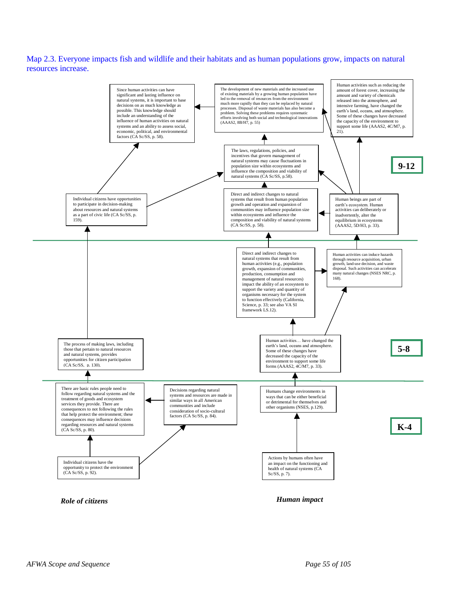Map 2.3. Everyone impacts fish and wildlife and their habitats and as human populations grow, impacts on natural resources increase.



*Role of citizens*

*Human impact*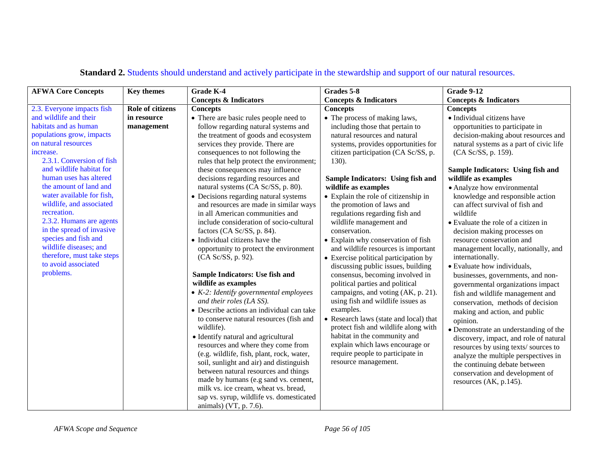| <b>AFWA Core Concepts</b>                                                                                                                                                                                                                                                                                                                                                                                                                                                                                         | <b>Key themes</b>                             | <b>Grade K-4</b>                                                                                                                                                                                                                                                                                                                                                                                                                                                                                                                                                                                                                                                                                                                                                                                                                                                                                                                                                                                                                                        | Grades 5-8                                                                                                                                                                                                                                                                                                                                                                                                                                                                                                                                                                                                                                                                                                                                                                                                                                                                                                                                     | <b>Grade 9-12</b>                                                                                                                                                                                                                                                                                                                                                                                                                                                                                                                                                                                                                                                                                                                                                                                                                                                                                                                        |
|-------------------------------------------------------------------------------------------------------------------------------------------------------------------------------------------------------------------------------------------------------------------------------------------------------------------------------------------------------------------------------------------------------------------------------------------------------------------------------------------------------------------|-----------------------------------------------|---------------------------------------------------------------------------------------------------------------------------------------------------------------------------------------------------------------------------------------------------------------------------------------------------------------------------------------------------------------------------------------------------------------------------------------------------------------------------------------------------------------------------------------------------------------------------------------------------------------------------------------------------------------------------------------------------------------------------------------------------------------------------------------------------------------------------------------------------------------------------------------------------------------------------------------------------------------------------------------------------------------------------------------------------------|------------------------------------------------------------------------------------------------------------------------------------------------------------------------------------------------------------------------------------------------------------------------------------------------------------------------------------------------------------------------------------------------------------------------------------------------------------------------------------------------------------------------------------------------------------------------------------------------------------------------------------------------------------------------------------------------------------------------------------------------------------------------------------------------------------------------------------------------------------------------------------------------------------------------------------------------|------------------------------------------------------------------------------------------------------------------------------------------------------------------------------------------------------------------------------------------------------------------------------------------------------------------------------------------------------------------------------------------------------------------------------------------------------------------------------------------------------------------------------------------------------------------------------------------------------------------------------------------------------------------------------------------------------------------------------------------------------------------------------------------------------------------------------------------------------------------------------------------------------------------------------------------|
|                                                                                                                                                                                                                                                                                                                                                                                                                                                                                                                   |                                               | <b>Concepts &amp; Indicators</b>                                                                                                                                                                                                                                                                                                                                                                                                                                                                                                                                                                                                                                                                                                                                                                                                                                                                                                                                                                                                                        | <b>Concepts &amp; Indicators</b>                                                                                                                                                                                                                                                                                                                                                                                                                                                                                                                                                                                                                                                                                                                                                                                                                                                                                                               | <b>Concepts &amp; Indicators</b>                                                                                                                                                                                                                                                                                                                                                                                                                                                                                                                                                                                                                                                                                                                                                                                                                                                                                                         |
| 2.3. Everyone impacts fish<br>and wildlife and their<br>habitats and as human<br>populations grow, impacts<br>on natural resources<br>increase.<br>2.3.1. Conversion of fish<br>and wildlife habitat for<br>human uses has altered<br>the amount of land and<br>water available for fish,<br>wildlife, and associated<br>recreation.<br>2.3.2. Humans are agents<br>in the spread of invasive<br>species and fish and<br>wildlife diseases; and<br>therefore, must take steps<br>to avoid associated<br>problems. | Role of citizens<br>in resource<br>management | <b>Concepts</b><br>• There are basic rules people need to<br>follow regarding natural systems and<br>the treatment of goods and ecosystem<br>services they provide. There are<br>consequences to not following the<br>rules that help protect the environment;<br>these consequences may influence<br>decisions regarding resources and<br>natural systems (CA Sc/SS, p. 80).<br>• Decisions regarding natural systems<br>and resources are made in similar ways<br>in all American communities and<br>include consideration of socio-cultural<br>factors (CA Sc/SS, p. 84).<br>• Individual citizens have the<br>opportunity to protect the environment<br>(CA Sc/SS, p. 92).<br>Sample Indicators: Use fish and<br>wildlife as examples<br>$\bullet$ K-2: Identify governmental employees<br>and their roles (LA SS).<br>• Describe actions an individual can take<br>to conserve natural resources (fish and<br>wildlife).<br>• Identify natural and agricultural<br>resources and where they come from<br>(e.g. wildlife, fish, plant, rock, water, | <b>Concepts</b><br>• The process of making laws,<br>including those that pertain to<br>natural resources and natural<br>systems, provides opportunities for<br>citizen participation (CA Sc/SS, p.<br>130).<br>Sample Indicators: Using fish and<br>wildlife as examples<br>• Explain the role of citizenship in<br>the promotion of laws and<br>regulations regarding fish and<br>wildlife management and<br>conservation.<br>• Explain why conservation of fish<br>and wildlife resources is important<br>• Exercise political participation by<br>discussing public issues, building<br>consensus, becoming involved in<br>political parties and political<br>campaigns, and voting (AK, p. 21).<br>using fish and wildlife issues as<br>examples.<br>• Research laws (state and local) that<br>protect fish and wildlife along with<br>habitat in the community and<br>explain which laws encourage or<br>require people to participate in | <b>Concepts</b><br>• Individual citizens have<br>opportunities to participate in<br>decision-making about resources and<br>natural systems as a part of civic life<br>(CA Sc/SS, p. 159).<br>Sample Indicators: Using fish and<br>wildlife as examples<br>• Analyze how environmental<br>knowledge and responsible action<br>can affect survival of fish and<br>wildlife<br>• Evaluate the role of a citizen in<br>decision making processes on<br>resource conservation and<br>management locally, nationally, and<br>internationally.<br>• Evaluate how individuals,<br>businesses, governments, and non-<br>governmental organizations impact<br>fish and wildlife management and<br>conservation, methods of decision<br>making and action, and public<br>opinion.<br>· Demonstrate an understanding of the<br>discovery, impact, and role of natural<br>resources by using texts/sources to<br>analyze the multiple perspectives in |
|                                                                                                                                                                                                                                                                                                                                                                                                                                                                                                                   |                                               | soil, sunlight and air) and distinguish<br>between natural resources and things<br>made by humans (e.g sand vs. cement,                                                                                                                                                                                                                                                                                                                                                                                                                                                                                                                                                                                                                                                                                                                                                                                                                                                                                                                                 | resource management.                                                                                                                                                                                                                                                                                                                                                                                                                                                                                                                                                                                                                                                                                                                                                                                                                                                                                                                           | the continuing debate between<br>conservation and development of<br>resources (AK, p.145).                                                                                                                                                                                                                                                                                                                                                                                                                                                                                                                                                                                                                                                                                                                                                                                                                                               |
|                                                                                                                                                                                                                                                                                                                                                                                                                                                                                                                   |                                               | milk vs. ice cream, wheat vs. bread,<br>sap vs. syrup, wildlife vs. domesticated<br>animals) (VT, p. 7.6).                                                                                                                                                                                                                                                                                                                                                                                                                                                                                                                                                                                                                                                                                                                                                                                                                                                                                                                                              |                                                                                                                                                                                                                                                                                                                                                                                                                                                                                                                                                                                                                                                                                                                                                                                                                                                                                                                                                |                                                                                                                                                                                                                                                                                                                                                                                                                                                                                                                                                                                                                                                                                                                                                                                                                                                                                                                                          |

# **Standard 2.** Students should understand and actively participate in the stewardship and support of our natural resources.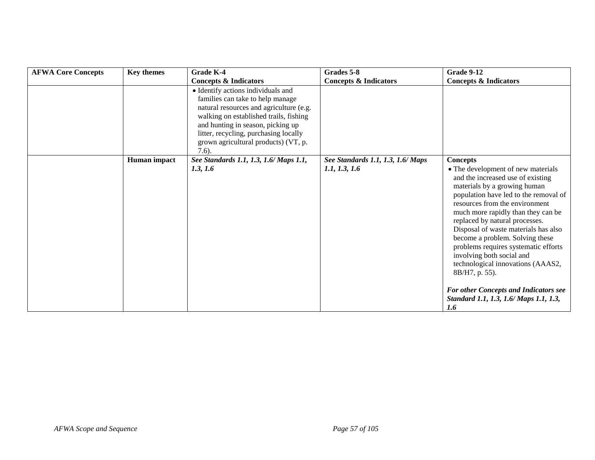| <b>AFWA Core Concepts</b> | <b>Key themes</b> | Grade K-4                                                                                                                                                                                                                                                                                     | Grades 5-8                        | <b>Grade 9-12</b>                                                                                                                                                                                                                                                                                                                                                                                                                                                 |
|---------------------------|-------------------|-----------------------------------------------------------------------------------------------------------------------------------------------------------------------------------------------------------------------------------------------------------------------------------------------|-----------------------------------|-------------------------------------------------------------------------------------------------------------------------------------------------------------------------------------------------------------------------------------------------------------------------------------------------------------------------------------------------------------------------------------------------------------------------------------------------------------------|
|                           |                   | <b>Concepts &amp; Indicators</b>                                                                                                                                                                                                                                                              | <b>Concepts &amp; Indicators</b>  | <b>Concepts &amp; Indicators</b>                                                                                                                                                                                                                                                                                                                                                                                                                                  |
|                           |                   | • Identify actions individuals and<br>families can take to help manage<br>natural resources and agriculture (e.g.<br>walking on established trails, fishing<br>and hunting in season, picking up<br>litter, recycling, purchasing locally<br>grown agricultural products) (VT, p.<br>$7.6$ ). |                                   |                                                                                                                                                                                                                                                                                                                                                                                                                                                                   |
|                           | Human impact      | See Standards 1.1, 1.3, 1.6/ Maps 1.1,                                                                                                                                                                                                                                                        | See Standards 1.1, 1.3, 1.6/ Maps | <b>Concepts</b>                                                                                                                                                                                                                                                                                                                                                                                                                                                   |
|                           |                   | 1.3, 1.6                                                                                                                                                                                                                                                                                      | 1.1, 1.3, 1.6                     | • The development of new materials<br>and the increased use of existing<br>materials by a growing human<br>population have led to the removal of<br>resources from the environment<br>much more rapidly than they can be<br>replaced by natural processes.<br>Disposal of waste materials has also<br>become a problem. Solving these<br>problems requires systematic efforts<br>involving both social and<br>technological innovations (AAAS2,<br>8B/H7, p. 55). |
|                           |                   |                                                                                                                                                                                                                                                                                               |                                   | <b>For other Concepts and Indicators see</b><br>Standard 1.1, 1.3, 1.6/ Maps 1.1, 1.3,<br>1.6                                                                                                                                                                                                                                                                                                                                                                     |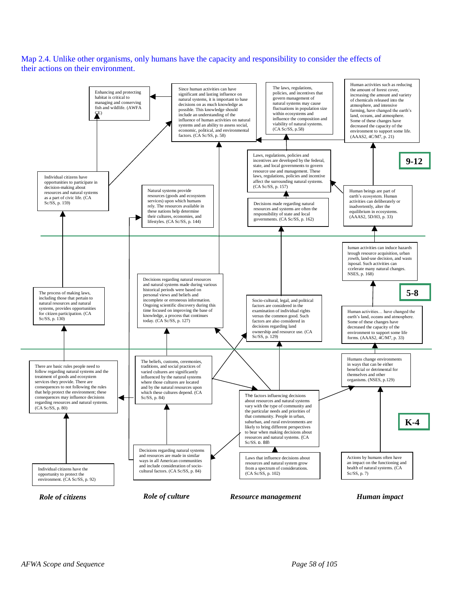Map 2.4. Unlike other organisms, only humans have the capacity and responsibility to consider the effects of their actions on their environment.

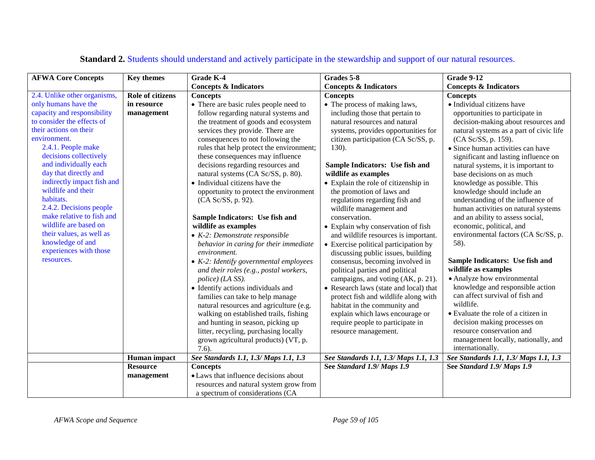| <b>AFWA Core Concepts</b>                                                                                                                                                                                                                                                                                                                                                                                                                       | <b>Key themes</b>       | Grade K-4                                                                                                                                                                                                                                                                                                                                                                                                                                                                                                                                                                                                                                                                                                                                                                                                                                                                                                                                      | Grades 5-8                                                                                                                                                                                                                                                                                                                                                                                                                                                                                                                                                                                                                                                                                                                                                                                                                                                      | <b>Grade 9-12</b>                                                                                                                                                                                                                                                                                                                                                                                                                                                                                                                                                                                                                                                                                                                                                                                                                    |
|-------------------------------------------------------------------------------------------------------------------------------------------------------------------------------------------------------------------------------------------------------------------------------------------------------------------------------------------------------------------------------------------------------------------------------------------------|-------------------------|------------------------------------------------------------------------------------------------------------------------------------------------------------------------------------------------------------------------------------------------------------------------------------------------------------------------------------------------------------------------------------------------------------------------------------------------------------------------------------------------------------------------------------------------------------------------------------------------------------------------------------------------------------------------------------------------------------------------------------------------------------------------------------------------------------------------------------------------------------------------------------------------------------------------------------------------|-----------------------------------------------------------------------------------------------------------------------------------------------------------------------------------------------------------------------------------------------------------------------------------------------------------------------------------------------------------------------------------------------------------------------------------------------------------------------------------------------------------------------------------------------------------------------------------------------------------------------------------------------------------------------------------------------------------------------------------------------------------------------------------------------------------------------------------------------------------------|--------------------------------------------------------------------------------------------------------------------------------------------------------------------------------------------------------------------------------------------------------------------------------------------------------------------------------------------------------------------------------------------------------------------------------------------------------------------------------------------------------------------------------------------------------------------------------------------------------------------------------------------------------------------------------------------------------------------------------------------------------------------------------------------------------------------------------------|
|                                                                                                                                                                                                                                                                                                                                                                                                                                                 |                         | <b>Concepts &amp; Indicators</b>                                                                                                                                                                                                                                                                                                                                                                                                                                                                                                                                                                                                                                                                                                                                                                                                                                                                                                               | <b>Concepts &amp; Indicators</b>                                                                                                                                                                                                                                                                                                                                                                                                                                                                                                                                                                                                                                                                                                                                                                                                                                | <b>Concepts &amp; Indicators</b>                                                                                                                                                                                                                                                                                                                                                                                                                                                                                                                                                                                                                                                                                                                                                                                                     |
| 2.4. Unlike other organisms,                                                                                                                                                                                                                                                                                                                                                                                                                    | <b>Role of citizens</b> | <b>Concepts</b>                                                                                                                                                                                                                                                                                                                                                                                                                                                                                                                                                                                                                                                                                                                                                                                                                                                                                                                                | <b>Concepts</b>                                                                                                                                                                                                                                                                                                                                                                                                                                                                                                                                                                                                                                                                                                                                                                                                                                                 | <b>Concepts</b>                                                                                                                                                                                                                                                                                                                                                                                                                                                                                                                                                                                                                                                                                                                                                                                                                      |
| only humans have the                                                                                                                                                                                                                                                                                                                                                                                                                            | in resource             | • There are basic rules people need to                                                                                                                                                                                                                                                                                                                                                                                                                                                                                                                                                                                                                                                                                                                                                                                                                                                                                                         | • The process of making laws,                                                                                                                                                                                                                                                                                                                                                                                                                                                                                                                                                                                                                                                                                                                                                                                                                                   | · Individual citizens have                                                                                                                                                                                                                                                                                                                                                                                                                                                                                                                                                                                                                                                                                                                                                                                                           |
| capacity and responsibility<br>to consider the effects of<br>their actions on their<br>environment.<br>2.4.1. People make<br>decisions collectively<br>and individually each<br>day that directly and<br>indirectly impact fish and<br>wildlife and their<br>habitats.<br>2.4.2. Decisions people<br>make relative to fish and<br>wildlife are based on<br>their values, as well as<br>knowledge of and<br>experiences with those<br>resources. | management              | follow regarding natural systems and<br>the treatment of goods and ecosystem<br>services they provide. There are<br>consequences to not following the<br>rules that help protect the environment;<br>these consequences may influence<br>decisions regarding resources and<br>natural systems (CA Sc/SS, p. 80).<br>• Individual citizens have the<br>opportunity to protect the environment<br>(CA Sc/SS, p. 92).<br>Sample Indicators: Use fish and<br>wildlife as examples<br>$\bullet$ K-2: Demonstrate responsible<br>behavior in caring for their immediate<br>environment.<br>$\bullet$ K-2: Identify governmental employees<br>and their roles (e.g., postal workers,<br>police) (LA SS).<br>• Identify actions individuals and<br>families can take to help manage<br>natural resources and agriculture (e.g.<br>walking on established trails, fishing<br>and hunting in season, picking up<br>litter, recycling, purchasing locally | including those that pertain to<br>natural resources and natural<br>systems, provides opportunities for<br>citizen participation (CA Sc/SS, p.<br>130).<br>Sample Indicators: Use fish and<br>wildlife as examples<br>• Explain the role of citizenship in<br>the promotion of laws and<br>regulations regarding fish and<br>wildlife management and<br>conservation.<br>• Explain why conservation of fish<br>and wildlife resources is important.<br>• Exercise political participation by<br>discussing public issues, building<br>consensus, becoming involved in<br>political parties and political<br>campaigns, and voting (AK, p. 21).<br>• Research laws (state and local) that<br>protect fish and wildlife along with<br>habitat in the community and<br>explain which laws encourage or<br>require people to participate in<br>resource management. | opportunities to participate in<br>decision-making about resources and<br>natural systems as a part of civic life<br>(CA Sc/SS, p. 159).<br>• Since human activities can have<br>significant and lasting influence on<br>natural systems, it is important to<br>base decisions on as much<br>knowledge as possible. This<br>knowledge should include an<br>understanding of the influence of<br>human activities on natural systems<br>and an ability to assess social,<br>economic, political, and<br>environmental factors (CA Sc/SS, p.<br>58).<br>Sample Indicators: Use fish and<br>wildlife as examples<br>• Analyze how environmental<br>knowledge and responsible action<br>can affect survival of fish and<br>wildlife.<br>• Evaluate the role of a citizen in<br>decision making processes on<br>resource conservation and |
|                                                                                                                                                                                                                                                                                                                                                                                                                                                 |                         | grown agricultural products) (VT, p.<br>$7.6$ ).                                                                                                                                                                                                                                                                                                                                                                                                                                                                                                                                                                                                                                                                                                                                                                                                                                                                                               |                                                                                                                                                                                                                                                                                                                                                                                                                                                                                                                                                                                                                                                                                                                                                                                                                                                                 | management locally, nationally, and<br>internationally.                                                                                                                                                                                                                                                                                                                                                                                                                                                                                                                                                                                                                                                                                                                                                                              |
|                                                                                                                                                                                                                                                                                                                                                                                                                                                 | Human impact            | See Standards 1.1, 1.3/ Maps 1.1, 1.3                                                                                                                                                                                                                                                                                                                                                                                                                                                                                                                                                                                                                                                                                                                                                                                                                                                                                                          | See Standards 1.1, 1.3/ Maps 1.1, 1.3                                                                                                                                                                                                                                                                                                                                                                                                                                                                                                                                                                                                                                                                                                                                                                                                                           | See Standards 1.1, 1.3/ Maps 1.1, 1.3                                                                                                                                                                                                                                                                                                                                                                                                                                                                                                                                                                                                                                                                                                                                                                                                |
|                                                                                                                                                                                                                                                                                                                                                                                                                                                 | <b>Resource</b>         | <b>Concepts</b>                                                                                                                                                                                                                                                                                                                                                                                                                                                                                                                                                                                                                                                                                                                                                                                                                                                                                                                                | See Standard 1.9/ Maps 1.9                                                                                                                                                                                                                                                                                                                                                                                                                                                                                                                                                                                                                                                                                                                                                                                                                                      | See Standard 1.9/ Maps 1.9                                                                                                                                                                                                                                                                                                                                                                                                                                                                                                                                                                                                                                                                                                                                                                                                           |
|                                                                                                                                                                                                                                                                                                                                                                                                                                                 | management              | • Laws that influence decisions about                                                                                                                                                                                                                                                                                                                                                                                                                                                                                                                                                                                                                                                                                                                                                                                                                                                                                                          |                                                                                                                                                                                                                                                                                                                                                                                                                                                                                                                                                                                                                                                                                                                                                                                                                                                                 |                                                                                                                                                                                                                                                                                                                                                                                                                                                                                                                                                                                                                                                                                                                                                                                                                                      |
|                                                                                                                                                                                                                                                                                                                                                                                                                                                 |                         | resources and natural system grow from                                                                                                                                                                                                                                                                                                                                                                                                                                                                                                                                                                                                                                                                                                                                                                                                                                                                                                         |                                                                                                                                                                                                                                                                                                                                                                                                                                                                                                                                                                                                                                                                                                                                                                                                                                                                 |                                                                                                                                                                                                                                                                                                                                                                                                                                                                                                                                                                                                                                                                                                                                                                                                                                      |
|                                                                                                                                                                                                                                                                                                                                                                                                                                                 |                         | a spectrum of considerations (CA                                                                                                                                                                                                                                                                                                                                                                                                                                                                                                                                                                                                                                                                                                                                                                                                                                                                                                               |                                                                                                                                                                                                                                                                                                                                                                                                                                                                                                                                                                                                                                                                                                                                                                                                                                                                 |                                                                                                                                                                                                                                                                                                                                                                                                                                                                                                                                                                                                                                                                                                                                                                                                                                      |

# **Standard 2.** Students should understand and actively participate in the stewardship and support of our natural resources.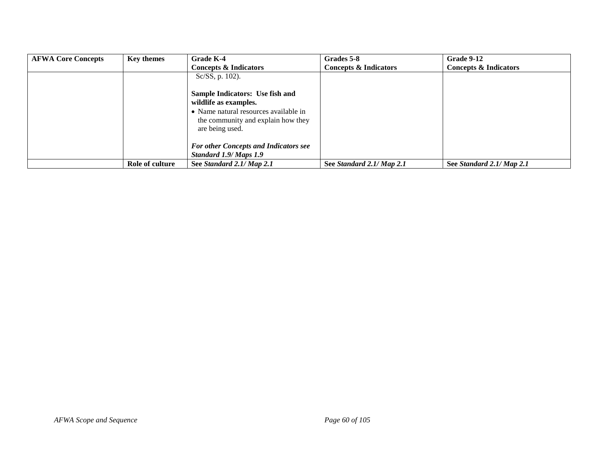| <b>AFWA Core Concepts</b> | <b>Key themes</b> | Grade K-4                                                                                                               | Grades 5-8                | Grade 9-12                       |
|---------------------------|-------------------|-------------------------------------------------------------------------------------------------------------------------|---------------------------|----------------------------------|
|                           |                   | Concepts & Indicators                                                                                                   | Concepts & Indicators     | <b>Concepts &amp; Indicators</b> |
|                           |                   | Sc/SS, p. 102).                                                                                                         |                           |                                  |
|                           |                   | Sample Indicators: Use fish and                                                                                         |                           |                                  |
|                           |                   | wildlife as examples.<br>• Name natural resources available in<br>the community and explain how they<br>are being used. |                           |                                  |
|                           |                   | <b>For other Concepts and Indicators see</b><br>Standard 1.9/ Maps 1.9                                                  |                           |                                  |
|                           | Role of culture   | See Standard 2.1/ Map 2.1                                                                                               | See Standard 2.1/ Map 2.1 | See Standard 2.1/ Map 2.1        |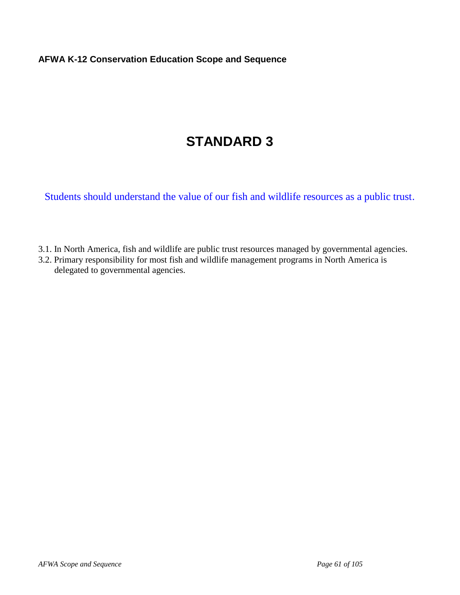### **AFWA K-12 Conservation Education Scope and Sequence**

# **STANDARD 3**

Students should understand the value of our fish and wildlife resources as a public trust.

- 3.1. In North America, fish and wildlife are public trust resources managed by governmental agencies.
- 3.2. Primary responsibility for most fish and wildlife management programs in North America is delegated to governmental agencies.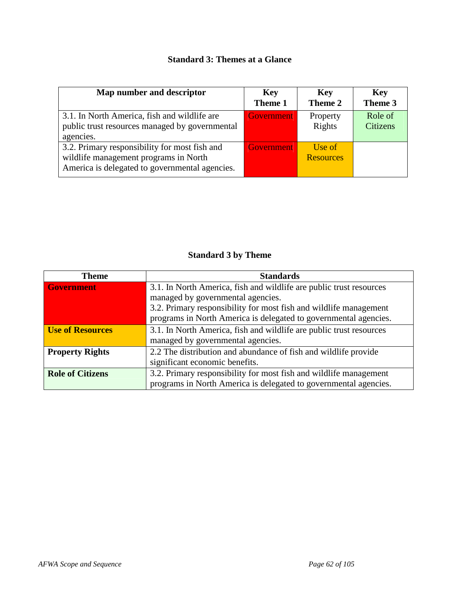## **Standard 3: Themes at a Glance**

| Map number and descriptor                                                                                                                | <b>Key</b><br>Theme 1 | <b>Key</b><br>Theme 2      | <b>Key</b><br>Theme 3      |
|------------------------------------------------------------------------------------------------------------------------------------------|-----------------------|----------------------------|----------------------------|
| 3.1. In North America, fish and wildlife are<br>public trust resources managed by governmental<br>agencies.                              | Government            | Property<br>Rights         | Role of<br><b>Citizens</b> |
| 3.2. Primary responsibility for most fish and<br>wildlife management programs in North<br>America is delegated to governmental agencies. | <b>Government</b>     | Use of<br><b>Resources</b> |                            |

### **Standard 3 by Theme**

| <b>Theme</b>            | <b>Standards</b>                                                    |  |  |  |  |
|-------------------------|---------------------------------------------------------------------|--|--|--|--|
| <b>Government</b>       | 3.1. In North America, fish and wildlife are public trust resources |  |  |  |  |
|                         | managed by governmental agencies.                                   |  |  |  |  |
|                         | 3.2. Primary responsibility for most fish and wildlife management   |  |  |  |  |
|                         | programs in North America is delegated to governmental agencies.    |  |  |  |  |
| <b>Use of Resources</b> | 3.1. In North America, fish and wildlife are public trust resources |  |  |  |  |
|                         | managed by governmental agencies.                                   |  |  |  |  |
| <b>Property Rights</b>  | 2.2 The distribution and abundance of fish and wildlife provide     |  |  |  |  |
|                         | significant economic benefits.                                      |  |  |  |  |
| <b>Role of Citizens</b> | 3.2. Primary responsibility for most fish and wildlife management   |  |  |  |  |
|                         | programs in North America is delegated to governmental agencies.    |  |  |  |  |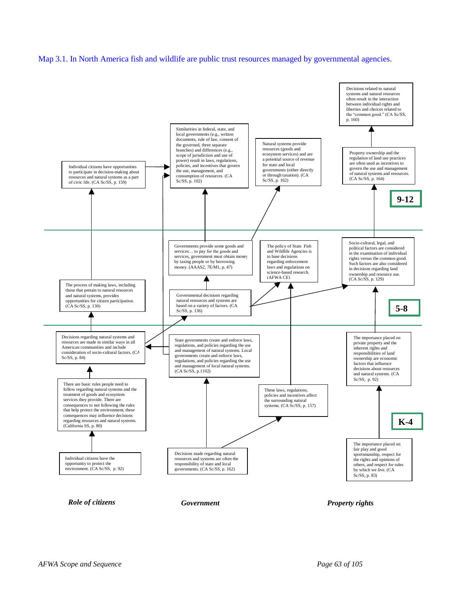#### Map 3.1. In North America fish and wildlife are public trust resources managed by governmental agencies.

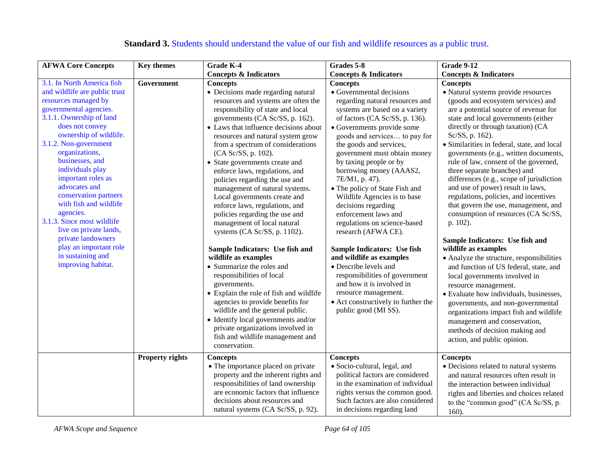| <b>AFWA Core Concepts</b>                                                                                                                                                                                                                                                                                                                                                                                                                                                                                                          | <b>Key themes</b>      | Grade K-4                                                                                                                                                                                                                                                                                                                                                                                                                                                                                                                                                                                                                                                                                                                                                                                                                                                                                                                                                        | Grades 5-8                                                                                                                                                                                                                                                                                                                                                                                                                                                                                                                                                                                                                                                                                                                                                            | <b>Grade 9-12</b>                                                                                                                                                                                                                                                                                                                                                                                                                                                                                                                                                                                                                                                                                                                                                                                                                                                                                                                                                                                                                 |
|------------------------------------------------------------------------------------------------------------------------------------------------------------------------------------------------------------------------------------------------------------------------------------------------------------------------------------------------------------------------------------------------------------------------------------------------------------------------------------------------------------------------------------|------------------------|------------------------------------------------------------------------------------------------------------------------------------------------------------------------------------------------------------------------------------------------------------------------------------------------------------------------------------------------------------------------------------------------------------------------------------------------------------------------------------------------------------------------------------------------------------------------------------------------------------------------------------------------------------------------------------------------------------------------------------------------------------------------------------------------------------------------------------------------------------------------------------------------------------------------------------------------------------------|-----------------------------------------------------------------------------------------------------------------------------------------------------------------------------------------------------------------------------------------------------------------------------------------------------------------------------------------------------------------------------------------------------------------------------------------------------------------------------------------------------------------------------------------------------------------------------------------------------------------------------------------------------------------------------------------------------------------------------------------------------------------------|-----------------------------------------------------------------------------------------------------------------------------------------------------------------------------------------------------------------------------------------------------------------------------------------------------------------------------------------------------------------------------------------------------------------------------------------------------------------------------------------------------------------------------------------------------------------------------------------------------------------------------------------------------------------------------------------------------------------------------------------------------------------------------------------------------------------------------------------------------------------------------------------------------------------------------------------------------------------------------------------------------------------------------------|
|                                                                                                                                                                                                                                                                                                                                                                                                                                                                                                                                    |                        | <b>Concepts &amp; Indicators</b>                                                                                                                                                                                                                                                                                                                                                                                                                                                                                                                                                                                                                                                                                                                                                                                                                                                                                                                                 | <b>Concepts &amp; Indicators</b>                                                                                                                                                                                                                                                                                                                                                                                                                                                                                                                                                                                                                                                                                                                                      | <b>Concepts &amp; Indicators</b>                                                                                                                                                                                                                                                                                                                                                                                                                                                                                                                                                                                                                                                                                                                                                                                                                                                                                                                                                                                                  |
| 3.1. In North America fish<br>and wildlife are public trust<br>resources managed by<br>governmental agencies.<br>3.1.1. Ownership of land<br>does not convey<br>ownership of wildlife.<br>3.1.2. Non-government<br>organizations,<br>businesses, and<br>individuals play<br>important roles as<br>advocates and<br>conservation partners<br>with fish and wildlife<br>agencies.<br>3.1.3. Since most wildlife<br>live on private lands,<br>private landowners<br>play an important role<br>in sustaining and<br>improving habitat. | Government             | <b>Concepts</b><br>• Decisions made regarding natural<br>resources and systems are often the<br>responsibility of state and local<br>governments (CA Sc/SS, p. 162).<br>• Laws that influence decisions about<br>resources and natural system grow<br>from a spectrum of considerations<br>(CA Sc/SS, p. 102).<br>• State governments create and<br>enforce laws, regulations, and<br>policies regarding the use and<br>management of natural systems.<br>Local governments create and<br>enforce laws, regulations, and<br>policies regarding the use and<br>management of local natural<br>systems (CA Sc/SS, p. $1102$ ).<br>Sample Indicators: Use fish and<br>wildlife as examples<br>• Summarize the roles and<br>responsibilities of local<br>governments.<br>• Explain the role of fish and wildlife<br>agencies to provide benefits for<br>wildlife and the general public.<br>• Identify local governments and/or<br>private organizations involved in | <b>Concepts</b><br>• Governmental decisions<br>regarding natural resources and<br>systems are based on a variety<br>of factors (CA Sc/SS, p. 136).<br>• Governments provide some<br>goods and services to pay for<br>the goods and services,<br>government must obtain money<br>by taxing people or by<br>borrowing money (AAAS2,<br>7E/M1, p. 47).<br>• The policy of State Fish and<br>Wildlife Agencies is to base<br>decisions regarding<br>enforcement laws and<br>regulations on science-based<br>research (AFWA CE).<br>Sample Indicators: Use fish<br>and wildlife as examples<br>• Describe levels and<br>responsibilities of government<br>and how it is involved in<br>resource management.<br>• Act constructively to further the<br>public good (MI SS). | <b>Concepts</b><br>· Natural systems provide resources<br>(goods and ecosystem services) and<br>are a potential source of revenue for<br>state and local governments (either<br>directly or through taxation) (CA<br>Sc/SS, p. 162).<br>· Similarities in federal, state, and local<br>governments (e.g., written documents,<br>rule of law, consent of the governed,<br>three separate branches) and<br>differences (e.g., scope of jurisdiction<br>and use of power) result in laws,<br>regulations, policies, and incentives<br>that govern the use, management, and<br>consumption of resources (CA Sc/SS,<br>p. 102).<br>Sample Indicators: Use fish and<br>wildlife as examples<br>• Analyze the structure, responsibilities<br>and function of US federal, state, and<br>local governments involved in<br>resource management.<br>• Evaluate how individuals, businesses,<br>governments, and non-governmental<br>organizations impact fish and wildlife<br>management and conservation,<br>methods of decision making and |
|                                                                                                                                                                                                                                                                                                                                                                                                                                                                                                                                    |                        | fish and wildlife management and<br>conservation.                                                                                                                                                                                                                                                                                                                                                                                                                                                                                                                                                                                                                                                                                                                                                                                                                                                                                                                |                                                                                                                                                                                                                                                                                                                                                                                                                                                                                                                                                                                                                                                                                                                                                                       | action, and public opinion.                                                                                                                                                                                                                                                                                                                                                                                                                                                                                                                                                                                                                                                                                                                                                                                                                                                                                                                                                                                                       |
|                                                                                                                                                                                                                                                                                                                                                                                                                                                                                                                                    | <b>Property rights</b> | <b>Concepts</b><br>• The importance placed on private<br>property and the inherent rights and<br>responsibilities of land ownership<br>are economic factors that influence<br>decisions about resources and<br>natural systems (CA Sc/SS, p. 92).                                                                                                                                                                                                                                                                                                                                                                                                                                                                                                                                                                                                                                                                                                                | <b>Concepts</b><br>• Socio-cultural, legal, and<br>political factors are considered<br>in the examination of individual<br>rights versus the common good.<br>Such factors are also considered<br>in decisions regarding land                                                                                                                                                                                                                                                                                                                                                                                                                                                                                                                                          | <b>Concepts</b><br>• Decisions related to natural systems<br>and natural resources often result in<br>the interaction between individual<br>rights and liberties and choices related<br>to the "common good" (CA Sc/SS, p.<br>$160$ ).                                                                                                                                                                                                                                                                                                                                                                                                                                                                                                                                                                                                                                                                                                                                                                                            |

# **Standard 3.** Students should understand the value of our fish and wildlife resources as a public trust.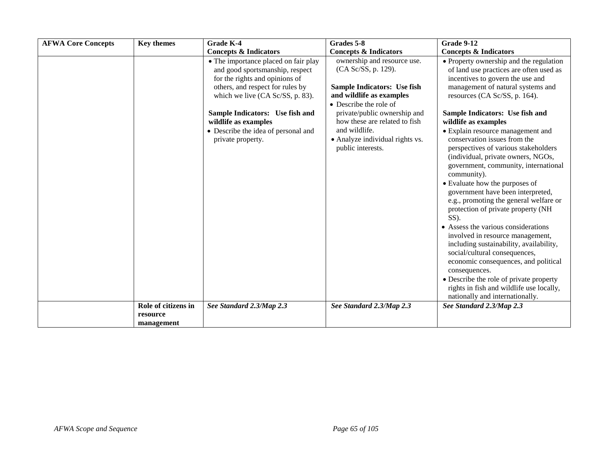| <b>AFWA Core Concepts</b> | <b>Key themes</b>                             | Grade K-4                                                                                                                                                                         | Grades 5-8                                                                                                                                     | Grade 9-12                                                                                                                                                                                                                                                                                                                                                                                                                                                                                                                                                                                                                                                                                                                                 |
|---------------------------|-----------------------------------------------|-----------------------------------------------------------------------------------------------------------------------------------------------------------------------------------|------------------------------------------------------------------------------------------------------------------------------------------------|--------------------------------------------------------------------------------------------------------------------------------------------------------------------------------------------------------------------------------------------------------------------------------------------------------------------------------------------------------------------------------------------------------------------------------------------------------------------------------------------------------------------------------------------------------------------------------------------------------------------------------------------------------------------------------------------------------------------------------------------|
|                           |                                               | <b>Concepts &amp; Indicators</b>                                                                                                                                                  | <b>Concepts &amp; Indicators</b>                                                                                                               | <b>Concepts &amp; Indicators</b>                                                                                                                                                                                                                                                                                                                                                                                                                                                                                                                                                                                                                                                                                                           |
|                           |                                               | • The importance placed on fair play<br>and good sportsmanship, respect<br>for the rights and opinions of<br>others, and respect for rules by<br>which we live (CA Sc/SS, p. 83). | ownership and resource use.<br>(CA Sc/SS, p. 129).<br><b>Sample Indicators: Use fish</b><br>and wildlife as examples<br>• Describe the role of | • Property ownership and the regulation<br>of land use practices are often used as<br>incentives to govern the use and<br>management of natural systems and<br>resources (CA Sc/SS, p. 164).                                                                                                                                                                                                                                                                                                                                                                                                                                                                                                                                               |
|                           |                                               | Sample Indicators: Use fish and<br>wildlife as examples<br>• Describe the idea of personal and<br>private property.                                                               | private/public ownership and<br>how these are related to fish<br>and wildlife.<br>• Analyze individual rights vs.<br>public interests.         | Sample Indicators: Use fish and<br>wildlife as examples<br>• Explain resource management and<br>conservation issues from the<br>perspectives of various stakeholders<br>(individual, private owners, NGOs,<br>government, community, international<br>community).<br>• Evaluate how the purposes of<br>government have been interpreted,<br>e.g., promoting the general welfare or<br>protection of private property (NH<br>$SS$ ).<br>• Assess the various considerations<br>involved in resource management,<br>including sustainability, availability,<br>social/cultural consequences,<br>economic consequences, and political<br>consequences.<br>• Describe the role of private property<br>rights in fish and wildlife use locally, |
|                           |                                               |                                                                                                                                                                                   |                                                                                                                                                | nationally and internationally.                                                                                                                                                                                                                                                                                                                                                                                                                                                                                                                                                                                                                                                                                                            |
|                           | Role of citizens in<br>resource<br>management | See Standard 2.3/Map 2.3                                                                                                                                                          | See Standard 2.3/Map 2.3                                                                                                                       | See Standard 2.3/Map 2.3                                                                                                                                                                                                                                                                                                                                                                                                                                                                                                                                                                                                                                                                                                                   |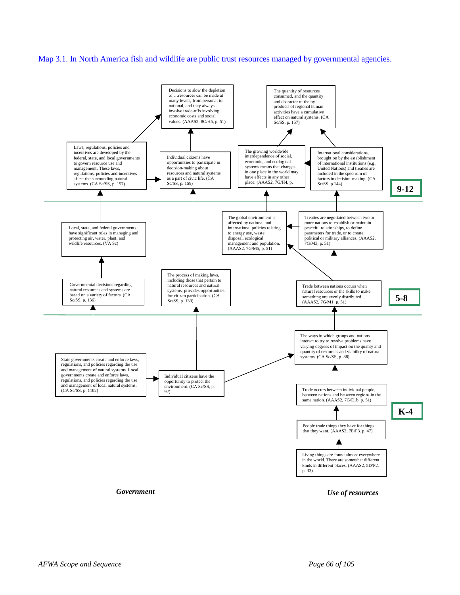





*Government Use of resources*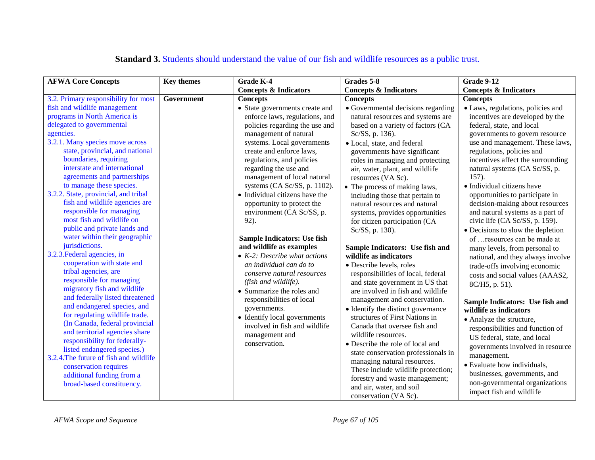| <b>AFWA Core Concepts</b>                                      | <b>Key themes</b> | <b>Grade K-4</b>                     | Grades 5-8                          | Grade 9-12                        |
|----------------------------------------------------------------|-------------------|--------------------------------------|-------------------------------------|-----------------------------------|
|                                                                |                   | <b>Concepts &amp; Indicators</b>     | <b>Concepts &amp; Indicators</b>    | <b>Concepts &amp; Indicators</b>  |
| 3.2. Primary responsibility for most                           | Government        | <b>Concepts</b>                      | <b>Concepts</b>                     | <b>Concepts</b>                   |
| fish and wildlife management                                   |                   | • State governments create and       | • Governmental decisions regarding  | · Laws, regulations, policies and |
| programs in North America is                                   |                   | enforce laws, regulations, and       | natural resources and systems are   | incentives are developed by the   |
| delegated to governmental                                      |                   | policies regarding the use and       | based on a variety of factors (CA   | federal, state, and local         |
| agencies.                                                      |                   | management of natural                | Sc/SS, p. 136).                     | governments to govern resource    |
| 3.2.1. Many species move across                                |                   | systems. Local governments           | • Local, state, and federal         | use and management. These laws,   |
| state, provincial, and national                                |                   | create and enforce laws,             | governments have significant        | regulations, policies and         |
| boundaries, requiring                                          |                   | regulations, and policies            | roles in managing and protecting    | incentives affect the surrounding |
| interstate and international                                   |                   | regarding the use and                | air, water, plant, and wildlife     | natural systems (CA Sc/SS, p.     |
| agreements and partnerships                                    |                   | management of local natural          | resources (VA Sc).                  | 157).                             |
| to manage these species.                                       |                   | systems (CA Sc/SS, p. 1102).         | • The process of making laws,       | • Individual citizens have        |
| 3.2.2. State, provincial, and tribal                           |                   | • Individual citizens have the       | including those that pertain to     | opportunities to participate in   |
| fish and wildlife agencies are                                 |                   | opportunity to protect the           | natural resources and natural       | decision-making about resources   |
| responsible for managing                                       |                   | environment (CA Sc/SS, p.            | systems, provides opportunities     | and natural systems as a part of  |
| most fish and wildlife on                                      |                   | 92).                                 | for citizen participation (CA       | civic life (CA Sc/SS, p. 159).    |
| public and private lands and                                   |                   |                                      | Sc/SS, p. 130).                     | • Decisions to slow the depletion |
| water within their geographic                                  |                   | <b>Sample Indicators: Use fish</b>   |                                     | of  resources can be made at      |
| jurisdictions.                                                 |                   | and wildlife as examples             | Sample Indicators: Use fish and     | many levels, from personal to     |
| 3.2.3. Federal agencies, in                                    |                   | $\bullet$ K-2: Describe what actions | wildlife as indicators              | national, and they always involve |
| cooperation with state and                                     |                   | an individual can do to              | · Describe levels, roles            | trade-offs involving economic     |
| tribal agencies, are                                           |                   | conserve natural resources           | responsibilities of local, federal  | costs and social values (AAAS2,   |
| responsible for managing                                       |                   | (fish and wildlife).                 | and state government in US that     | 8C/H5, p. 51).                    |
| migratory fish and wildlife                                    |                   | • Summarize the roles and            | are involved in fish and wildlife   |                                   |
| and federally listed threatened<br>and endangered species, and |                   | responsibilities of local            | management and conservation.        | Sample Indicators: Use fish and   |
| for regulating wildlife trade.                                 |                   | governments.                         | • Identify the distinct governance  | wildlife as indicators            |
| (In Canada, federal provincial                                 |                   | • Identify local governments         | structures of First Nations in      | • Analyze the structure,          |
| and territorial agencies share                                 |                   | involved in fish and wildlife        | Canada that oversee fish and        | responsibilities and function of  |
| responsibility for federally-                                  |                   | management and                       | wildlife resources.                 | US federal, state, and local      |
| listed endangered species.)                                    |                   | conservation.                        | • Describe the role of local and    | governments involved in resource  |
| 3.2.4. The future of fish and wildlife                         |                   |                                      | state conservation professionals in | management.                       |
| conservation requires                                          |                   |                                      | managing natural resources.         | • Evaluate how individuals,       |
| additional funding from a                                      |                   |                                      | These include wildlife protection;  | businesses, governments, and      |
| broad-based constituency.                                      |                   |                                      | forestry and waste management;      | non-governmental organizations    |
|                                                                |                   |                                      | and air, water, and soil            | impact fish and wildlife          |
|                                                                |                   |                                      | conservation (VA Sc).               |                                   |

### **Standard 3.** Students should understand the value of our fish and wildlife resources as a public trust.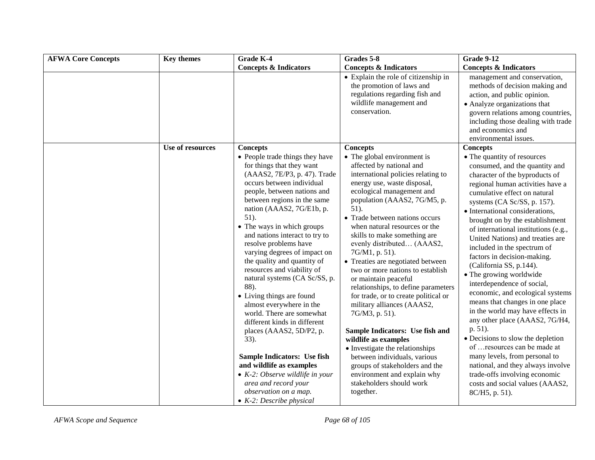| <b>AFWA Core Concepts</b> | <b>Key themes</b> | Grade K-4                                                                                                                                                                                                                                                                                                                                                                                                                                                                                                                                                                                                                                                                                                                                                                        | Grades 5-8                                                                                                                                                                                                                                                                                                                                                                                                                                                                                                                                                                                                                                                                                                                                                                                    | <b>Grade 9-12</b>                                                                                                                                                                                                                                                                                                                                                                                                                                                                                                                                                                                                                                                                                                                                                                                                                                                |
|---------------------------|-------------------|----------------------------------------------------------------------------------------------------------------------------------------------------------------------------------------------------------------------------------------------------------------------------------------------------------------------------------------------------------------------------------------------------------------------------------------------------------------------------------------------------------------------------------------------------------------------------------------------------------------------------------------------------------------------------------------------------------------------------------------------------------------------------------|-----------------------------------------------------------------------------------------------------------------------------------------------------------------------------------------------------------------------------------------------------------------------------------------------------------------------------------------------------------------------------------------------------------------------------------------------------------------------------------------------------------------------------------------------------------------------------------------------------------------------------------------------------------------------------------------------------------------------------------------------------------------------------------------------|------------------------------------------------------------------------------------------------------------------------------------------------------------------------------------------------------------------------------------------------------------------------------------------------------------------------------------------------------------------------------------------------------------------------------------------------------------------------------------------------------------------------------------------------------------------------------------------------------------------------------------------------------------------------------------------------------------------------------------------------------------------------------------------------------------------------------------------------------------------|
|                           |                   | <b>Concepts &amp; Indicators</b>                                                                                                                                                                                                                                                                                                                                                                                                                                                                                                                                                                                                                                                                                                                                                 | <b>Concepts &amp; Indicators</b>                                                                                                                                                                                                                                                                                                                                                                                                                                                                                                                                                                                                                                                                                                                                                              | <b>Concepts &amp; Indicators</b>                                                                                                                                                                                                                                                                                                                                                                                                                                                                                                                                                                                                                                                                                                                                                                                                                                 |
|                           |                   |                                                                                                                                                                                                                                                                                                                                                                                                                                                                                                                                                                                                                                                                                                                                                                                  | • Explain the role of citizenship in<br>the promotion of laws and<br>regulations regarding fish and<br>wildlife management and<br>conservation.                                                                                                                                                                                                                                                                                                                                                                                                                                                                                                                                                                                                                                               | management and conservation,<br>methods of decision making and<br>action, and public opinion.<br>• Analyze organizations that<br>govern relations among countries,<br>including those dealing with trade<br>and economics and<br>environmental issues.                                                                                                                                                                                                                                                                                                                                                                                                                                                                                                                                                                                                           |
|                           | Use of resources  | <b>Concepts</b><br>• People trade things they have                                                                                                                                                                                                                                                                                                                                                                                                                                                                                                                                                                                                                                                                                                                               | <b>Concepts</b><br>• The global environment is                                                                                                                                                                                                                                                                                                                                                                                                                                                                                                                                                                                                                                                                                                                                                | <b>Concepts</b><br>• The quantity of resources                                                                                                                                                                                                                                                                                                                                                                                                                                                                                                                                                                                                                                                                                                                                                                                                                   |
|                           |                   | for things that they want<br>(AAAS2, 7E/P3, p. 47). Trade<br>occurs between individual<br>people, between nations and<br>between regions in the same<br>nation (AAAS2, 7G/E1b, p.<br>$51)$ .<br>• The ways in which groups<br>and nations interact to try to<br>resolve problems have<br>varying degrees of impact on<br>the quality and quantity of<br>resources and viability of<br>natural systems (CA Sc/SS, p.<br>88).<br>• Living things are found<br>almost everywhere in the<br>world. There are somewhat<br>different kinds in different<br>places (AAAS2, 5D/P2, p.<br>33).<br>Sample Indicators: Use fish<br>and wildlife as examples<br>$\bullet$ K-2: Observe wildlife in your<br>area and record your<br>observation on a map.<br>$\bullet$ K-2: Describe physical | affected by national and<br>international policies relating to<br>energy use, waste disposal,<br>ecological management and<br>population (AAAS2, 7G/M5, p.<br>51).<br>• Trade between nations occurs<br>when natural resources or the<br>skills to make something are<br>evenly distributed (AAAS2,<br>7G/M1, p. 51).<br>• Treaties are negotiated between<br>two or more nations to establish<br>or maintain peaceful<br>relationships, to define parameters<br>for trade, or to create political or<br>military alliances (AAAS2,<br>7G/M3, p. 51).<br>Sample Indicators: Use fish and<br>wildlife as examples<br>• Investigate the relationships<br>between individuals, various<br>groups of stakeholders and the<br>environment and explain why<br>stakeholders should work<br>together. | consumed, and the quantity and<br>character of the byproducts of<br>regional human activities have a<br>cumulative effect on natural<br>systems (CA Sc/SS, p. 157).<br>• International considerations,<br>brought on by the establishment<br>of international institutions (e.g.,<br>United Nations) and treaties are<br>included in the spectrum of<br>factors in decision-making.<br>(California SS, p.144).<br>• The growing worldwide<br>interdependence of social,<br>economic, and ecological systems<br>means that changes in one place<br>in the world may have effects in<br>any other place (AAAS2, 7G/H4,<br>p. 51).<br>• Decisions to slow the depletion<br>of  resources can be made at<br>many levels, from personal to<br>national, and they always involve<br>trade-offs involving economic<br>costs and social values (AAAS2,<br>8C/H5, p. 51). |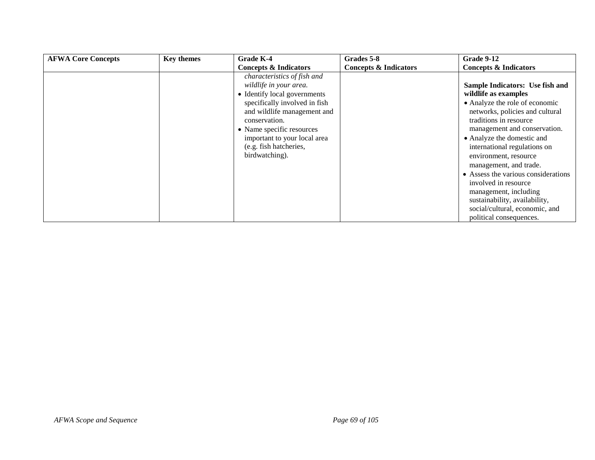| <b>AFWA Core Concepts</b> | <b>Key themes</b> | Grade K-4                        | Grades 5-8                       | Grade 9-12                          |
|---------------------------|-------------------|----------------------------------|----------------------------------|-------------------------------------|
|                           |                   | <b>Concepts &amp; Indicators</b> | <b>Concepts &amp; Indicators</b> | <b>Concepts &amp; Indicators</b>    |
|                           |                   | characteristics of fish and      |                                  |                                     |
|                           |                   | wildlife in your area.           |                                  | Sample Indicators: Use fish and     |
|                           |                   | • Identify local governments     |                                  | wildlife as examples                |
|                           |                   | specifically involved in fish    |                                  | • Analyze the role of economic      |
|                           |                   | and wildlife management and      |                                  | networks, policies and cultural     |
|                           |                   | conservation.                    |                                  | traditions in resource              |
|                           |                   | • Name specific resources        |                                  | management and conservation.        |
|                           |                   | important to your local area     |                                  | • Analyze the domestic and          |
|                           |                   | (e.g. fish hatcheries,           |                                  | international regulations on        |
|                           |                   | birdwatching).                   |                                  | environment, resource               |
|                           |                   |                                  |                                  | management, and trade.              |
|                           |                   |                                  |                                  | • Assess the various considerations |
|                           |                   |                                  |                                  | involved in resource                |
|                           |                   |                                  |                                  | management, including               |
|                           |                   |                                  |                                  | sustainability, availability,       |
|                           |                   |                                  |                                  | social/cultural, economic, and      |
|                           |                   |                                  |                                  | political consequences.             |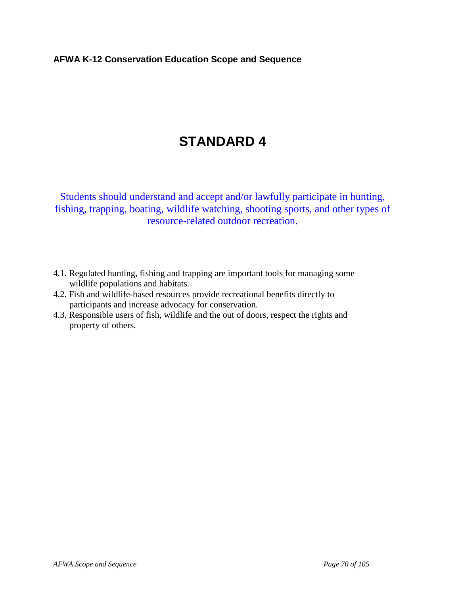#### **AFWA K-12 Conservation Education Scope and Sequence**

# **STANDARD 4**

Students should understand and accept and/or lawfully participate in hunting, fishing, trapping, boating, wildlife watching, shooting sports, and other types of resource-related outdoor recreation.

- 4.1. Regulated hunting, fishing and trapping are important tools for managing some wildlife populations and habitats.
- 4.2. Fish and wildlife-based resources provide recreational benefits directly to participants and increase advocacy for conservation.
- 4.3. Responsible users of fish, wildlife and the out of doors, respect the rights and property of others.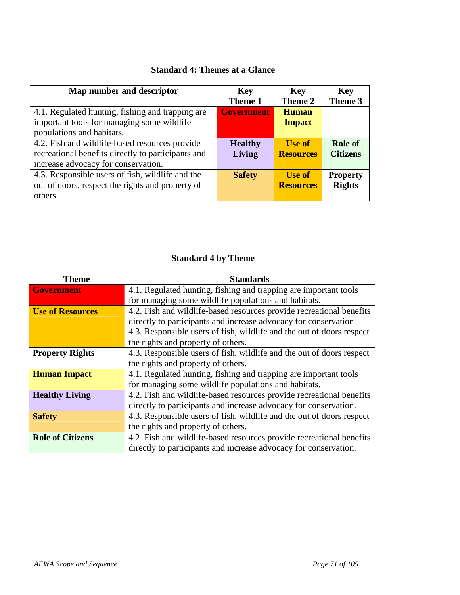| Map number and descriptor                          | <b>Key</b><br>Theme 1 | <b>Key</b><br>Theme 2 | <b>Key</b><br>Theme 3 |
|----------------------------------------------------|-----------------------|-----------------------|-----------------------|
| 4.1. Regulated hunting, fishing and trapping are   | <b>Government</b>     | <b>Human</b>          |                       |
| important tools for managing some wildlife         |                       | <b>Impact</b>         |                       |
| populations and habitats.                          |                       |                       |                       |
| 4.2. Fish and wildlife-based resources provide     | <b>Healthy</b>        | <b>Use of</b>         | Role of               |
| recreational benefits directly to participants and | <b>Living</b>         | <b>Resources</b>      | <b>Citizens</b>       |
| increase advocacy for conservation.                |                       |                       |                       |
| 4.3. Responsible users of fish, wildlife and the   | <b>Safety</b>         | <b>Use of</b>         | <b>Property</b>       |
| out of doors, respect the rights and property of   |                       | <b>Resources</b>      | <b>Rights</b>         |
| others.                                            |                       |                       |                       |

## **Standard 4: Themes at a Glance**

# **Standard 4 by Theme**

| <b>Theme</b>            | <b>Standards</b>                                                      |  |
|-------------------------|-----------------------------------------------------------------------|--|
| <b>Government</b>       | 4.1. Regulated hunting, fishing and trapping are important tools      |  |
|                         | for managing some wildlife populations and habitats.                  |  |
| <b>Use of Resources</b> | 4.2. Fish and wildlife-based resources provide recreational benefits  |  |
|                         | directly to participants and increase advocacy for conservation       |  |
|                         | 4.3. Responsible users of fish, wildlife and the out of doors respect |  |
|                         | the rights and property of others.                                    |  |
| <b>Property Rights</b>  | 4.3. Responsible users of fish, wildlife and the out of doors respect |  |
|                         | the rights and property of others.                                    |  |
| <b>Human Impact</b>     | 4.1. Regulated hunting, fishing and trapping are important tools      |  |
|                         | for managing some wildlife populations and habitats.                  |  |
| <b>Healthy Living</b>   | 4.2. Fish and wildlife-based resources provide recreational benefits  |  |
|                         | directly to participants and increase advocacy for conservation.      |  |
| <b>Safety</b>           | 4.3. Responsible users of fish, wildlife and the out of doors respect |  |
|                         | the rights and property of others.                                    |  |
| <b>Role of Citizens</b> | 4.2. Fish and wildlife-based resources provide recreational benefits  |  |
|                         | directly to participants and increase advocacy for conservation.      |  |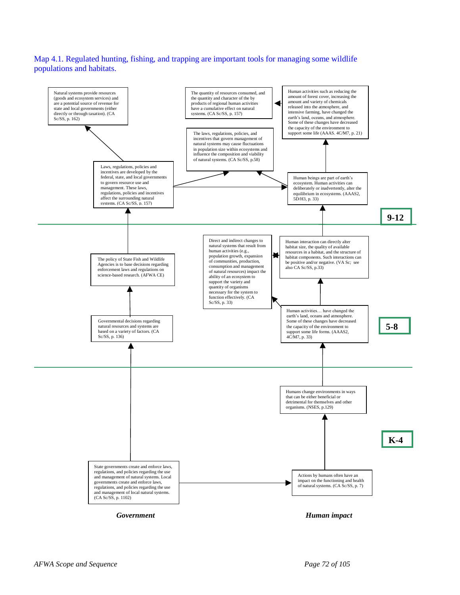Map 4.1. Regulated hunting, fishing, and trapping are important tools for managing some wildlife populations and habitats.

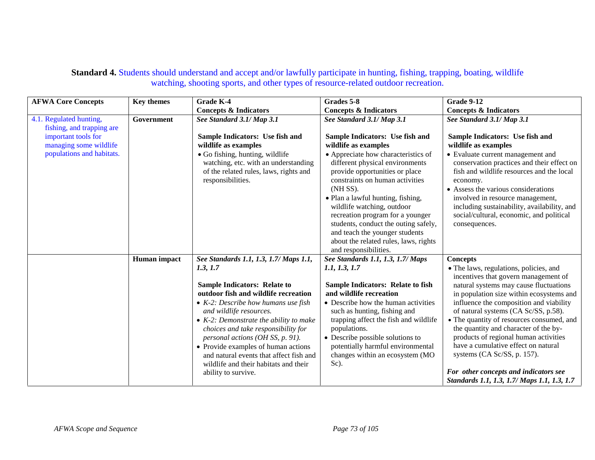## **Standard 4.** Students should understand and accept and/or lawfully participate in hunting, fishing, trapping, boating, wildlife watching, shooting sports, and other types of resource-related outdoor recreation.

| <b>AFWA Core Concepts</b>                            | <b>Key themes</b> | <b>Grade K-4</b>                                                                                                                                                                                                                                                                                                                                                                                                                       | Grades 5-8                                                                                                                                                                                                                                                                                                                                                                                                 | <b>Grade 9-12</b>                                                                                                                                                                                                                                                                                                                                                                                                                                                                                                                                    |
|------------------------------------------------------|-------------------|----------------------------------------------------------------------------------------------------------------------------------------------------------------------------------------------------------------------------------------------------------------------------------------------------------------------------------------------------------------------------------------------------------------------------------------|------------------------------------------------------------------------------------------------------------------------------------------------------------------------------------------------------------------------------------------------------------------------------------------------------------------------------------------------------------------------------------------------------------|------------------------------------------------------------------------------------------------------------------------------------------------------------------------------------------------------------------------------------------------------------------------------------------------------------------------------------------------------------------------------------------------------------------------------------------------------------------------------------------------------------------------------------------------------|
|                                                      |                   | <b>Concepts &amp; Indicators</b>                                                                                                                                                                                                                                                                                                                                                                                                       | <b>Concepts &amp; Indicators</b>                                                                                                                                                                                                                                                                                                                                                                           | <b>Concepts &amp; Indicators</b>                                                                                                                                                                                                                                                                                                                                                                                                                                                                                                                     |
| 4.1. Regulated hunting,<br>fishing, and trapping are | Government        | See Standard 3.1/ Map 3.1                                                                                                                                                                                                                                                                                                                                                                                                              | See Standard 3.1/ Map 3.1                                                                                                                                                                                                                                                                                                                                                                                  | See Standard 3.1/ Map 3.1                                                                                                                                                                                                                                                                                                                                                                                                                                                                                                                            |
| important tools for<br>managing some wildlife        |                   | Sample Indicators: Use fish and<br>wildlife as examples                                                                                                                                                                                                                                                                                                                                                                                | Sample Indicators: Use fish and<br>wildlife as examples                                                                                                                                                                                                                                                                                                                                                    | Sample Indicators: Use fish and<br>wildlife as examples                                                                                                                                                                                                                                                                                                                                                                                                                                                                                              |
| populations and habitats.                            |                   | • Go fishing, hunting, wildlife<br>watching, etc. with an understanding<br>of the related rules, laws, rights and<br>responsibilities.                                                                                                                                                                                                                                                                                                 | • Appreciate how characteristics of<br>different physical environments<br>provide opportunities or place<br>constraints on human activities<br>(NH SS).<br>• Plan a lawful hunting, fishing,<br>wildlife watching, outdoor<br>recreation program for a younger<br>students, conduct the outing safely,<br>and teach the younger students<br>about the related rules, laws, rights<br>and responsibilities. | • Evaluate current management and<br>conservation practices and their effect on<br>fish and wildlife resources and the local<br>economy.<br>• Assess the various considerations<br>involved in resource management,<br>including sustainability, availability, and<br>social/cultural, economic, and political<br>consequences.                                                                                                                                                                                                                      |
|                                                      | Human impact      | See Standards 1.1, 1.3, 1.7/ Maps 1.1,                                                                                                                                                                                                                                                                                                                                                                                                 | See Standards 1.1, 1.3, 1.7/ Maps                                                                                                                                                                                                                                                                                                                                                                          | <b>Concepts</b>                                                                                                                                                                                                                                                                                                                                                                                                                                                                                                                                      |
|                                                      |                   | 1.3, 1.7<br><b>Sample Indicators: Relate to</b><br>outdoor fish and wildlife recreation<br>• $K-2$ : Describe how humans use fish<br>and wildlife resources.<br>• $K-2$ : Demonstrate the ability to make<br>choices and take responsibility for<br>personal actions (OH SS, p. 91).<br>• Provide examples of human actions<br>and natural events that affect fish and<br>wildlife and their habitats and their<br>ability to survive. | 1.1, 1.3, 1.7<br><b>Sample Indicators: Relate to fish</b><br>and wildlife recreation<br>• Describe how the human activities<br>such as hunting, fishing and<br>trapping affect the fish and wildlife<br>populations.<br>• Describe possible solutions to<br>potentially harmful environmental<br>changes within an ecosystem (MO<br>Sc).                                                                   | • The laws, regulations, policies, and<br>incentives that govern management of<br>natural systems may cause fluctuations<br>in population size within ecosystems and<br>influence the composition and viability<br>of natural systems (CA Sc/SS, p.58).<br>• The quantity of resources consumed, and<br>the quantity and character of the by-<br>products of regional human activities<br>have a cumulative effect on natural<br>systems (CA Sc/SS, p. 157).<br>For other concepts and indicators see<br>Standards 1.1, 1.3, 1.7/ Maps 1.1, 1.3, 1.7 |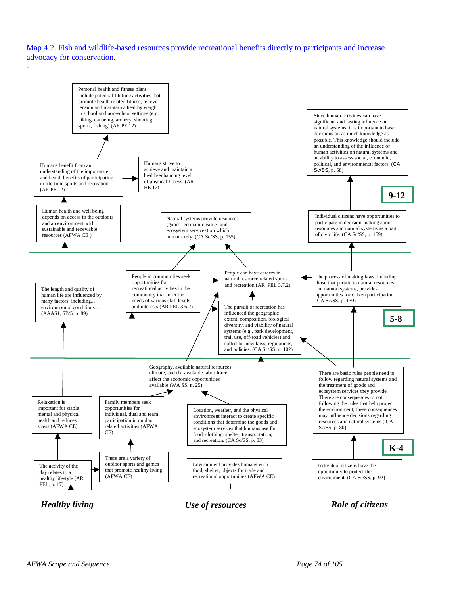Map 4.2. Fish and wildlife-based resources provide recreational benefits directly to participants and increase advocacy for conservation.

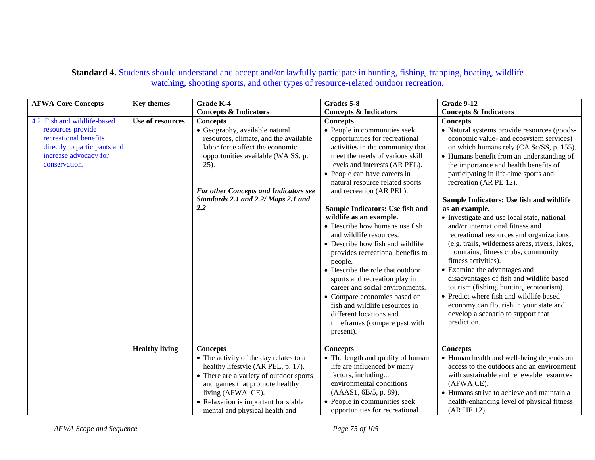## **Standard 4.** Students should understand and accept and/or lawfully participate in hunting, fishing, trapping, boating, wildlife watching, shooting sports, and other types of resource-related outdoor recreation.

| <b>AFWA Core Concepts</b>                                                                                                                            | <b>Key themes</b>     | <b>Grade K-4</b>                                                                                                                                                                                                                                                             | Grades 5-8                                                                                                                                                                                                                                                                                                                                                                                                                                                                                                                                                                                                                                                                                                                                                  | Grade 9-12                                                                                                                                                                                                                                                                                                                                                                                                                                                                                                                                                                                                                                                                                                                                                                                                                                                                                    |
|------------------------------------------------------------------------------------------------------------------------------------------------------|-----------------------|------------------------------------------------------------------------------------------------------------------------------------------------------------------------------------------------------------------------------------------------------------------------------|-------------------------------------------------------------------------------------------------------------------------------------------------------------------------------------------------------------------------------------------------------------------------------------------------------------------------------------------------------------------------------------------------------------------------------------------------------------------------------------------------------------------------------------------------------------------------------------------------------------------------------------------------------------------------------------------------------------------------------------------------------------|-----------------------------------------------------------------------------------------------------------------------------------------------------------------------------------------------------------------------------------------------------------------------------------------------------------------------------------------------------------------------------------------------------------------------------------------------------------------------------------------------------------------------------------------------------------------------------------------------------------------------------------------------------------------------------------------------------------------------------------------------------------------------------------------------------------------------------------------------------------------------------------------------|
|                                                                                                                                                      |                       | <b>Concepts &amp; Indicators</b>                                                                                                                                                                                                                                             | <b>Concepts &amp; Indicators</b>                                                                                                                                                                                                                                                                                                                                                                                                                                                                                                                                                                                                                                                                                                                            | <b>Concepts &amp; Indicators</b>                                                                                                                                                                                                                                                                                                                                                                                                                                                                                                                                                                                                                                                                                                                                                                                                                                                              |
| 4.2. Fish and wildlife-based<br>resources provide<br>recreational benefits<br>directly to participants and<br>increase advocacy for<br>conservation. | Use of resources      | <b>Concepts</b><br>• Geography, available natural<br>resources, climate, and the available<br>labor force affect the economic<br>opportunities available (WA SS, p.<br>$25$ ).<br><b>For other Concepts and Indicators see</b><br>Standards 2.1 and 2.2/ Maps 2.1 and<br>2.2 | <b>Concepts</b><br>• People in communities seek<br>opportunities for recreational<br>activities in the community that<br>meet the needs of various skill<br>levels and interests (AR PEL).<br>• People can have careers in<br>natural resource related sports<br>and recreation (AR PEL).<br>Sample Indicators: Use fish and<br>wildlife as an example.<br>• Describe how humans use fish<br>and wildlife resources.<br>• Describe how fish and wildlife<br>provides recreational benefits to<br>people.<br>• Describe the role that outdoor<br>sports and recreation play in<br>career and social environments.<br>• Compare economies based on<br>fish and wildlife resources in<br>different locations and<br>timeframes (compare past with<br>present). | <b>Concepts</b><br>• Natural systems provide resources (goods-<br>economic value- and ecosystem services)<br>on which humans rely (CA Sc/SS, p. 155).<br>• Humans benefit from an understanding of<br>the importance and health benefits of<br>participating in life-time sports and<br>recreation (AR PE 12).<br>Sample Indicators: Use fish and wildlife<br>as an example.<br>• Investigate and use local state, national<br>and/or international fitness and<br>recreational resources and organizations<br>(e.g. trails, wilderness areas, rivers, lakes,<br>mountains, fitness clubs, community<br>fitness activities).<br>• Examine the advantages and<br>disadvantages of fish and wildlife based<br>tourism (fishing, hunting, ecotourism).<br>• Predict where fish and wildlife based<br>economy can flourish in your state and<br>develop a scenario to support that<br>prediction. |
|                                                                                                                                                      | <b>Healthy living</b> | <b>Concepts</b>                                                                                                                                                                                                                                                              | <b>Concepts</b>                                                                                                                                                                                                                                                                                                                                                                                                                                                                                                                                                                                                                                                                                                                                             | <b>Concepts</b>                                                                                                                                                                                                                                                                                                                                                                                                                                                                                                                                                                                                                                                                                                                                                                                                                                                                               |
|                                                                                                                                                      |                       | • The activity of the day relates to a<br>healthy lifestyle (AR PEL, p. 17).<br>• There are a variety of outdoor sports<br>and games that promote healthy<br>living (AFWA CE).<br>• Relaxation is important for stable<br>mental and physical health and                     | • The length and quality of human<br>life are influenced by many<br>factors, including<br>environmental conditions<br>(AAAS1, 6B/5, p. 89).<br>• People in communities seek<br>opportunities for recreational                                                                                                                                                                                                                                                                                                                                                                                                                                                                                                                                               | • Human health and well-being depends on<br>access to the outdoors and an environment<br>with sustainable and renewable resources<br>(AFWA CE).<br>• Humans strive to achieve and maintain a<br>health-enhancing level of physical fitness<br>(AR HE 12).                                                                                                                                                                                                                                                                                                                                                                                                                                                                                                                                                                                                                                     |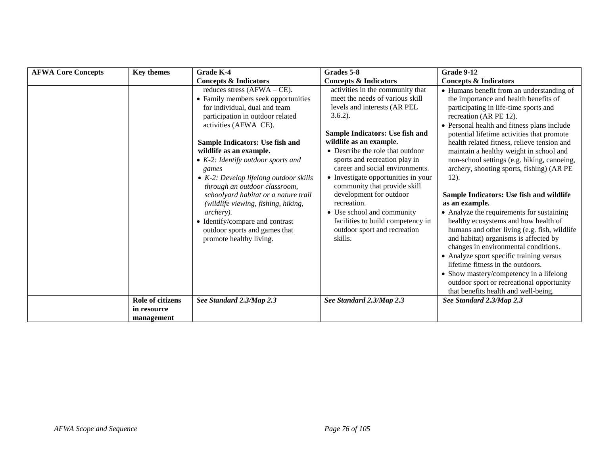| <b>AFWA Core Concepts</b> | <b>Key themes</b>               | <b>Grade K-4</b>                                                                                                                                                                                                                                                                                                                                                                                                                                                                                                                                                       | Grades 5-8                                                                                                                                                                                                                                                                                                                                                                                                                                                                                                             | <b>Grade 9-12</b>                                                                                                                                                                                                                                                                                                                                                                                                                                                                                                                                                                                                                                                                                                                                                                                                                                                                                                                                        |
|---------------------------|---------------------------------|------------------------------------------------------------------------------------------------------------------------------------------------------------------------------------------------------------------------------------------------------------------------------------------------------------------------------------------------------------------------------------------------------------------------------------------------------------------------------------------------------------------------------------------------------------------------|------------------------------------------------------------------------------------------------------------------------------------------------------------------------------------------------------------------------------------------------------------------------------------------------------------------------------------------------------------------------------------------------------------------------------------------------------------------------------------------------------------------------|----------------------------------------------------------------------------------------------------------------------------------------------------------------------------------------------------------------------------------------------------------------------------------------------------------------------------------------------------------------------------------------------------------------------------------------------------------------------------------------------------------------------------------------------------------------------------------------------------------------------------------------------------------------------------------------------------------------------------------------------------------------------------------------------------------------------------------------------------------------------------------------------------------------------------------------------------------|
|                           |                                 | <b>Concepts &amp; Indicators</b>                                                                                                                                                                                                                                                                                                                                                                                                                                                                                                                                       | <b>Concepts &amp; Indicators</b>                                                                                                                                                                                                                                                                                                                                                                                                                                                                                       | <b>Concepts &amp; Indicators</b>                                                                                                                                                                                                                                                                                                                                                                                                                                                                                                                                                                                                                                                                                                                                                                                                                                                                                                                         |
|                           |                                 | reduces stress $(AFWA - CE)$ .<br>• Family members seek opportunities<br>for individual, dual and team<br>participation in outdoor related<br>activities (AFWA CE).<br>Sample Indicators: Use fish and<br>wildlife as an example.<br>$\bullet$ K-2: Identify outdoor sports and<br>games<br>$\bullet$ K-2: Develop lifelong outdoor skills<br>through an outdoor classroom,<br>schoolyard habitat or a nature trail<br>(wildlife viewing, fishing, hiking,<br>archery).<br>• Identify/compare and contrast<br>outdoor sports and games that<br>promote healthy living. | activities in the community that<br>meet the needs of various skill<br>levels and interests (AR PEL<br>$3.6.2$ ).<br>Sample Indicators: Use fish and<br>wildlife as an example.<br>• Describe the role that outdoor<br>sports and recreation play in<br>career and social environments.<br>• Investigate opportunities in your<br>community that provide skill<br>development for outdoor<br>recreation.<br>• Use school and community<br>facilities to build competency in<br>outdoor sport and recreation<br>skills. | • Humans benefit from an understanding of<br>the importance and health benefits of<br>participating in life-time sports and<br>recreation (AR PE 12).<br>• Personal health and fitness plans include<br>potential lifetime activities that promote<br>health related fitness, relieve tension and<br>maintain a healthy weight in school and<br>non-school settings (e.g. hiking, canoeing,<br>archery, shooting sports, fishing) (AR PE<br>$12$ ).<br>Sample Indicators: Use fish and wildlife<br>as an example.<br>• Analyze the requirements for sustaining<br>healthy ecosystems and how health of<br>humans and other living (e.g. fish, wildlife<br>and habitat) organisms is affected by<br>changes in environmental conditions.<br>• Analyze sport specific training versus<br>lifetime fitness in the outdoors.<br>• Show mastery/competency in a lifelong<br>outdoor sport or recreational opportunity<br>that benefits health and well-being. |
|                           | Role of citizens<br>in resource | See Standard 2.3/Map 2.3                                                                                                                                                                                                                                                                                                                                                                                                                                                                                                                                               | See Standard 2.3/Map 2.3                                                                                                                                                                                                                                                                                                                                                                                                                                                                                               | See Standard 2.3/Map 2.3                                                                                                                                                                                                                                                                                                                                                                                                                                                                                                                                                                                                                                                                                                                                                                                                                                                                                                                                 |
|                           | management                      |                                                                                                                                                                                                                                                                                                                                                                                                                                                                                                                                                                        |                                                                                                                                                                                                                                                                                                                                                                                                                                                                                                                        |                                                                                                                                                                                                                                                                                                                                                                                                                                                                                                                                                                                                                                                                                                                                                                                                                                                                                                                                                          |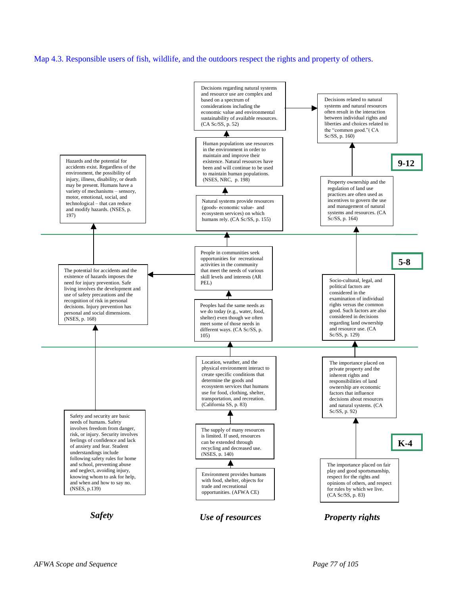#### Map 4.3. Responsible users of fish, wildlife, and the outdoors respect the rights and property of others.

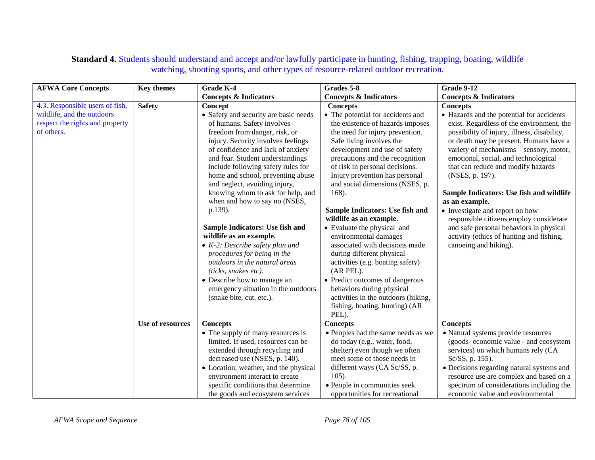## **Standard 4.** Students should understand and accept and/or lawfully participate in hunting, fishing, trapping, boating, wildlife watching, shooting sports, and other types of resource-related outdoor recreation.

| <b>AFWA Core Concepts</b>       | <b>Key themes</b> | Grade K-4                               | Grades 5-8                          | <b>Grade 9-12</b>                           |
|---------------------------------|-------------------|-----------------------------------------|-------------------------------------|---------------------------------------------|
|                                 |                   | <b>Concepts &amp; Indicators</b>        | <b>Concepts &amp; Indicators</b>    | <b>Concepts &amp; Indicators</b>            |
| 4.3. Responsible users of fish, | <b>Safety</b>     | Concept                                 | <b>Concepts</b>                     | <b>Concepts</b>                             |
| wildlife, and the outdoors      |                   | • Safety and security are basic needs   | • The potential for accidents and   | • Hazards and the potential for accidents   |
| respect the rights and property |                   | of humans. Safety involves              | the existence of hazards imposes    | exist. Regardless of the environment, the   |
| of others.                      |                   | freedom from danger, risk, or           | the need for injury prevention.     | possibility of injury, illness, disability, |
|                                 |                   | injury. Security involves feelings      | Safe living involves the            | or death may be present. Humans have a      |
|                                 |                   | of confidence and lack of anxiety       | development and use of safety       | variety of mechanisms - sensory, motor,     |
|                                 |                   | and fear. Student understandings        | precautions and the recognition     | emotional, social, and technological -      |
|                                 |                   | include following safety rules for      | of risk in personal decisions.      | that can reduce and modify hazards          |
|                                 |                   | home and school, preventing abuse       | Injury prevention has personal      | (NSES, p. 197).                             |
|                                 |                   | and neglect, avoiding injury,           | and social dimensions (NSES, p.     |                                             |
|                                 |                   | knowing whom to ask for help, and       | 168).                               | Sample Indicators: Use fish and wildlife    |
|                                 |                   | when and how to say no (NSES,           |                                     | as an example.                              |
|                                 |                   | p.139).                                 | Sample Indicators: Use fish and     | • Investigate and report on how             |
|                                 |                   |                                         | wildlife as an example.             | responsible citizens employ considerate     |
|                                 |                   | Sample Indicators: Use fish and         | • Evaluate the physical and         | and safe personal behaviors in physical     |
|                                 |                   | wildlife as an example.                 | environmental damages               | activity (ethics of hunting and fishing,    |
|                                 |                   | $\bullet$ K-2: Describe safety plan and | associated with decisions made      | canoeing and hiking).                       |
|                                 |                   | procedures for being in the             | during different physical           |                                             |
|                                 |                   | outdoors in the natural areas           | activities (e.g. boating safety)    |                                             |
|                                 |                   | (ticks, snakes etc).                    | (AR PEL).                           |                                             |
|                                 |                   | • Describe how to manage an             | • Predict outcomes of dangerous     |                                             |
|                                 |                   | emergency situation in the outdoors     | behaviors during physical           |                                             |
|                                 |                   | (snake bite, cut, etc.).                | activities in the outdoors (hiking, |                                             |
|                                 |                   |                                         | fishing, boating, hunting) (AR      |                                             |
|                                 |                   |                                         | PEL).                               |                                             |
|                                 | Use of resources  | <b>Concepts</b>                         | <b>Concepts</b>                     | <b>Concepts</b>                             |
|                                 |                   | • The supply of many resources is       | • Peoples had the same needs as we  | • Natural systems provide resources         |
|                                 |                   | limited. If used, resources can be      | do today (e.g., water, food,        | (goods-economic value - and ecosystem       |
|                                 |                   | extended through recycling and          | shelter) even though we often       | services) on which humans rely (CA          |
|                                 |                   | decreased use (NSES, p. 140).           | meet some of those needs in         | Sc/SS, p. 155).                             |
|                                 |                   | • Location, weather, and the physical   | different ways (CA Sc/SS, p.        | · Decisions regarding natural systems and   |
|                                 |                   | environment interact to create          | $105$ ).                            | resource use are complex and based on a     |
|                                 |                   | specific conditions that determine      | • People in communities seek        | spectrum of considerations including the    |
|                                 |                   | the goods and ecosystem services        | opportunities for recreational      | economic value and environmental            |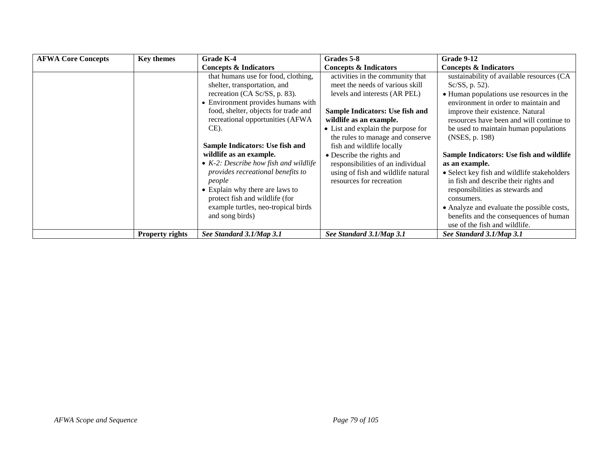| <b>AFWA Core Concepts</b> | <b>Key themes</b>      | Grade K-4                                | Grades 5-8                         | Grade 9-12                                  |
|---------------------------|------------------------|------------------------------------------|------------------------------------|---------------------------------------------|
|                           |                        | Concepts & Indicators                    | <b>Concepts &amp; Indicators</b>   | <b>Concepts &amp; Indicators</b>            |
|                           |                        | that humans use for food, clothing,      | activities in the community that   | sustainability of available resources (CA   |
|                           |                        | shelter, transportation, and             | meet the needs of various skill    | Sc/SS, p. 52).                              |
|                           |                        | recreation (CA Sc/SS, p. 83).            | levels and interests (AR PEL)      | • Human populations use resources in the    |
|                           |                        | • Environment provides humans with       |                                    | environment in order to maintain and        |
|                           |                        | food, shelter, objects for trade and     | Sample Indicators: Use fish and    | improve their existence. Natural            |
|                           |                        | recreational opportunities (AFWA         | wildlife as an example.            | resources have been and will continue to    |
|                           |                        | $CE$ ).                                  | • List and explain the purpose for | be used to maintain human populations       |
|                           |                        |                                          | the rules to manage and conserve   | (NSES, p. 198)                              |
|                           |                        | Sample Indicators: Use fish and          | fish and wildlife locally          |                                             |
|                           |                        | wildlife as an example.                  | • Describe the rights and          | Sample Indicators: Use fish and wildlife    |
|                           |                        | • $K-2$ : Describe how fish and wildlife | responsibilities of an individual  | as an example.                              |
|                           |                        | provides recreational benefits to        | using of fish and wildlife natural | • Select key fish and wildlife stakeholders |
|                           |                        | people                                   | resources for recreation           | in fish and describe their rights and       |
|                           |                        | • Explain why there are laws to          |                                    | responsibilities as stewards and            |
|                           |                        | protect fish and wildlife (for           |                                    | consumers.                                  |
|                           |                        | example turtles, neo-tropical birds      |                                    | • Analyze and evaluate the possible costs,  |
|                           |                        | and song birds)                          |                                    | benefits and the consequences of human      |
|                           |                        |                                          |                                    | use of the fish and wildlife.               |
|                           | <b>Property rights</b> | See Standard 3.1/Map 3.1                 | See Standard 3.1/Map 3.1           | See Standard 3.1/Map 3.1                    |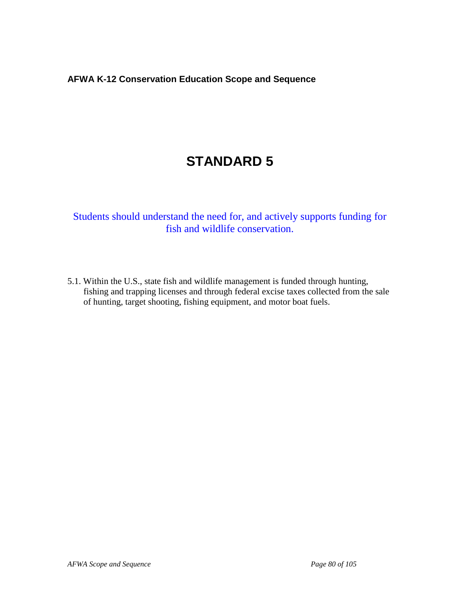# **STANDARD 5**

Students should understand the need for, and actively supports funding for fish and wildlife conservation.

5.1. Within the U.S., state fish and wildlife management is funded through hunting, fishing and trapping licenses and through federal excise taxes collected from the sale of hunting, target shooting, fishing equipment, and motor boat fuels.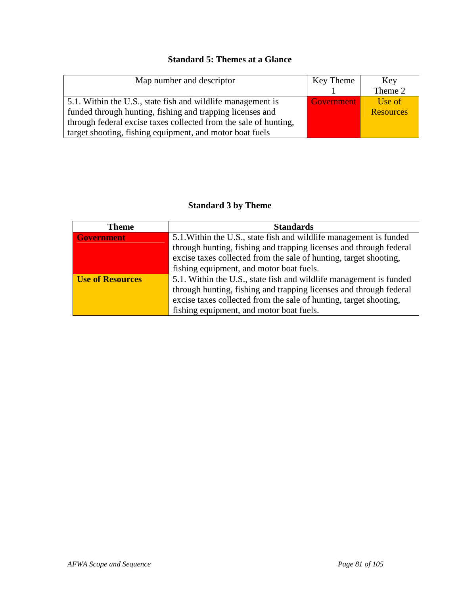## **Standard 5: Themes at a Glance**

| Map number and descriptor                                        | Key Theme  | Key              |
|------------------------------------------------------------------|------------|------------------|
|                                                                  |            | Theme 2          |
| 5.1. Within the U.S., state fish and wildlife management is      | Government | Use of           |
| funded through hunting, fishing and trapping licenses and        |            | <b>Resources</b> |
| through federal excise taxes collected from the sale of hunting, |            |                  |
| target shooting, fishing equipment, and motor boat fuels         |            |                  |

## **Standard 3 by Theme**

| <b>Theme</b>            | <b>Standards</b>                                                   |  |  |
|-------------------------|--------------------------------------------------------------------|--|--|
| <b>Government</b>       | 5.1. Within the U.S., state fish and wildlife management is funded |  |  |
|                         | through hunting, fishing and trapping licenses and through federal |  |  |
|                         | excise taxes collected from the sale of hunting, target shooting,  |  |  |
|                         | fishing equipment, and motor boat fuels.                           |  |  |
| <b>Use of Resources</b> | 5.1. Within the U.S., state fish and wildlife management is funded |  |  |
|                         | through hunting, fishing and trapping licenses and through federal |  |  |
|                         | excise taxes collected from the sale of hunting, target shooting,  |  |  |
|                         | fishing equipment, and motor boat fuels.                           |  |  |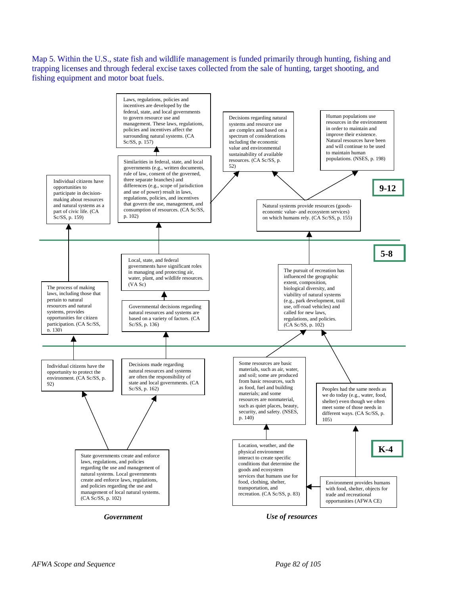Map 5. Within the U.S., state fish and wildlife management is funded primarily through hunting, fishing and trapping licenses and through federal excise taxes collected from the sale of hunting, target shooting, and fishing equipment and motor boat fuels.



*Government*

*Use of resources*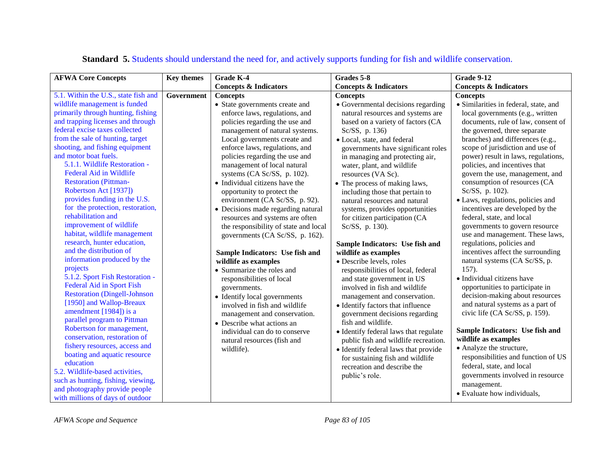| <b>AFWA Core Concepts</b>                          | <b>Key themes</b> | Grade K-4                             | Grades 5-8                            | <b>Grade 9-12</b>                     |
|----------------------------------------------------|-------------------|---------------------------------------|---------------------------------------|---------------------------------------|
|                                                    |                   | <b>Concepts &amp; Indicators</b>      | <b>Concepts &amp; Indicators</b>      | <b>Concepts &amp; Indicators</b>      |
| 5.1. Within the U.S., state fish and               | Government        | <b>Concepts</b>                       | <b>Concepts</b>                       | <b>Concepts</b>                       |
| wildlife management is funded                      |                   | • State governments create and        | · Governmental decisions regarding    | · Similarities in federal, state, and |
| primarily through hunting, fishing                 |                   | enforce laws, regulations, and        | natural resources and systems are     | local governments (e.g., written      |
| and trapping licenses and through                  |                   | policies regarding the use and        | based on a variety of factors (CA     | documents, rule of law, consent of    |
| federal excise taxes collected                     |                   | management of natural systems.        | Sc/SS, p. 136)                        | the governed, three separate          |
| from the sale of hunting, target                   |                   | Local governments create and          | · Local, state, and federal           | branches) and differences (e.g.,      |
| shooting, and fishing equipment                    |                   | enforce laws, regulations, and        | governments have significant roles    | scope of jurisdiction and use of      |
| and motor boat fuels.                              |                   | policies regarding the use and        | in managing and protecting air,       | power) result in laws, regulations,   |
| 5.1.1. Wildlife Restoration -                      |                   | management of local natural           | water, plant, and wildlife            | policies, and incentives that         |
| <b>Federal Aid in Wildlife</b>                     |                   | systems (CA Sc/SS, p. 102).           | resources (VA Sc).                    | govern the use, management, and       |
| <b>Restoration (Pittman-</b>                       |                   | • Individual citizens have the        | • The process of making laws,         | consumption of resources (CA          |
| Robertson Act [1937])                              |                   | opportunity to protect the            | including those that pertain to       | Sc/SS, p. 102).                       |
| provides funding in the U.S.                       |                   | environment (CA Sc/SS, p. 92).        | natural resources and natural         | · Laws, regulations, policies and     |
| for the protection, restoration,                   |                   | • Decisions made regarding natural    | systems, provides opportunities       | incentives are developed by the       |
| rehabilitation and                                 |                   | resources and systems are often       | for citizen participation (CA         | federal, state, and local             |
| improvement of wildlife                            |                   | the responsibility of state and local | Sc/SS, p. 130).                       | governments to govern resource        |
| habitat, wildlife management                       |                   | governments (CA Sc/SS, p. 162).       |                                       | use and management. These laws,       |
| research, hunter education,                        |                   |                                       | Sample Indicators: Use fish and       | regulations, policies and             |
| and the distribution of                            |                   | Sample Indicators: Use fish and       | wildlife as examples                  | incentives affect the surrounding     |
| information produced by the                        |                   | wildlife as examples                  | · Describe levels, roles              | natural systems (CA Sc/SS, p.         |
| projects                                           |                   | • Summarize the roles and             | responsibilities of local, federal    | 157).                                 |
| 5.1.2. Sport Fish Restoration -                    |                   | responsibilities of local             | and state government in US            | • Individual citizens have            |
| <b>Federal Aid in Sport Fish</b>                   |                   | governments.                          | involved in fish and wildlife         | opportunities to participate in       |
| <b>Restoration (Dingell-Johnson</b>                |                   | • Identify local governments          | management and conservation.          | decision-making about resources       |
| [1950] and Wallop-Breaux<br>amendment [1984]) is a |                   | involved in fish and wildlife         | • Identify factors that influence     | and natural systems as a part of      |
| parallel program to Pittman                        |                   | management and conservation.          | government decisions regarding        | civic life (CA Sc/SS, p. 159).        |
| Robertson for management,                          |                   | • Describe what actions an            | fish and wildlife.                    |                                       |
| conservation, restoration of                       |                   | individual can do to conserve         | • Identify federal laws that regulate | Sample Indicators: Use fish and       |
| fishery resources, access and                      |                   | natural resources (fish and           | public fish and wildlife recreation.  | wildlife as examples                  |
| boating and aquatic resource                       |                   | wildlife).                            | • Identify federal laws that provide  | • Analyze the structure,              |
| education                                          |                   |                                       | for sustaining fish and wildlife      | responsibilities and function of US   |
| 5.2. Wildlife-based activities,                    |                   |                                       | recreation and describe the           | federal, state, and local             |
| such as hunting, fishing, viewing,                 |                   |                                       | public's role.                        | governments involved in resource      |
| and photography provide people                     |                   |                                       |                                       | management.                           |
| with millions of days of outdoor                   |                   |                                       |                                       | • Evaluate how individuals,           |

# **Standard 5.** Students should understand the need for, and actively supports funding for fish and wildlife conservation.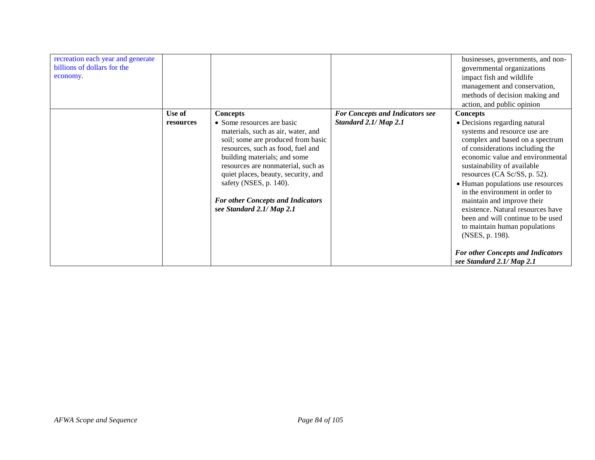| recreation each year and generate<br>billions of dollars for the<br>economy. |                     |                                                                                                                                                                                                                                                                                                                                                                                |                                                                 | businesses, governments, and non-<br>governmental organizations<br>impact fish and wildlife<br>management and conservation,<br>methods of decision making and                                                                                                                                                                                                                                                                                                             |
|------------------------------------------------------------------------------|---------------------|--------------------------------------------------------------------------------------------------------------------------------------------------------------------------------------------------------------------------------------------------------------------------------------------------------------------------------------------------------------------------------|-----------------------------------------------------------------|---------------------------------------------------------------------------------------------------------------------------------------------------------------------------------------------------------------------------------------------------------------------------------------------------------------------------------------------------------------------------------------------------------------------------------------------------------------------------|
|                                                                              |                     |                                                                                                                                                                                                                                                                                                                                                                                |                                                                 | action, and public opinion                                                                                                                                                                                                                                                                                                                                                                                                                                                |
|                                                                              | Use of<br>resources | <b>Concepts</b><br>• Some resources are basic<br>materials, such as air, water, and<br>soil; some are produced from basic<br>resources, such as food, fuel and<br>building materials; and some<br>resources are nonmaterial, such as<br>quiet places, beauty, security, and<br>safety (NSES, p. 140).<br><b>For other Concepts and Indicators</b><br>see Standard 2.1/ Map 2.1 | <b>For Concepts and Indicators see</b><br>Standard 2.1/ Map 2.1 | <b>Concepts</b><br>• Decisions regarding natural<br>systems and resource use are<br>complex and based on a spectrum<br>of considerations including the<br>economic value and environmental<br>sustainability of available<br>resources (CA Sc/SS, p. 52).<br>• Human populations use resources<br>in the environment in order to<br>maintain and improve their<br>existence. Natural resources have<br>been and will continue to be used<br>to maintain human populations |
|                                                                              |                     |                                                                                                                                                                                                                                                                                                                                                                                |                                                                 | (NSES, p. 198).<br><b>For other Concepts and Indicators</b><br>see Standard 2.1/ Map 2.1                                                                                                                                                                                                                                                                                                                                                                                  |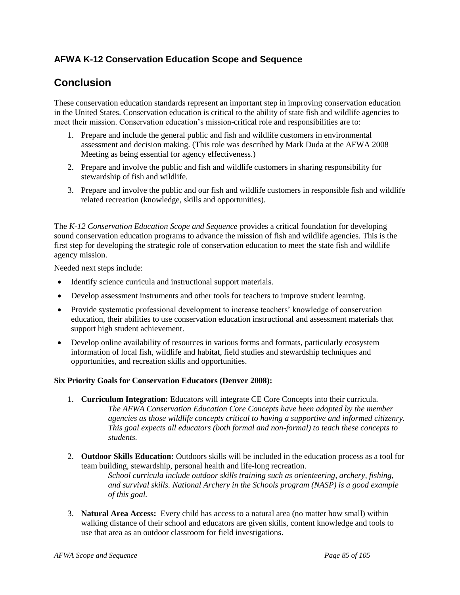## **Conclusion**

These conservation education standards represent an important step in improving conservation education in the United States. Conservation education is critical to the ability of state fish and wildlife agencies to meet their mission. Conservation education's mission-critical role and responsibilities are to:

- 1. Prepare and include the general public and fish and wildlife customers in environmental assessment and decision making. (This role was described by Mark Duda at the AFWA 2008 Meeting as being essential for agency effectiveness.)
- 2. Prepare and involve the public and fish and wildlife customers in sharing responsibility for stewardship of fish and wildlife.
- 3. Prepare and involve the public and our fish and wildlife customers in responsible fish and wildlife related recreation (knowledge, skills and opportunities).

The *K-12 Conservation Education Scope and Sequence* provides a critical foundation for developing sound conservation education programs to advance the mission of fish and wildlife agencies. This is the first step for developing the strategic role of conservation education to meet the state fish and wildlife agency mission.

Needed next steps include:

- Identify science curricula and instructional support materials.
- Develop assessment instruments and other tools for teachers to improve student learning.
- Provide systematic professional development to increase teachers' knowledge of conservation education, their abilities to use conservation education instructional and assessment materials that support high student achievement.
- Develop online availability of resources in various forms and formats, particularly ecosystem information of local fish, wildlife and habitat, field studies and stewardship techniques and opportunities, and recreation skills and opportunities.

### **Six Priority Goals for Conservation Educators (Denver 2008):**

- 1. **Curriculum Integration:** Educators will integrate CE Core Concepts into their curricula. *The AFWA Conservation Education Core Concepts have been adopted by the member agencies as those wildlife concepts critical to having a supportive and informed citizenry. This goal expects all educators (both formal and non-formal) to teach these concepts to students.*
- 2. **Outdoor Skills Education:** Outdoors skills will be included in the education process as a tool for team building, stewardship, personal health and life-long recreation. *School curricula include outdoor skills training such as orienteering, archery, fishing, and survival skills. National Archery in the Schools program (NASP) is a good example of this goal.*
- 3. **Natural Area Access:** Every child has access to a natural area (no matter how small) within walking distance of their school and educators are given skills, content knowledge and tools to use that area as an outdoor classroom for field investigations.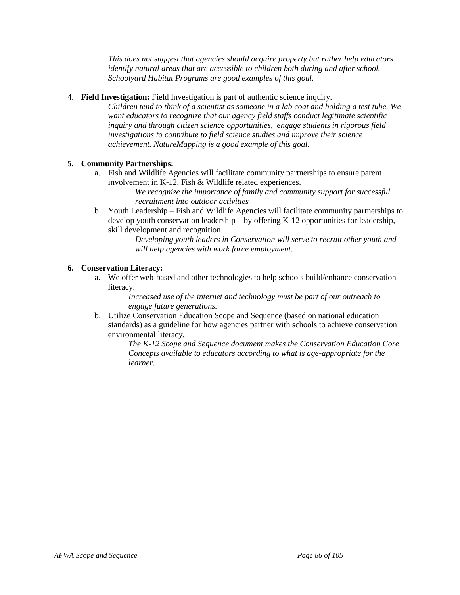*This does not suggest that agencies should acquire property but rather help educators identify natural areas that are accessible to children both during and after school. Schoolyard Habitat Programs are good examples of this goal.*

### 4. **Field Investigation:** Field Investigation is part of authentic science inquiry.

*Children tend to think of a scientist as someone in a lab coat and holding a test tube. We want educators to recognize that our agency field staffs conduct legitimate scientific inquiry and through citizen science opportunities, engage students in rigorous field investigations to contribute to field science studies and improve their science achievement. NatureMapping is a good example of this goal.*

### **5. Community Partnerships:**

a. Fish and Wildlife Agencies will facilitate community partnerships to ensure parent involvement in K-12, Fish & Wildlife related experiences.

*We recognize the importance of family and community support for successful recruitment into outdoor activities*

b. Youth Leadership –Fish and Wildlife Agencies will facilitate community partnerships to develop youth conservation leadership – by offering K-12 opportunities for leadership, skill development and recognition.

> *Developing youth leaders in Conservation will serve to recruit other youth and will help agencies with work force employment.*

### **6. Conservation Literacy:**

a. We offer web-based and other technologies to help schools build/enhance conservation literacy.

> *Increased use of the internet and technology must be part of our outreach to engage future generations.*

b. Utilize Conservation Education Scope and Sequence (based on national education standards) as a guideline for how agencies partner with schools to achieve conservation environmental literacy.

*The K-12 Scope and Sequence document makes the Conservation Education Core Concepts available to educators according to what is age-appropriate for the learner.*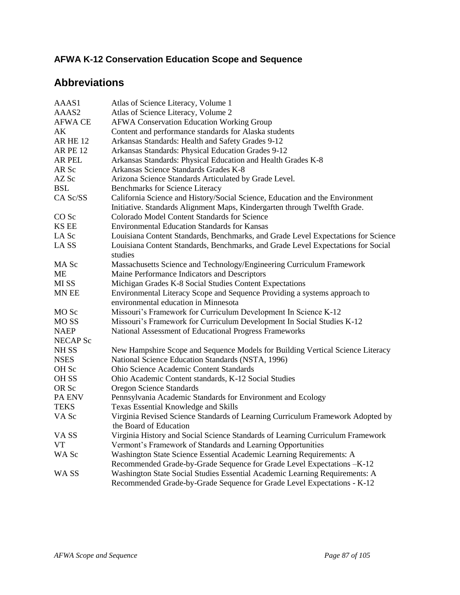# **Abbreviations**

| AAAS1            | Atlas of Science Literacy, Volume 1                                               |
|------------------|-----------------------------------------------------------------------------------|
| AAAS2            | Atlas of Science Literacy, Volume 2                                               |
| <b>AFWA CE</b>   | <b>AFWA Conservation Education Working Group</b>                                  |
| AК               | Content and performance standards for Alaska students                             |
| <b>AR HE 12</b>  | Arkansas Standards: Health and Safety Grades 9-12                                 |
| <b>AR PE 12</b>  | Arkansas Standards: Physical Education Grades 9-12                                |
| AR PEL           | Arkansas Standards: Physical Education and Health Grades K-8                      |
| AR Sc            | Arkansas Science Standards Grades K-8                                             |
| AZ Sc            | Arizona Science Standards Articulated by Grade Level.                             |
| <b>BSL</b>       | <b>Benchmarks for Science Literacy</b>                                            |
| CA Sc/SS         | California Science and History/Social Science, Education and the Environment      |
|                  | Initiative. Standards Alignment Maps, Kindergarten through Twelfth Grade.         |
| CO <sub>Sc</sub> | Colorado Model Content Standards for Science                                      |
| <b>KS EE</b>     | <b>Environmental Education Standards for Kansas</b>                               |
| LA Sc            | Louisiana Content Standards, Benchmarks, and Grade Level Expectations for Science |
| LA SS            | Louisiana Content Standards, Benchmarks, and Grade Level Expectations for Social  |
|                  | studies                                                                           |
| MA Sc            | Massachusetts Science and Technology/Engineering Curriculum Framework             |
| <b>ME</b>        | Maine Performance Indicators and Descriptors                                      |
| MI SS            | Michigan Grades K-8 Social Studies Content Expectations                           |
| MN EE            | Environmental Literacy Scope and Sequence Providing a systems approach to         |
|                  | environmental education in Minnesota                                              |
| MO <sub>Sc</sub> | Missouri's Framework for Curriculum Development In Science K-12                   |
| MO <sub>SS</sub> | Missouri's Framework for Curriculum Development In Social Studies K-12            |
| <b>NAEP</b>      | National Assessment of Educational Progress Frameworks                            |
| <b>NECAP Sc</b>  |                                                                                   |
| NH <sub>SS</sub> | New Hampshire Scope and Sequence Models for Building Vertical Science Literacy    |
| <b>NSES</b>      | National Science Education Standards (NSTA, 1996)                                 |
| OH Sc            | Ohio Science Academic Content Standards                                           |
| OH <sub>SS</sub> | Ohio Academic Content standards, K-12 Social Studies                              |
| OR Sc            | <b>Oregon Science Standards</b>                                                   |
| PA ENV           | Pennsylvania Academic Standards for Environment and Ecology                       |
| <b>TEKS</b>      | Texas Essential Knowledge and Skills                                              |
| VA Sc            | Virginia Revised Science Standards of Learning Curriculum Framework Adopted by    |
|                  | the Board of Education                                                            |
| VA <sub>SS</sub> | Virginia History and Social Science Standards of Learning Curriculum Framework    |
| VT.              | Vermont's Framework of Standards and Learning Opportunities                       |
| WA Sc            | Washington State Science Essential Academic Learning Requirements: A              |
|                  | Recommended Grade-by-Grade Sequence for Grade Level Expectations -K-12            |
| WA SS            | Washington State Social Studies Essential Academic Learning Requirements: A       |
|                  | Recommended Grade-by-Grade Sequence for Grade Level Expectations - K-12           |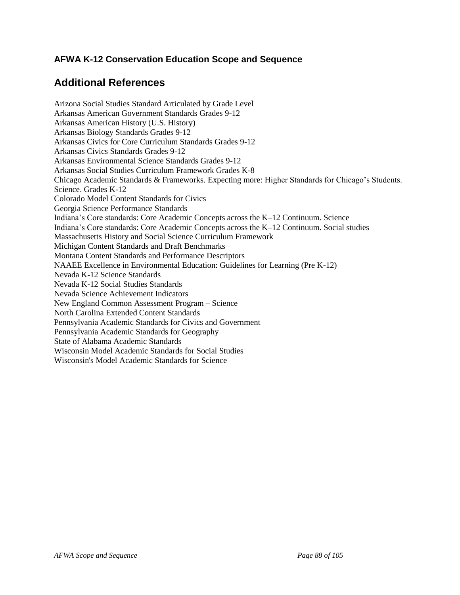# **Additional References**

Arizona Social Studies Standard Articulated by Grade Level Arkansas American Government Standards Grades 9-12 Arkansas American History (U.S. History) Arkansas Biology Standards Grades 9-12 Arkansas Civics for Core Curriculum Standards Grades 9-12 Arkansas Civics Standards Grades 9-12 Arkansas Environmental Science Standards Grades 9-12 Arkansas Social Studies Curriculum Framework Grades K-8 Chicago Academic Standards & Frameworks. Expecting more: Higher Standards for Chicago's Students. Science. Grades K-12 Colorado Model Content Standards for Civics Georgia Science Performance Standards Indiana's Core standards: Core Academic Concepts across the K–12 Continuum. Science Indiana's Core standards: Core Academic Concepts across the K–12 Continuum. Social studies Massachusetts History and Social Science Curriculum Framework Michigan Content Standards and Draft Benchmarks Montana Content Standards and Performance Descriptors NAAEE Excellence in Environmental Education: Guidelines for Learning (Pre K-12) Nevada K-12 Science Standards Nevada K-12 Social Studies Standards Nevada Science Achievement Indicators New England Common Assessment Program – Science North Carolina Extended Content Standards Pennsylvania Academic Standards for Civics and Government Pennsylvania Academic Standards for Geography State of Alabama Academic Standards Wisconsin Model Academic Standards for Social Studies Wisconsin's Model Academic Standards for Science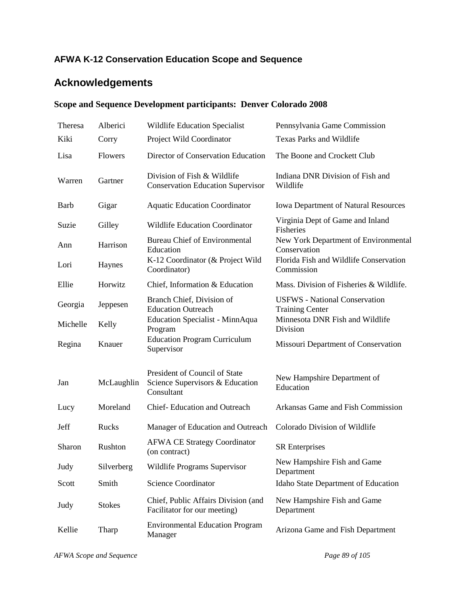# **Acknowledgements**

## **Scope and Sequence Development participants: Denver Colorado 2008**

| Theresa     | Alberici       | Wildlife Education Specialist                                                  | Pennsylvania Game Commission                                   |
|-------------|----------------|--------------------------------------------------------------------------------|----------------------------------------------------------------|
| Kiki        | Corry          | Project Wild Coordinator                                                       | <b>Texas Parks and Wildlife</b>                                |
| Lisa        | <b>Flowers</b> | Director of Conservation Education                                             | The Boone and Crockett Club                                    |
| Warren      | Gartner        | Division of Fish & Wildlife<br><b>Conservation Education Supervisor</b>        | Indiana DNR Division of Fish and<br>Wildlife                   |
| <b>Barb</b> | Gigar          | <b>Aquatic Education Coordinator</b>                                           | <b>Iowa Department of Natural Resources</b>                    |
| Suzie       | Gilley         | <b>Wildlife Education Coordinator</b>                                          | Virginia Dept of Game and Inland<br>Fisheries                  |
| Ann         | Harrison       | <b>Bureau Chief of Environmental</b><br>Education                              | New York Department of Environmental<br>Conservation           |
| Lori        | Haynes         | K-12 Coordinator (& Project Wild<br>Coordinator)                               | Florida Fish and Wildlife Conservation<br>Commission           |
| Ellie       | Horwitz        | Chief, Information & Education                                                 | Mass. Division of Fisheries & Wildlife.                        |
| Georgia     | Jeppesen       | Branch Chief, Division of<br><b>Education Outreach</b>                         | <b>USFWS</b> - National Conservation<br><b>Training Center</b> |
| Michelle    | Kelly          | Education Specialist - MinnAqua<br>Program                                     | Minnesota DNR Fish and Wildlife<br>Division                    |
| Regina      | Knauer         | <b>Education Program Curriculum</b><br>Supervisor                              | Missouri Department of Conservation                            |
| Jan         | McLaughlin     | President of Council of State<br>Science Supervisors & Education<br>Consultant | New Hampshire Department of<br>Education                       |
| Lucy        | Moreland       | Chief-Education and Outreach                                                   | Arkansas Game and Fish Commission                              |
| Jeff        | Rucks          | Manager of Education and Outreach                                              | Colorado Division of Wildlife                                  |
| Sharon      | Rushton        | <b>AFWA CE Strategy Coordinator</b><br>(on contract)                           | <b>SR</b> Enterprises                                          |
| Judy        | Silverberg     | Wildlife Programs Supervisor                                                   | New Hampshire Fish and Game<br>Department                      |
| Scott       | Smith          | <b>Science Coordinator</b>                                                     | Idaho State Department of Education                            |
| Judy        | <b>Stokes</b>  | Chief, Public Affairs Division (and<br>Facilitator for our meeting)            | New Hampshire Fish and Game<br>Department                      |
| Kellie      | Tharp          | <b>Environmental Education Program</b><br>Manager                              | Arizona Game and Fish Department                               |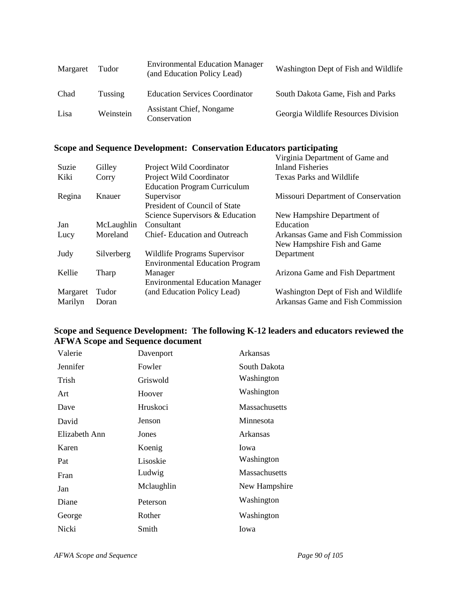| Margaret | Tudor     | <b>Environmental Education Manager</b><br>(and Education Policy Lead) | Washington Dept of Fish and Wildlife |
|----------|-----------|-----------------------------------------------------------------------|--------------------------------------|
| Chad     | Tussing   | <b>Education Services Coordinator</b>                                 | South Dakota Game, Fish and Parks    |
| Lisa     | Weinstein | <b>Assistant Chief, Nongame</b><br>Conservation                       | Georgia Wildlife Resources Division  |

### **Scope and Sequence Development: Conservation Educators participating**

|          |            |                                        | Virginia Department of Game and      |
|----------|------------|----------------------------------------|--------------------------------------|
| Suzie    | Gilley     | Project Wild Coordinator               | <b>Inland Fisheries</b>              |
| Kiki     | Corry      | Project Wild Coordinator               | Texas Parks and Wildlife             |
|          |            | <b>Education Program Curriculum</b>    |                                      |
| Regina   | Knauer     | Supervisor                             | Missouri Department of Conservation  |
|          |            | President of Council of State          |                                      |
|          |            | Science Supervisors & Education        | New Hampshire Department of          |
| Jan      | McLaughlin | Consultant                             | Education                            |
| Lucy     | Moreland   | <b>Chief-Education and Outreach</b>    | Arkansas Game and Fish Commission    |
|          |            |                                        | New Hampshire Fish and Game          |
| Judy     | Silverberg | Wildlife Programs Supervisor           | Department                           |
|          |            | <b>Environmental Education Program</b> |                                      |
| Kellie   | Tharp      | Manager                                | Arizona Game and Fish Department     |
|          |            | <b>Environmental Education Manager</b> |                                      |
| Margaret | Tudor      | (and Education Policy Lead)            | Washington Dept of Fish and Wildlife |
| Marilyn  | Doran      |                                        | Arkansas Game and Fish Commission    |

## **Scope and Sequence Development: The following K-12 leaders and educators reviewed the AFWA Scope and Sequence document**

| Valerie       | Davenport  | Arkansas             |
|---------------|------------|----------------------|
| Jennifer      | Fowler     | South Dakota         |
| Trish         | Griswold   | Washington           |
| Art           | Hoover     | Washington           |
| Dave          | Hruskoci   | <b>Massachusetts</b> |
| David         | Jenson     | Minnesota            |
| Elizabeth Ann | Jones      | Arkansas             |
|               |            |                      |
| Karen         | Koenig     | Iowa                 |
| Pat           | Lisoskie   | Washington           |
| Fran          | Ludwig     | <b>Massachusetts</b> |
| Jan           | Mclaughlin | New Hampshire        |
| Diane         | Peterson   | Washington           |
| George        | Rother     | Washington           |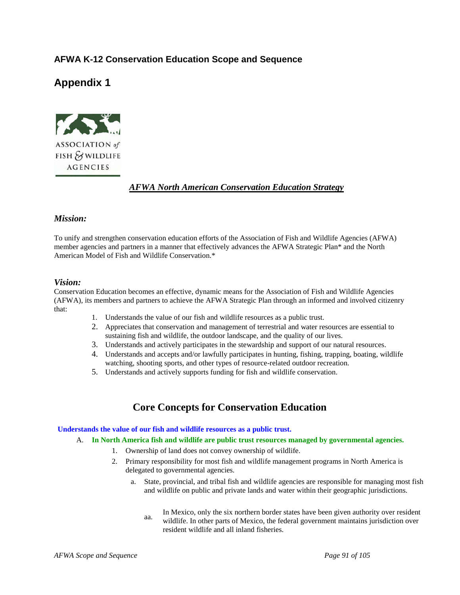## **Appendix 1**



### *AFWA North American Conservation Education Strategy*

### *Mission:*

To unify and strengthen conservation education efforts of the Association of Fish and Wildlife Agencies (AFWA) member agencies and partners in a manner that effectively advances the AFWA Strategic Plan\* and the North American Model of Fish and Wildlife Conservation.\*

### *Vision:*

Conservation Education becomes an effective, dynamic means for the Association of Fish and Wildlife Agencies (AFWA), its members and partners to achieve the AFWA Strategic Plan through an informed and involved citizenry that:

- 1. Understands the value of our fish and wildlife resources as a public trust.
- 2. Appreciates that conservation and management of terrestrial and water resources are essential to sustaining fish and wildlife, the outdoor landscape, and the quality of our lives.
- 3. Understands and actively participates in the stewardship and support of our natural resources.
- 4. Understands and accepts and/or lawfully participates in hunting, fishing, trapping, boating, wildlife watching, shooting sports, and other types of resource-related outdoor recreation.
- 5. Understands and actively supports funding for fish and wildlife conservation.

## **Core Concepts for Conservation Education**

### **Understands the value of our fish and wildlife resources as a public trust.**

A. **In North America fish and wildlife are public trust resources managed by governmental agencies.**

- 1. Ownership of land does not convey ownership of wildlife.
- 2. Primary responsibility for most fish and wildlife management programs in North America is delegated to governmental agencies.
	- a. State, provincial, and tribal fish and wildlife agencies are responsible for managing most fish and wildlife on public and private lands and water within their geographic jurisdictions.
		- aa. In Mexico, only the six northern border states have been given authority over resident wildlife. In other parts of Mexico, the federal government maintains jurisdiction over resident wildlife and all inland fisheries.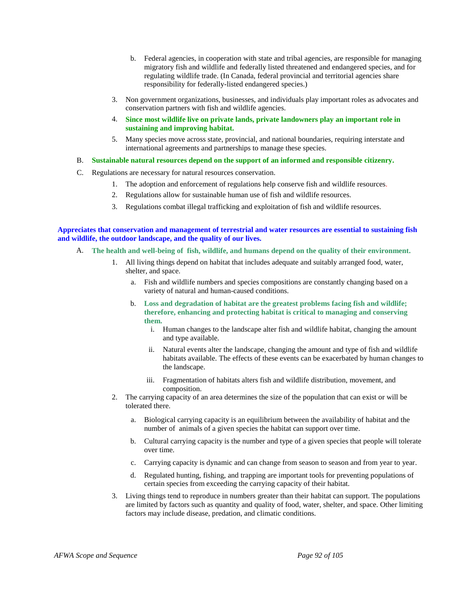- b. Federal agencies, in cooperation with state and tribal agencies, are responsible for managing migratory fish and wildlife and federally listed threatened and endangered species, and for regulating wildlife trade. (In Canada, federal provincial and territorial agencies share responsibility for federally-listed endangered species.)
- 3. Non government organizations, businesses, and individuals play important roles as advocates and conservation partners with fish and wildlife agencies.
- 4. **Since most wildlife live on private lands, private landowners play an important role in sustaining and improving habitat.**
- 5. Many species move across state, provincial, and national boundaries, requiring interstate and international agreements and partnerships to manage these species.
- B. **Sustainable natural resources depend on the support of an informed and responsible citizenry.**
- C. Regulations are necessary for natural resources conservation.
	- 1. The adoption and enforcement of regulations help conserve fish and wildlife resources.
	- 2. Regulations allow for sustainable human use of fish and wildlife resources.
	- 3. Regulations combat illegal trafficking and exploitation of fish and wildlife resources.

**Appreciates that conservation and management of terrestrial and water resources are essential to sustaining fish and wildlife, the outdoor landscape, and the quality of our lives.**

- A. **The health and well-being of fish, wildlife, and humans depend on the quality of their environment.**
	- 1. All living things depend on habitat that includes adequate and suitably arranged food, water, shelter, and space.
		- a. Fish and wildlife numbers and species compositions are constantly changing based on a variety of natural and human-caused conditions.
		- b. **Loss and degradation of habitat are the greatest problems facing fish and wildlife; therefore, enhancing and protecting habitat is critical to managing and conserving them.**
			- i. Human changes to the landscape alter fish and wildlife habitat, changing the amount and type available.
			- ii. Natural events alter the landscape, changing the amount and type of fish and wildlife habitats available. The effects of these events can be exacerbated by human changes to the landscape.
			- iii. Fragmentation of habitats alters fish and wildlife distribution, movement, and composition.
	- 2. The carrying capacity of an area determines the size of the population that can exist or will be tolerated there.
		- a. Biological carrying capacity is an equilibrium between the availability of habitat and the number of animals of a given species the habitat can support over time.
		- b. Cultural carrying capacity is the number and type of a given species that people will tolerate over time.
		- c. Carrying capacity is dynamic and can change from season to season and from year to year.
		- d. Regulated hunting, fishing, and trapping are important tools for preventing populations of certain species from exceeding the carrying capacity of their habitat.
	- 3. Living things tend to reproduce in numbers greater than their habitat can support. The populations are limited by factors such as quantity and quality of food, water, shelter, and space. Other limiting factors may include disease, predation, and climatic conditions.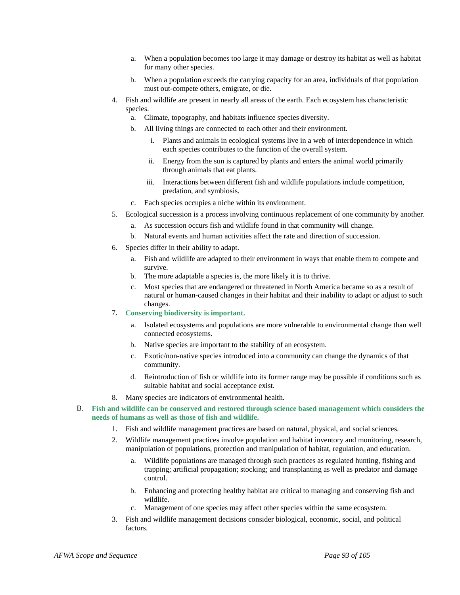- a. When a population becomes too large it may damage or destroy its habitat as well as habitat for many other species.
- b. When a population exceeds the carrying capacity for an area, individuals of that population must out-compete others, emigrate, or die.
- 4. Fish and wildlife are present in nearly all areas of the earth. Each ecosystem has characteristic species.
	- a. Climate, topography, and habitats influence species diversity.
	- b. All living things are connected to each other and their environment.
		- i. Plants and animals in ecological systems live in a web of interdependence in which each species contributes to the function of the overall system.
		- ii. Energy from the sun is captured by plants and enters the animal world primarily through animals that eat plants.
		- iii. Interactions between different fish and wildlife populations include competition, predation, and symbiosis.
	- c. Each species occupies a niche within its environment.
- 5. Ecological succession is a process involving continuous replacement of one community by another.
	- a. As succession occurs fish and wildlife found in that community will change.
	- b. Natural events and human activities affect the rate and direction of succession.
- 6. Species differ in their ability to adapt.
	- a. Fish and wildlife are adapted to their environment in ways that enable them to compete and survive.
	- b. The more adaptable a species is, the more likely it is to thrive.
	- c. Most species that are endangered or threatened in North America became so as a result of natural or human-caused changes in their habitat and their inability to adapt or adjust to such changes.
- 7. **Conserving biodiversity is important.**
	- a. Isolated ecosystems and populations are more vulnerable to environmental change than well connected ecosystems.
	- b. Native species are important to the stability of an ecosystem.
	- c. Exotic/non-native species introduced into a community can change the dynamics of that community.
	- d. Reintroduction of fish or wildlife into its former range may be possible if conditions such as suitable habitat and social acceptance exist.
- 8. Many species are indicators of environmental health.
- B. **Fish and wildlife can be conserved and restored through science based management which considers the needs of humans as well as those of fish and wildlife.**
	- 1. Fish and wildlife management practices are based on natural, physical, and social sciences.
	- 2. Wildlife management practices involve population and habitat inventory and monitoring, research, manipulation of populations, protection and manipulation of habitat, regulation, and education.
		- a. Wildlife populations are managed through such practices as regulated hunting, fishing and trapping; artificial propagation; stocking; and transplanting as well as predator and damage control.
		- b. Enhancing and protecting healthy habitat are critical to managing and conserving fish and wildlife.
		- c. Management of one species may affect other species within the same ecosystem.
	- 3. Fish and wildlife management decisions consider biological, economic, social, and political factors.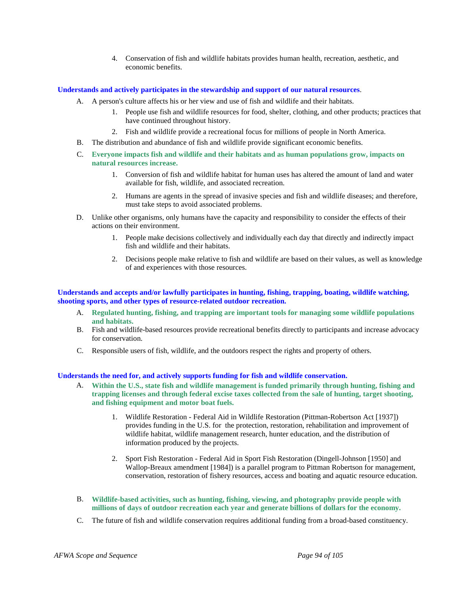4. Conservation of fish and wildlife habitats provides human health, recreation, aesthetic, and economic benefits.

#### **Understands and actively participates in the stewardship and support of our natural resources**.

- A. A person's culture affects his or her view and use of fish and wildlife and their habitats.
	- 1. People use fish and wildlife resources for food, shelter, clothing, and other products; practices that have continued throughout history.
	- 2. Fish and wildlife provide a recreational focus for millions of people in North America.
- B. The distribution and abundance of fish and wildlife provide significant economic benefits.
- C. **Everyone impacts fish and wildlife and their habitats and as human populations grow, impacts on natural resources increase.**
	- 1. Conversion of fish and wildlife habitat for human uses has altered the amount of land and water available for fish, wildlife, and associated recreation.
	- 2. Humans are agents in the spread of invasive species and fish and wildlife diseases; and therefore, must take steps to avoid associated problems.
- D. Unlike other organisms, only humans have the capacity and responsibility to consider the effects of their actions on their environment.
	- 1. People make decisions collectively and individually each day that directly and indirectly impact fish and wildlife and their habitats.
	- 2. Decisions people make relative to fish and wildlife are based on their values, as well as knowledge of and experiences with those resources.

### **Understands and accepts and/or lawfully participates in hunting, fishing, trapping, boating, wildlife watching, shooting sports, and other types of resource-related outdoor recreation.**

- A. **Regulated hunting, fishing, and trapping are important tools for managing some wildlife populations and habitats.**
- B. Fish and wildlife-based resources provide recreational benefits directly to participants and increase advocacy for conservation.
- C. Responsible users of fish, wildlife, and the outdoors respect the rights and property of others.

### **Understands the need for, and actively supports funding for fish and wildlife conservation.**

- A. **Within the U.S., state fish and wildlife management is funded primarily through hunting, fishing and trapping licenses and through federal excise taxes collected from the sale of hunting, target shooting, and fishing equipment and motor boat fuels.**
	- 1. Wildlife Restoration Federal Aid in Wildlife Restoration (Pittman-Robertson Act [1937]) provides funding in the U.S. for the protection, restoration, rehabilitation and improvement of wildlife habitat, wildlife management research, hunter education, and the distribution of information produced by the projects.
	- 2. Sport Fish Restoration Federal Aid in Sport Fish Restoration (Dingell-Johnson [1950] and Wallop-Breaux amendment [1984]) is a parallel program to Pittman Robertson for management, conservation, restoration of fishery resources, access and boating and aquatic resource education.
- B. **Wildlife-based activities, such as hunting, fishing, viewing, and photography provide people with millions of days of outdoor recreation each year and generate billions of dollars for the economy.**
- C. The future of fish and wildlife conservation requires additional funding from a broad-based constituency.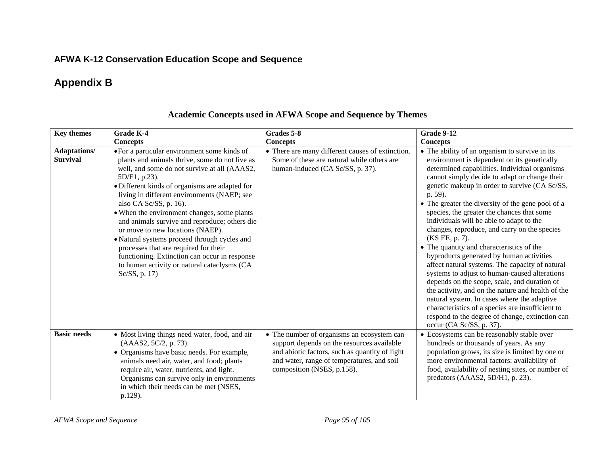# **Appendix B**

| <b>Key themes</b>                      | <b>Grade K-4</b>                                                                                                                                                                                                                                                                                                                                                                                                                                                                                                                                                                                                                         | Grades 5-8                                                                                                                                                                                                             | <b>Grade 9-12</b>                                                                                                                                                                                                                                                                                                                                                                                                                                                                                                                                                                                                                                                                                                                                                                                                                                                                                                                                                |
|----------------------------------------|------------------------------------------------------------------------------------------------------------------------------------------------------------------------------------------------------------------------------------------------------------------------------------------------------------------------------------------------------------------------------------------------------------------------------------------------------------------------------------------------------------------------------------------------------------------------------------------------------------------------------------------|------------------------------------------------------------------------------------------------------------------------------------------------------------------------------------------------------------------------|------------------------------------------------------------------------------------------------------------------------------------------------------------------------------------------------------------------------------------------------------------------------------------------------------------------------------------------------------------------------------------------------------------------------------------------------------------------------------------------------------------------------------------------------------------------------------------------------------------------------------------------------------------------------------------------------------------------------------------------------------------------------------------------------------------------------------------------------------------------------------------------------------------------------------------------------------------------|
|                                        | <b>Concepts</b>                                                                                                                                                                                                                                                                                                                                                                                                                                                                                                                                                                                                                          | <b>Concepts</b>                                                                                                                                                                                                        | <b>Concepts</b>                                                                                                                                                                                                                                                                                                                                                                                                                                                                                                                                                                                                                                                                                                                                                                                                                                                                                                                                                  |
| <b>Adaptations/</b><br><b>Survival</b> | • For a particular environment some kinds of<br>plants and animals thrive, some do not live as<br>well, and some do not survive at all (AAAS2,<br>5D/E1, p.23).<br>· Different kinds of organisms are adapted for<br>living in different environments (NAEP; see<br>also CA Sc/SS, p. 16).<br>• When the environment changes, some plants<br>and animals survive and reproduce; others die<br>or move to new locations (NAEP).<br>• Natural systems proceed through cycles and<br>processes that are required for their<br>functioning. Extinction can occur in response<br>to human activity or natural cataclysms (CA<br>Sc/SS, p. 17) | • There are many different causes of extinction.<br>Some of these are natural while others are<br>human-induced (CA Sc/SS, p. 37).                                                                                     | • The ability of an organism to survive in its<br>environment is dependent on its genetically<br>determined capabilities. Individual organisms<br>cannot simply decide to adapt or change their<br>genetic makeup in order to survive (CA Sc/SS,<br>p. 59).<br>• The greater the diversity of the gene pool of a<br>species, the greater the chances that some<br>individuals will be able to adapt to the<br>changes, reproduce, and carry on the species<br>(KS EE, p. 7).<br>• The quantity and characteristics of the<br>byproducts generated by human activities<br>affect natural systems. The capacity of natural<br>systems to adjust to human-caused alterations<br>depends on the scope, scale, and duration of<br>the activity, and on the nature and health of the<br>natural system. In cases where the adaptive<br>characteristics of a species are insufficient to<br>respond to the degree of change, extinction can<br>occur (CA Sc/SS, p. 37). |
| <b>Basic needs</b>                     | • Most living things need water, food, and air<br>(AAAS2, 5C/2, p. 73).<br>• Organisms have basic needs. For example,<br>animals need air, water, and food; plants<br>require air, water, nutrients, and light.<br>Organisms can survive only in environments<br>in which their needs can be met (NSES,<br>p.129).                                                                                                                                                                                                                                                                                                                       | • The number of organisms an ecosystem can<br>support depends on the resources available<br>and abiotic factors, such as quantity of light<br>and water, range of temperatures, and soil<br>composition (NSES, p.158). | • Ecosystems can be reasonably stable over<br>hundreds or thousands of years. As any<br>population grows, its size is limited by one or<br>more environmental factors: availability of<br>food, availability of nesting sites, or number of<br>predators (AAAS2, 5D/H1, p. 23).                                                                                                                                                                                                                                                                                                                                                                                                                                                                                                                                                                                                                                                                                  |

## **Academic Concepts used in AFWA Scope and Sequence by Themes**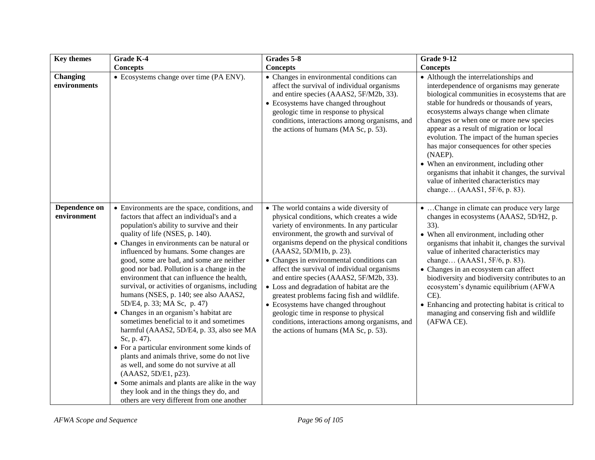| <b>Key themes</b>            | Grade K-4                                                                                                                                                                                                                                                                                                                                                                                                                                                                                                                                                                                                                                                                                                                                                                                                                                                                                                                                                                                              | Grades 5-8                                                                                                                                                                                                                                                                                                                                                                                                                                                                                                                                                                                                                                                             | <b>Grade 9-12</b>                                                                                                                                                                                                                                                                                                                                                                                                                                                                                                                                                                             |
|------------------------------|--------------------------------------------------------------------------------------------------------------------------------------------------------------------------------------------------------------------------------------------------------------------------------------------------------------------------------------------------------------------------------------------------------------------------------------------------------------------------------------------------------------------------------------------------------------------------------------------------------------------------------------------------------------------------------------------------------------------------------------------------------------------------------------------------------------------------------------------------------------------------------------------------------------------------------------------------------------------------------------------------------|------------------------------------------------------------------------------------------------------------------------------------------------------------------------------------------------------------------------------------------------------------------------------------------------------------------------------------------------------------------------------------------------------------------------------------------------------------------------------------------------------------------------------------------------------------------------------------------------------------------------------------------------------------------------|-----------------------------------------------------------------------------------------------------------------------------------------------------------------------------------------------------------------------------------------------------------------------------------------------------------------------------------------------------------------------------------------------------------------------------------------------------------------------------------------------------------------------------------------------------------------------------------------------|
|                              | <b>Concepts</b>                                                                                                                                                                                                                                                                                                                                                                                                                                                                                                                                                                                                                                                                                                                                                                                                                                                                                                                                                                                        | <b>Concepts</b>                                                                                                                                                                                                                                                                                                                                                                                                                                                                                                                                                                                                                                                        | <b>Concepts</b>                                                                                                                                                                                                                                                                                                                                                                                                                                                                                                                                                                               |
| Changing<br>environments     | • Ecosystems change over time (PA ENV).                                                                                                                                                                                                                                                                                                                                                                                                                                                                                                                                                                                                                                                                                                                                                                                                                                                                                                                                                                | • Changes in environmental conditions can<br>affect the survival of individual organisms<br>and entire species (AAAS2, 5F/M2b, 33).<br>• Ecosystems have changed throughout<br>geologic time in response to physical<br>conditions, interactions among organisms, and<br>the actions of humans (MA Sc, p. 53).                                                                                                                                                                                                                                                                                                                                                         | • Although the interrelationships and<br>interdependence of organisms may generate<br>biological communities in ecosystems that are<br>stable for hundreds or thousands of years,<br>ecosystems always change when climate<br>changes or when one or more new species<br>appear as a result of migration or local<br>evolution. The impact of the human species<br>has major consequences for other species<br>(NAEP).<br>• When an environment, including other<br>organisms that inhabit it changes, the survival<br>value of inherited characteristics may<br>change (AAAS1, 5F/6, p. 83). |
| Dependence on<br>environment | • Environments are the space, conditions, and<br>factors that affect an individual's and a<br>population's ability to survive and their<br>quality of life (NSES, p. 140).<br>• Changes in environments can be natural or<br>influenced by humans. Some changes are<br>good, some are bad, and some are neither<br>good nor bad. Pollution is a change in the<br>environment that can influence the health,<br>survival, or activities of organisms, including<br>humans (NSES, p. 140; see also AAAS2,<br>5D/E4, p. 33; MA Sc, p. 47)<br>• Changes in an organism's habitat are<br>sometimes beneficial to it and sometimes<br>harmful (AAAS2, 5D/E4, p. 33, also see MA<br>Sc, p. 47).<br>• For a particular environment some kinds of<br>plants and animals thrive, some do not live<br>as well, and some do not survive at all<br>(AAAS2, 5D/E1, p23).<br>• Some animals and plants are alike in the way<br>they look and in the things they do, and<br>others are very different from one another | • The world contains a wide diversity of<br>physical conditions, which creates a wide<br>variety of environments. In any particular<br>environment, the growth and survival of<br>organisms depend on the physical conditions<br>(AAAS2, 5D/M1b, p. 23).<br>• Changes in environmental conditions can<br>affect the survival of individual organisms<br>and entire species (AAAS2, 5F/M2b, 33).<br>• Loss and degradation of habitat are the<br>greatest problems facing fish and wildlife.<br>• Ecosystems have changed throughout<br>geologic time in response to physical<br>conditions, interactions among organisms, and<br>the actions of humans (MA Sc, p. 53). | • Change in climate can produce very large<br>changes in ecosystems (AAAS2, 5D/H2, p.<br>$33)$ .<br>• When all environment, including other<br>organisms that inhabit it, changes the survival<br>value of inherited characteristics may<br>change (AAAS1, 5F/6, p. 83).<br>• Changes in an ecosystem can affect<br>biodiversity and biodiversity contributes to an<br>ecosystem's dynamic equilibrium (AFWA<br>CE).<br>• Enhancing and protecting habitat is critical to<br>managing and conserving fish and wildlife<br>(AFWA CE).                                                          |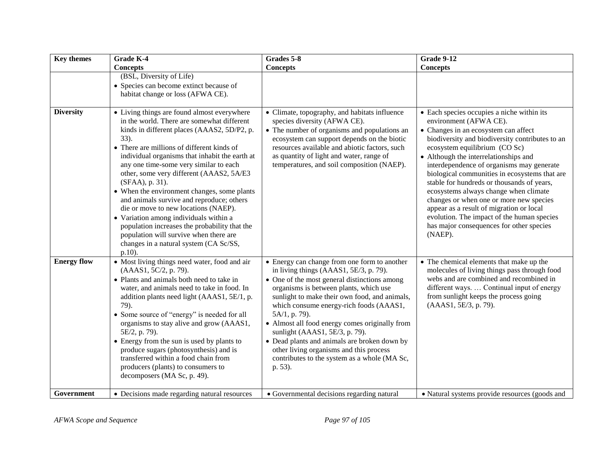| <b>Key themes</b>  | Grade K-4                                                                                                                                                                                                                                                                                                                                                                                                                                                                                                                                                                                                                                                                                 | Grades 5-8                                                                                                                                                                                                                                                                                                                                                                                                                                                                                                                              | <b>Grade 9-12</b>                                                                                                                                                                                                                                                                                                                                                                                                                                                                                                                                                                                                          |
|--------------------|-------------------------------------------------------------------------------------------------------------------------------------------------------------------------------------------------------------------------------------------------------------------------------------------------------------------------------------------------------------------------------------------------------------------------------------------------------------------------------------------------------------------------------------------------------------------------------------------------------------------------------------------------------------------------------------------|-----------------------------------------------------------------------------------------------------------------------------------------------------------------------------------------------------------------------------------------------------------------------------------------------------------------------------------------------------------------------------------------------------------------------------------------------------------------------------------------------------------------------------------------|----------------------------------------------------------------------------------------------------------------------------------------------------------------------------------------------------------------------------------------------------------------------------------------------------------------------------------------------------------------------------------------------------------------------------------------------------------------------------------------------------------------------------------------------------------------------------------------------------------------------------|
|                    | <b>Concepts</b>                                                                                                                                                                                                                                                                                                                                                                                                                                                                                                                                                                                                                                                                           | <b>Concepts</b>                                                                                                                                                                                                                                                                                                                                                                                                                                                                                                                         | <b>Concepts</b>                                                                                                                                                                                                                                                                                                                                                                                                                                                                                                                                                                                                            |
|                    | (BSL, Diversity of Life)<br>• Species can become extinct because of<br>habitat change or loss (AFWA CE).                                                                                                                                                                                                                                                                                                                                                                                                                                                                                                                                                                                  |                                                                                                                                                                                                                                                                                                                                                                                                                                                                                                                                         |                                                                                                                                                                                                                                                                                                                                                                                                                                                                                                                                                                                                                            |
| <b>Diversity</b>   | • Living things are found almost everywhere<br>in the world. There are somewhat different<br>kinds in different places (AAAS2, 5D/P2, p.<br>33).<br>• There are millions of different kinds of<br>individual organisms that inhabit the earth at<br>any one time-some very similar to each<br>other, some very different (AAAS2, 5A/E3<br>(SFAA), p. 31).<br>• When the environment changes, some plants<br>and animals survive and reproduce; others<br>die or move to new locations (NAEP).<br>• Variation among individuals within a<br>population increases the probability that the<br>population will survive when there are<br>changes in a natural system (CA Sc/SS,<br>$p.10$ ). | • Climate, topography, and habitats influence<br>species diversity (AFWA CE).<br>• The number of organisms and populations an<br>ecosystem can support depends on the biotic<br>resources available and abiotic factors, such<br>as quantity of light and water, range of<br>temperatures, and soil composition (NAEP).                                                                                                                                                                                                                 | • Each species occupies a niche within its<br>environment (AFWA CE).<br>• Changes in an ecosystem can affect<br>biodiversity and biodiversity contributes to an<br>ecosystem equilibrium (CO Sc)<br>• Although the interrelationships and<br>interdependence of organisms may generate<br>biological communities in ecosystems that are<br>stable for hundreds or thousands of years,<br>ecosystems always change when climate<br>changes or when one or more new species<br>appear as a result of migration or local<br>evolution. The impact of the human species<br>has major consequences for other species<br>(NAEP). |
| <b>Energy flow</b> | • Most living things need water, food and air<br>(AAAS1, 5C/2, p. 79).<br>• Plants and animals both need to take in<br>water, and animals need to take in food. In<br>addition plants need light (AAAS1, 5E/1, p.<br>79).<br>• Some source of "energy" is needed for all<br>organisms to stay alive and grow (AAAS1,<br>5E/2, p. 79).<br>• Energy from the sun is used by plants to<br>produce sugars (photosynthesis) and is<br>transferred within a food chain from<br>producers (plants) to consumers to<br>decomposers (MA Sc, p. 49).                                                                                                                                                | • Energy can change from one form to another<br>in living things (AAAS1, 5E/3, p. 79).<br>• One of the most general distinctions among<br>organisms is between plants, which use<br>sunlight to make their own food, and animals,<br>which consume energy-rich foods (AAAS1,<br>5A/1, p. 79).<br>• Almost all food energy comes originally from<br>sunlight (AAAS1, 5E/3, p. 79).<br>• Dead plants and animals are broken down by<br>other living organisms and this process<br>contributes to the system as a whole (MA Sc,<br>p. 53). | • The chemical elements that make up the<br>molecules of living things pass through food<br>webs and are combined and recombined in<br>different ways.  Continual input of energy<br>from sunlight keeps the process going<br>(AAAS1, 5E/3, p. 79).                                                                                                                                                                                                                                                                                                                                                                        |
| Government         | • Decisions made regarding natural resources                                                                                                                                                                                                                                                                                                                                                                                                                                                                                                                                                                                                                                              | • Governmental decisions regarding natural                                                                                                                                                                                                                                                                                                                                                                                                                                                                                              | • Natural systems provide resources (goods and                                                                                                                                                                                                                                                                                                                                                                                                                                                                                                                                                                             |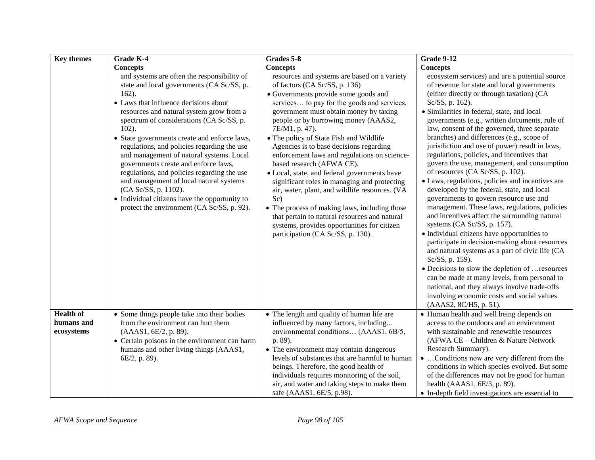| <b>Key themes</b>                            | Grade K-4                                                                                                                                                                                                                                                                                                                                                                                                                                                                                                                                                                                                                                             | Grades 5-8                                                                                                                                                                                                                                                                                                                                                                                                                                                                                                                                                                                                                                                                                                                                                                                 | <b>Grade 9-12</b>                                                                                                                                                                                                                                                                                                                                                                                                                                                                                                                                                                                                                                                                                                                                                                                                                                                                                                                                                                                                                                                                                                                                                                                                           |
|----------------------------------------------|-------------------------------------------------------------------------------------------------------------------------------------------------------------------------------------------------------------------------------------------------------------------------------------------------------------------------------------------------------------------------------------------------------------------------------------------------------------------------------------------------------------------------------------------------------------------------------------------------------------------------------------------------------|--------------------------------------------------------------------------------------------------------------------------------------------------------------------------------------------------------------------------------------------------------------------------------------------------------------------------------------------------------------------------------------------------------------------------------------------------------------------------------------------------------------------------------------------------------------------------------------------------------------------------------------------------------------------------------------------------------------------------------------------------------------------------------------------|-----------------------------------------------------------------------------------------------------------------------------------------------------------------------------------------------------------------------------------------------------------------------------------------------------------------------------------------------------------------------------------------------------------------------------------------------------------------------------------------------------------------------------------------------------------------------------------------------------------------------------------------------------------------------------------------------------------------------------------------------------------------------------------------------------------------------------------------------------------------------------------------------------------------------------------------------------------------------------------------------------------------------------------------------------------------------------------------------------------------------------------------------------------------------------------------------------------------------------|
|                                              | <b>Concepts</b>                                                                                                                                                                                                                                                                                                                                                                                                                                                                                                                                                                                                                                       | <b>Concepts</b>                                                                                                                                                                                                                                                                                                                                                                                                                                                                                                                                                                                                                                                                                                                                                                            | <b>Concepts</b>                                                                                                                                                                                                                                                                                                                                                                                                                                                                                                                                                                                                                                                                                                                                                                                                                                                                                                                                                                                                                                                                                                                                                                                                             |
|                                              | and systems are often the responsibility of<br>state and local governments (CA Sc/SS, p.<br>$162$ ).<br>• Laws that influence decisions about<br>resources and natural system grow from a<br>spectrum of considerations (CA Sc/SS, p.<br>$102$ ).<br>• State governments create and enforce laws,<br>regulations, and policies regarding the use<br>and management of natural systems. Local<br>governments create and enforce laws,<br>regulations, and policies regarding the use<br>and management of local natural systems<br>(CA Sc/SS, p. 1102).<br>• Individual citizens have the opportunity to<br>protect the environment (CA Sc/SS, p. 92). | resources and systems are based on a variety<br>of factors (CA Sc/SS, p. 136)<br>• Governments provide some goods and<br>services to pay for the goods and services,<br>government must obtain money by taxing<br>people or by borrowing money (AAAS2,<br>7E/M1, p. 47).<br>• The policy of State Fish and Wildlife<br>Agencies is to base decisions regarding<br>enforcement laws and regulations on science-<br>based research (AFWA CE).<br>· Local, state, and federal governments have<br>significant roles in managing and protecting<br>air, water, plant, and wildlife resources. (VA<br>Sc)<br>• The process of making laws, including those<br>that pertain to natural resources and natural<br>systems, provides opportunities for citizen<br>participation (CA Sc/SS, p. 130). | ecosystem services) and are a potential source<br>of revenue for state and local governments<br>(either directly or through taxation) (CA<br>Sc/SS, p. 162).<br>· Similarities in federal, state, and local<br>governments (e.g., written documents, rule of<br>law, consent of the governed, three separate<br>branches) and differences (e.g., scope of<br>jurisdiction and use of power) result in laws,<br>regulations, policies, and incentives that<br>govern the use, management, and consumption<br>of resources (CA Sc/SS, p. 102).<br>• Laws, regulations, policies and incentives are<br>developed by the federal, state, and local<br>governments to govern resource use and<br>management. These laws, regulations, policies<br>and incentives affect the surrounding natural<br>systems (CA Sc/SS, p. 157).<br>• Individual citizens have opportunities to<br>participate in decision-making about resources<br>and natural systems as a part of civic life (CA<br>Sc/SS, p. 159).<br>• Decisions to slow the depletion of  resources<br>can be made at many levels, from personal to<br>national, and they always involve trade-offs<br>involving economic costs and social values<br>(AAAS2, 8C/H5, p. 51). |
| <b>Health of</b><br>humans and<br>ecosystems | • Some things people take into their bodies<br>from the environment can hurt them<br>(AAAS1, 6E/2, p. 89).<br>• Certain poisons in the environment can harm<br>humans and other living things (AAAS1,<br>6E/2, p. 89).                                                                                                                                                                                                                                                                                                                                                                                                                                | • The length and quality of human life are<br>influenced by many factors, including<br>environmental conditions (AAAS1, 6B/5,<br>p. 89).<br>• The environment may contain dangerous<br>levels of substances that are harmful to human<br>beings. Therefore, the good health of<br>individuals requires monitoring of the soil,<br>air, and water and taking steps to make them<br>safe (AAAS1, 6E/5, p.98).                                                                                                                                                                                                                                                                                                                                                                                | • Human health and well being depends on<br>access to the outdoors and an environment<br>with sustainable and renewable resources<br>(AFWA CE - Children & Nature Network<br>Research Summary).<br>•  Conditions now are very different from the<br>conditions in which species evolved. But some<br>of the differences may not be good for human<br>health (AAAS1, 6E/3, p. 89).<br>• In-depth field investigations are essential to                                                                                                                                                                                                                                                                                                                                                                                                                                                                                                                                                                                                                                                                                                                                                                                       |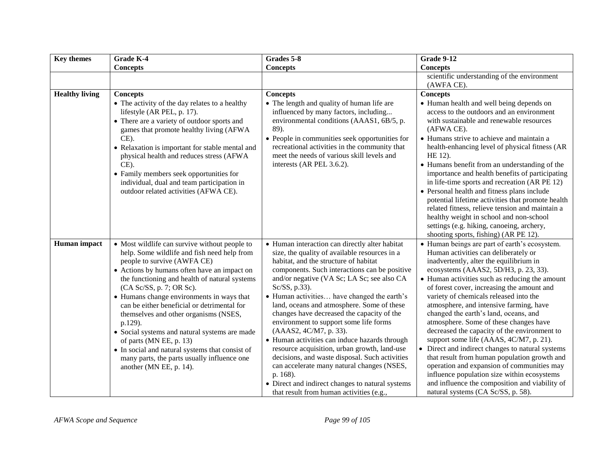| <b>Key themes</b>     | <b>Grade K-4</b>                                                                                                                                                                                                                                                                                                                                                                                                                                                                                                                                                                                                 | Grades 5-8                                                                                                                                                                                                                                                                                                                                                                                                                                                                                                                                                                                                                                                                                                                                                                           | <b>Grade 9-12</b>                                                                                                                                                                                                                                                                                                                                                                                                                                                                                                                                                                                                                                                                                                                                                                                                                     |
|-----------------------|------------------------------------------------------------------------------------------------------------------------------------------------------------------------------------------------------------------------------------------------------------------------------------------------------------------------------------------------------------------------------------------------------------------------------------------------------------------------------------------------------------------------------------------------------------------------------------------------------------------|--------------------------------------------------------------------------------------------------------------------------------------------------------------------------------------------------------------------------------------------------------------------------------------------------------------------------------------------------------------------------------------------------------------------------------------------------------------------------------------------------------------------------------------------------------------------------------------------------------------------------------------------------------------------------------------------------------------------------------------------------------------------------------------|---------------------------------------------------------------------------------------------------------------------------------------------------------------------------------------------------------------------------------------------------------------------------------------------------------------------------------------------------------------------------------------------------------------------------------------------------------------------------------------------------------------------------------------------------------------------------------------------------------------------------------------------------------------------------------------------------------------------------------------------------------------------------------------------------------------------------------------|
|                       | <b>Concepts</b>                                                                                                                                                                                                                                                                                                                                                                                                                                                                                                                                                                                                  | <b>Concepts</b>                                                                                                                                                                                                                                                                                                                                                                                                                                                                                                                                                                                                                                                                                                                                                                      | <b>Concepts</b>                                                                                                                                                                                                                                                                                                                                                                                                                                                                                                                                                                                                                                                                                                                                                                                                                       |
|                       |                                                                                                                                                                                                                                                                                                                                                                                                                                                                                                                                                                                                                  |                                                                                                                                                                                                                                                                                                                                                                                                                                                                                                                                                                                                                                                                                                                                                                                      | scientific understanding of the environment<br>(AWFA CE).                                                                                                                                                                                                                                                                                                                                                                                                                                                                                                                                                                                                                                                                                                                                                                             |
| <b>Healthy living</b> | <b>Concepts</b><br>• The activity of the day relates to a healthy<br>lifestyle (AR PEL, p. 17).<br>• There are a variety of outdoor sports and<br>games that promote healthy living (AFWA<br>$CE$ ).<br>• Relaxation is important for stable mental and<br>physical health and reduces stress (AFWA<br>$CE$ ).<br>• Family members seek opportunities for<br>individual, dual and team participation in<br>outdoor related activities (AFWA CE).                                                                                                                                                                 | <b>Concepts</b><br>• The length and quality of human life are<br>influenced by many factors, including<br>environmental conditions (AAAS1, 6B/5, p.<br>89).<br>• People in communities seek opportunities for<br>recreational activities in the community that<br>meet the needs of various skill levels and<br>interests (AR PEL 3.6.2).                                                                                                                                                                                                                                                                                                                                                                                                                                            | <b>Concepts</b><br>• Human health and well being depends on<br>access to the outdoors and an environment<br>with sustainable and renewable resources<br>(AFWA CE).<br>• Humans strive to achieve and maintain a<br>health-enhancing level of physical fitness (AR<br>HE 12).<br>• Humans benefit from an understanding of the<br>importance and health benefits of participating<br>in life-time sports and recreation (AR PE 12)<br>• Personal health and fitness plans include<br>potential lifetime activities that promote health<br>related fitness, relieve tension and maintain a<br>healthy weight in school and non-school<br>settings (e.g. hiking, canoeing, archery,<br>shooting sports, fishing) (AR PE 12).                                                                                                             |
| Human impact          | • Most wildlife can survive without people to<br>help. Some wildlife and fish need help from<br>people to survive (AWFA CE)<br>• Actions by humans often have an impact on<br>the functioning and health of natural systems<br>(CA Sc/SS, p. 7; OR Sc).<br>• Humans change environments in ways that<br>can be either beneficial or detrimental for<br>themselves and other organisms (NSES,<br>p.129).<br>• Social systems and natural systems are made<br>of parts (MN EE, p. 13)<br>• In social and natural systems that consist of<br>many parts, the parts usually influence one<br>another (MN EE, p. 14). | • Human interaction can directly alter habitat<br>size, the quality of available resources in a<br>habitat, and the structure of habitat<br>components. Such interactions can be positive<br>and/or negative (VA Sc; LA Sc; see also CA<br>Sc/SS, p.33).<br>• Human activities have changed the earth's<br>land, oceans and atmosphere. Some of these<br>changes have decreased the capacity of the<br>environment to support some life forms<br>(AAAS2, 4C/M7, p. 33).<br>• Human activities can induce hazards through<br>resource acquisition, urban growth, land-use<br>decisions, and waste disposal. Such activities<br>can accelerate many natural changes (NSES,<br>p. 168).<br>• Direct and indirect changes to natural systems<br>that result from human activities (e.g., | • Human beings are part of earth's ecosystem.<br>Human activities can deliberately or<br>inadvertently, alter the equilibrium in<br>ecosystems (AAAS2, 5D/H3, p. 23, 33).<br>• Human activities such as reducing the amount<br>of forest cover, increasing the amount and<br>variety of chemicals released into the<br>atmosphere, and intensive farming, have<br>changed the earth's land, oceans, and<br>atmosphere. Some of these changes have<br>decreased the capacity of the environment to<br>support some life (AAAS, 4C/M7, p. 21).<br>• Direct and indirect changes to natural systems<br>that result from human population growth and<br>operation and expansion of communities may<br>influence population size within ecosystems<br>and influence the composition and viability of<br>natural systems (CA Sc/SS, p. 58). |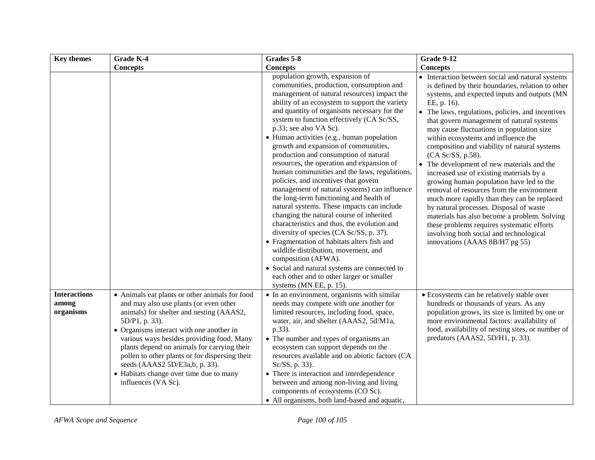| <b>Key themes</b>                         | <b>Grade K-4</b>                                                                                                                                                                                                                                                                                                                                                                                                                                     | Grades 5-8                                                                                                                                                                                                                                                                                                                                                                                                                                                                                                                                                                                                                                                                                                                                                                                                                                                                                                                                                                                                                                                                                   | <b>Grade 9-12</b>                                                                                                                                                                                                                                                                                                                                                                                                                                                                                                                                                                                                                                                                                                                                                                                                                                                                       |
|-------------------------------------------|------------------------------------------------------------------------------------------------------------------------------------------------------------------------------------------------------------------------------------------------------------------------------------------------------------------------------------------------------------------------------------------------------------------------------------------------------|----------------------------------------------------------------------------------------------------------------------------------------------------------------------------------------------------------------------------------------------------------------------------------------------------------------------------------------------------------------------------------------------------------------------------------------------------------------------------------------------------------------------------------------------------------------------------------------------------------------------------------------------------------------------------------------------------------------------------------------------------------------------------------------------------------------------------------------------------------------------------------------------------------------------------------------------------------------------------------------------------------------------------------------------------------------------------------------------|-----------------------------------------------------------------------------------------------------------------------------------------------------------------------------------------------------------------------------------------------------------------------------------------------------------------------------------------------------------------------------------------------------------------------------------------------------------------------------------------------------------------------------------------------------------------------------------------------------------------------------------------------------------------------------------------------------------------------------------------------------------------------------------------------------------------------------------------------------------------------------------------|
|                                           | <b>Concepts</b>                                                                                                                                                                                                                                                                                                                                                                                                                                      | <b>Concepts</b>                                                                                                                                                                                                                                                                                                                                                                                                                                                                                                                                                                                                                                                                                                                                                                                                                                                                                                                                                                                                                                                                              | <b>Concepts</b>                                                                                                                                                                                                                                                                                                                                                                                                                                                                                                                                                                                                                                                                                                                                                                                                                                                                         |
|                                           |                                                                                                                                                                                                                                                                                                                                                                                                                                                      | population growth, expansion of<br>communities, production, consumption and<br>management of natural resources) impact the<br>ability of an ecosystem to support the variety<br>and quantity of organisms necessary for the<br>system to function effectively (CA Sc/SS,<br>p.33; see also VA Sc).<br>• Human activities (e.g., human population<br>growth and expansion of communities,<br>production and consumption of natural<br>resources, the operation and expansion of<br>human communities and the laws, regulations,<br>policies, and incentives that govern<br>management of natural systems) can influence<br>the long-term functioning and health of<br>natural systems. These impacts can include<br>changing the natural course of inherited<br>characteristics and thus, the evolution and<br>diversity of species (CA Sc/SS, p. 37).<br>• Fragmentation of habitats alters fish and<br>wildlife distribution, movement, and<br>composition (AFWA).<br>• Social and natural systems are connected to<br>each other and to other larger or smaller<br>systems (MN EE, p. 15). | • Interaction between social and natural systems<br>is defined by their boundaries, relation to other<br>systems, and expected inputs and outputs (MN<br>EE, p. 16).<br>• The laws, regulations, policies, and incentives<br>that govern management of natural systems<br>may cause fluctuations in population size<br>within ecosystems and influence the<br>composition and viability of natural systems<br>(CA Sc/SS, p.58).<br>• The development of new materials and the<br>increased use of existing materials by a<br>growing human population have led to the<br>removal of resources from the environment<br>much more rapidly than they can be replaced<br>by natural processes. Disposal of waste<br>materials has also become a problem. Solving<br>these problems requires systematic efforts<br>involving both social and technological<br>innovations (AAAS 8B/H7 pg 55) |
| <b>Interactions</b><br>among<br>organisms | • Animals eat plants or other animals for food<br>and may also use plants (or even other<br>animals) for shelter and nesting (AAAS2,<br>5D/P1, p. 33).<br>• Organisms interact with one another in<br>various ways besides providing food. Many<br>plants depend on animals for carrying their<br>pollen to other plants or for dispersing their<br>seeds (AAAS2 5D/E3a,b, p. 33).<br>• Habitats change over time due to many<br>influences (VA Sc). | • In an environment, organisms with similar<br>needs may compete with one another for<br>limited resources, including food, space,<br>water, air, and shelter (AAAS2, 5d/M1a,<br>p.33).<br>• The number and types of organisms an<br>ecosystem can support depends on the<br>resources available and on abiotic factors (CA<br>Sc/SS, p. 33).<br>• There is interaction and interdependence<br>between and among non-living and living<br>components of ecosystems (CO Sc).<br>• All organisms, both land-based and aquatic,                                                                                                                                                                                                                                                                                                                                                                                                                                                                                                                                                                 | • Ecosystems can be relatively stable over<br>hundreds or thousands of years. As any<br>population grows, its size is limited by one or<br>more environmental factors: availability of<br>food, availability of nesting sites, or number of<br>predators (AAAS2, 5D/H1, p. 33).                                                                                                                                                                                                                                                                                                                                                                                                                                                                                                                                                                                                         |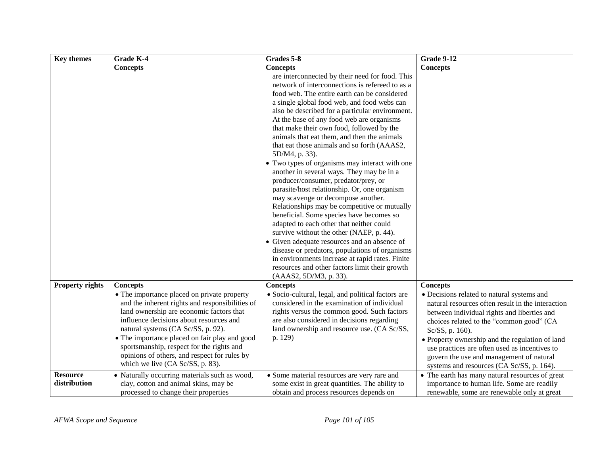| <b>Key themes</b>      | Grade K-4                                                                                                                                                                                                                                                                                                                                                                                                     | Grades 5-8                                                                                                                                                                                                                                                                                                                                                                                                                                                                                                                                                                                                                                                                                                                                                                                                                                                                                                                                                                                                                                                                             | <b>Grade 9-12</b>                                                                                                                                                                                                                                                                                                                                                                                          |
|------------------------|---------------------------------------------------------------------------------------------------------------------------------------------------------------------------------------------------------------------------------------------------------------------------------------------------------------------------------------------------------------------------------------------------------------|----------------------------------------------------------------------------------------------------------------------------------------------------------------------------------------------------------------------------------------------------------------------------------------------------------------------------------------------------------------------------------------------------------------------------------------------------------------------------------------------------------------------------------------------------------------------------------------------------------------------------------------------------------------------------------------------------------------------------------------------------------------------------------------------------------------------------------------------------------------------------------------------------------------------------------------------------------------------------------------------------------------------------------------------------------------------------------------|------------------------------------------------------------------------------------------------------------------------------------------------------------------------------------------------------------------------------------------------------------------------------------------------------------------------------------------------------------------------------------------------------------|
|                        | <b>Concepts</b>                                                                                                                                                                                                                                                                                                                                                                                               | <b>Concepts</b>                                                                                                                                                                                                                                                                                                                                                                                                                                                                                                                                                                                                                                                                                                                                                                                                                                                                                                                                                                                                                                                                        | <b>Concepts</b>                                                                                                                                                                                                                                                                                                                                                                                            |
|                        |                                                                                                                                                                                                                                                                                                                                                                                                               | are interconnected by their need for food. This<br>network of interconnections is refereed to as a<br>food web. The entire earth can be considered<br>a single global food web, and food webs can<br>also be described for a particular environment.<br>At the base of any food web are organisms<br>that make their own food, followed by the<br>animals that eat them, and then the animals<br>that eat those animals and so forth (AAAS2,<br>5D/M4, p. 33).<br>• Two types of organisms may interact with one<br>another in several ways. They may be in a<br>producer/consumer, predator/prey, or<br>parasite/host relationship. Or, one organism<br>may scavenge or decompose another.<br>Relationships may be competitive or mutually<br>beneficial. Some species have becomes so<br>adapted to each other that neither could<br>survive without the other (NAEP, p. 44).<br>• Given adequate resources and an absence of<br>disease or predators, populations of organisms<br>in environments increase at rapid rates. Finite<br>resources and other factors limit their growth |                                                                                                                                                                                                                                                                                                                                                                                                            |
| <b>Property rights</b> | <b>Concepts</b>                                                                                                                                                                                                                                                                                                                                                                                               | (AAAS2, 5D/M3, p. 33).<br><b>Concepts</b>                                                                                                                                                                                                                                                                                                                                                                                                                                                                                                                                                                                                                                                                                                                                                                                                                                                                                                                                                                                                                                              | <b>Concepts</b>                                                                                                                                                                                                                                                                                                                                                                                            |
|                        | • The importance placed on private property<br>and the inherent rights and responsibilities of<br>land ownership are economic factors that<br>influence decisions about resources and<br>natural systems (CA Sc/SS, p. 92).<br>• The importance placed on fair play and good<br>sportsmanship, respect for the rights and<br>opinions of others, and respect for rules by<br>which we live (CA Sc/SS, p. 83). | · Socio-cultural, legal, and political factors are<br>considered in the examination of individual<br>rights versus the common good. Such factors<br>are also considered in decisions regarding<br>land ownership and resource use. (CA Sc/SS,<br>p. 129)                                                                                                                                                                                                                                                                                                                                                                                                                                                                                                                                                                                                                                                                                                                                                                                                                               | • Decisions related to natural systems and<br>natural resources often result in the interaction<br>between individual rights and liberties and<br>choices related to the "common good" (CA<br>Sc/SS, p. 160).<br>• Property ownership and the regulation of land<br>use practices are often used as incentives to<br>govern the use and management of natural<br>systems and resources (CA Sc/SS, p. 164). |
| <b>Resource</b>        | • Naturally occurring materials such as wood,                                                                                                                                                                                                                                                                                                                                                                 | • Some material resources are very rare and                                                                                                                                                                                                                                                                                                                                                                                                                                                                                                                                                                                                                                                                                                                                                                                                                                                                                                                                                                                                                                            | • The earth has many natural resources of great                                                                                                                                                                                                                                                                                                                                                            |
| distribution           | clay, cotton and animal skins, may be<br>processed to change their properties                                                                                                                                                                                                                                                                                                                                 | some exist in great quantities. The ability to<br>obtain and process resources depends on                                                                                                                                                                                                                                                                                                                                                                                                                                                                                                                                                                                                                                                                                                                                                                                                                                                                                                                                                                                              | importance to human life. Some are readily<br>renewable, some are renewable only at great                                                                                                                                                                                                                                                                                                                  |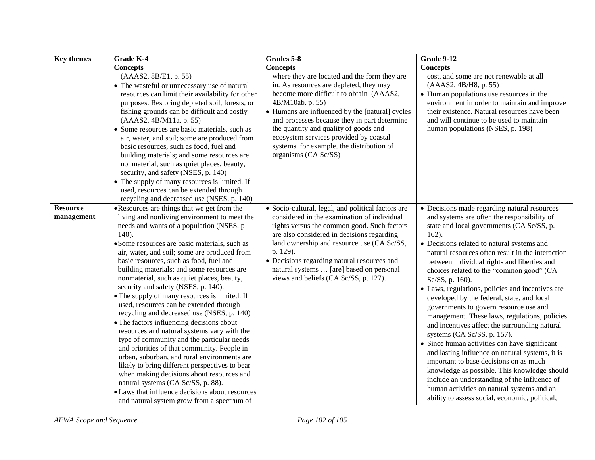| <b>Key themes</b>             | Grade K-4                                                                                                                                                                                                                                                                                                                                                                                                                                                                                                                                                                                                                                                                                                                                                                                                                                                                                                                                                                                                                                                  | Grades 5-8                                                                                                                                                                                                                                                                                                                                                                                                        | <b>Grade 9-12</b>                                                                                                                                                                                                                                                                                                                                                                                                                                                                                                                                                                                                                                                                                                                                                                                                                                                                                                                                                                                |
|-------------------------------|------------------------------------------------------------------------------------------------------------------------------------------------------------------------------------------------------------------------------------------------------------------------------------------------------------------------------------------------------------------------------------------------------------------------------------------------------------------------------------------------------------------------------------------------------------------------------------------------------------------------------------------------------------------------------------------------------------------------------------------------------------------------------------------------------------------------------------------------------------------------------------------------------------------------------------------------------------------------------------------------------------------------------------------------------------|-------------------------------------------------------------------------------------------------------------------------------------------------------------------------------------------------------------------------------------------------------------------------------------------------------------------------------------------------------------------------------------------------------------------|--------------------------------------------------------------------------------------------------------------------------------------------------------------------------------------------------------------------------------------------------------------------------------------------------------------------------------------------------------------------------------------------------------------------------------------------------------------------------------------------------------------------------------------------------------------------------------------------------------------------------------------------------------------------------------------------------------------------------------------------------------------------------------------------------------------------------------------------------------------------------------------------------------------------------------------------------------------------------------------------------|
|                               | <b>Concepts</b>                                                                                                                                                                                                                                                                                                                                                                                                                                                                                                                                                                                                                                                                                                                                                                                                                                                                                                                                                                                                                                            | <b>Concepts</b>                                                                                                                                                                                                                                                                                                                                                                                                   | <b>Concepts</b>                                                                                                                                                                                                                                                                                                                                                                                                                                                                                                                                                                                                                                                                                                                                                                                                                                                                                                                                                                                  |
|                               | (AAAS2, 8B/E1, p. 55)<br>• The wasteful or unnecessary use of natural<br>resources can limit their availability for other<br>purposes. Restoring depleted soil, forests, or<br>fishing grounds can be difficult and costly<br>(AAAS2, 4B/M11a, p. 55)<br>• Some resources are basic materials, such as<br>air, water, and soil; some are produced from<br>basic resources, such as food, fuel and<br>building materials; and some resources are<br>nonmaterial, such as quiet places, beauty,<br>security, and safety (NSES, p. 140)<br>• The supply of many resources is limited. If<br>used, resources can be extended through<br>recycling and decreased use (NSES, p. 140)                                                                                                                                                                                                                                                                                                                                                                             | where they are located and the form they are<br>in. As resources are depleted, they may<br>become more difficult to obtain (AAAS2,<br>4B/M10ab, p. 55)<br>• Humans are influenced by the [natural] cycles<br>and processes because they in part determine<br>the quantity and quality of goods and<br>ecosystem services provided by coastal<br>systems, for example, the distribution of<br>organisms (CA Sc/SS) | cost, and some are not renewable at all<br>(AAAS2, 4B/H8, p. 55)<br>• Human populations use resources in the<br>environment in order to maintain and improve<br>their existence. Natural resources have been<br>and will continue to be used to maintain<br>human populations (NSES, p. 198)                                                                                                                                                                                                                                                                                                                                                                                                                                                                                                                                                                                                                                                                                                     |
| <b>Resource</b><br>management | • Resources are things that we get from the<br>living and nonliving environment to meet the<br>needs and wants of a population (NSES, p<br>$140$ ).<br>· Some resources are basic materials, such as<br>air, water, and soil; some are produced from<br>basic resources, such as food, fuel and<br>building materials; and some resources are<br>nonmaterial, such as quiet places, beauty,<br>security and safety (NSES, p. 140).<br>• The supply of many resources is limited. If<br>used, resources can be extended through<br>recycling and decreased use (NSES, p. 140)<br>• The factors influencing decisions about<br>resources and natural systems vary with the<br>type of community and the particular needs<br>and priorities of that community. People in<br>urban, suburban, and rural environments are<br>likely to bring different perspectives to bear<br>when making decisions about resources and<br>natural systems (CA Sc/SS, p. 88).<br>• Laws that influence decisions about resources<br>and natural system grow from a spectrum of | • Socio-cultural, legal, and political factors are<br>considered in the examination of individual<br>rights versus the common good. Such factors<br>are also considered in decisions regarding<br>land ownership and resource use (CA Sc/SS,<br>p. 129).<br>• Decisions regarding natural resources and<br>natural systems  [are] based on personal<br>views and beliefs (CA Sc/SS, p. 127).                      | • Decisions made regarding natural resources<br>and systems are often the responsibility of<br>state and local governments (CA Sc/SS, p.<br>$162$ ).<br>• Decisions related to natural systems and<br>natural resources often result in the interaction<br>between individual rights and liberties and<br>choices related to the "common good" (CA<br>Sc/SS, p. 160).<br>• Laws, regulations, policies and incentives are<br>developed by the federal, state, and local<br>governments to govern resource use and<br>management. These laws, regulations, policies<br>and incentives affect the surrounding natural<br>systems (CA Sc/SS, p. 157).<br>• Since human activities can have significant<br>and lasting influence on natural systems, it is<br>important to base decisions on as much<br>knowledge as possible. This knowledge should<br>include an understanding of the influence of<br>human activities on natural systems and an<br>ability to assess social, economic, political, |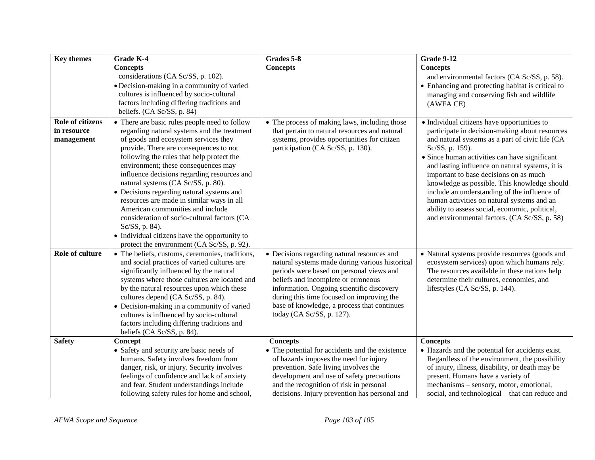| <b>Key themes</b>                                    | Grade K-4                                                                                                                                                                                                                                                                                                                                                                                                                                                                                                                                                                                                                                             | Grades 5-8                                                                                                                                                                                                                                                                                                                                             | <b>Grade 9-12</b>                                                                                                                                                                                                                                                                                                                                                                                                                                                                                                                                                 |
|------------------------------------------------------|-------------------------------------------------------------------------------------------------------------------------------------------------------------------------------------------------------------------------------------------------------------------------------------------------------------------------------------------------------------------------------------------------------------------------------------------------------------------------------------------------------------------------------------------------------------------------------------------------------------------------------------------------------|--------------------------------------------------------------------------------------------------------------------------------------------------------------------------------------------------------------------------------------------------------------------------------------------------------------------------------------------------------|-------------------------------------------------------------------------------------------------------------------------------------------------------------------------------------------------------------------------------------------------------------------------------------------------------------------------------------------------------------------------------------------------------------------------------------------------------------------------------------------------------------------------------------------------------------------|
|                                                      | <b>Concepts</b>                                                                                                                                                                                                                                                                                                                                                                                                                                                                                                                                                                                                                                       | <b>Concepts</b>                                                                                                                                                                                                                                                                                                                                        | <b>Concepts</b>                                                                                                                                                                                                                                                                                                                                                                                                                                                                                                                                                   |
|                                                      | considerations (CA Sc/SS, p. 102).<br>· Decision-making in a community of varied<br>cultures is influenced by socio-cultural<br>factors including differing traditions and<br>beliefs. (CA Sc/SS, p. 84)                                                                                                                                                                                                                                                                                                                                                                                                                                              |                                                                                                                                                                                                                                                                                                                                                        | and environmental factors (CA Sc/SS, p. 58).<br>• Enhancing and protecting habitat is critical to<br>managing and conserving fish and wildlife<br>(AWFA CE)                                                                                                                                                                                                                                                                                                                                                                                                       |
| <b>Role of citizens</b><br>in resource<br>management | • There are basic rules people need to follow<br>regarding natural systems and the treatment<br>of goods and ecosystem services they<br>provide. There are consequences to not<br>following the rules that help protect the<br>environment; these consequences may<br>influence decisions regarding resources and<br>natural systems (CA Sc/SS, p. 80).<br>• Decisions regarding natural systems and<br>resources are made in similar ways in all<br>American communities and include<br>consideration of socio-cultural factors (CA<br>Sc/SS, p. 84).<br>• Individual citizens have the opportunity to<br>protect the environment (CA Sc/SS, p. 92). | • The process of making laws, including those<br>that pertain to natural resources and natural<br>systems, provides opportunities for citizen<br>participation (CA Sc/SS, p. 130).                                                                                                                                                                     | • Individual citizens have opportunities to<br>participate in decision-making about resources<br>and natural systems as a part of civic life (CA<br>Sc/SS, p. 159).<br>• Since human activities can have significant<br>and lasting influence on natural systems, it is<br>important to base decisions on as much<br>knowledge as possible. This knowledge should<br>include an understanding of the influence of<br>human activities on natural systems and an<br>ability to assess social, economic, political,<br>and environmental factors. (CA Sc/SS, p. 58) |
| Role of culture                                      | • The beliefs, customs, ceremonies, traditions,<br>and social practices of varied cultures are<br>significantly influenced by the natural<br>systems where those cultures are located and<br>by the natural resources upon which these<br>cultures depend (CA Sc/SS, p. 84).<br>• Decision-making in a community of varied<br>cultures is influenced by socio-cultural<br>factors including differing traditions and<br>beliefs (CA Sc/SS, p. 84).                                                                                                                                                                                                    | • Decisions regarding natural resources and<br>natural systems made during various historical<br>periods were based on personal views and<br>beliefs and incomplete or erroneous<br>information. Ongoing scientific discovery<br>during this time focused on improving the<br>base of knowledge, a process that continues<br>today (CA Sc/SS, p. 127). | • Natural systems provide resources (goods and<br>ecosystem services) upon which humans rely.<br>The resources available in these nations help<br>determine their cultures, economies, and<br>lifestyles (CA Sc/SS, p. 144).                                                                                                                                                                                                                                                                                                                                      |
| <b>Safety</b>                                        | <b>Concept</b><br>• Safety and security are basic needs of<br>humans. Safety involves freedom from<br>danger, risk, or injury. Security involves<br>feelings of confidence and lack of anxiety<br>and fear. Student understandings include<br>following safety rules for home and school,                                                                                                                                                                                                                                                                                                                                                             | <b>Concepts</b><br>• The potential for accidents and the existence<br>of hazards imposes the need for injury<br>prevention. Safe living involves the<br>development and use of safety precautions<br>and the recognition of risk in personal<br>decisions. Injury prevention has personal and                                                          | <b>Concepts</b><br>• Hazards and the potential for accidents exist.<br>Regardless of the environment, the possibility<br>of injury, illness, disability, or death may be<br>present. Humans have a variety of<br>mechanisms - sensory, motor, emotional,<br>social, and technological – that can reduce and                                                                                                                                                                                                                                                       |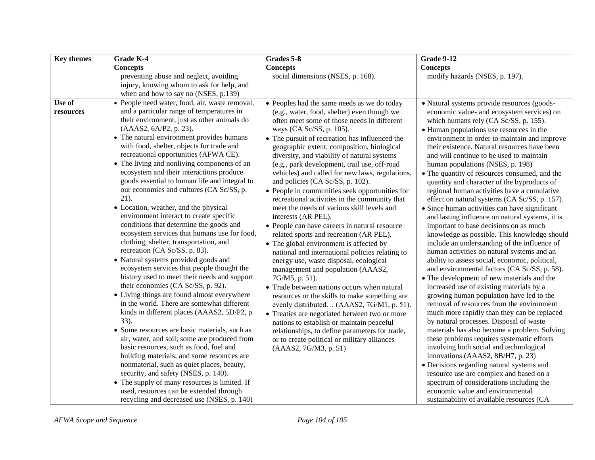| <b>Key themes</b>   | Grade K-4                                                                                                                                                                                                                                                                                                                                                                                                                                                                                                                                                                                                                                                                                                                                                                                                                                                                                                                                                                                                                                                                                                                                                                                                                                                                                                                                                                                                                                                                           | Grades 5-8                                                                                                                                                                                                                                                                                                                                                                                                                                                                                                                                                                                                                                                                                                                                                                                                                                                                                                                                                                                                                                                                                                                                                                                                                                                                                           | <b>Grade 9-12</b>                                                                                                                                                                                                                                                                                                                                                                                                                                                                                                                                                                                                                                                                                                                                                                                                                                                                                                                                                                                                                                                                                                                                                                                                                                                                                                                                                                                                                                                                                                                                                                               |
|---------------------|-------------------------------------------------------------------------------------------------------------------------------------------------------------------------------------------------------------------------------------------------------------------------------------------------------------------------------------------------------------------------------------------------------------------------------------------------------------------------------------------------------------------------------------------------------------------------------------------------------------------------------------------------------------------------------------------------------------------------------------------------------------------------------------------------------------------------------------------------------------------------------------------------------------------------------------------------------------------------------------------------------------------------------------------------------------------------------------------------------------------------------------------------------------------------------------------------------------------------------------------------------------------------------------------------------------------------------------------------------------------------------------------------------------------------------------------------------------------------------------|------------------------------------------------------------------------------------------------------------------------------------------------------------------------------------------------------------------------------------------------------------------------------------------------------------------------------------------------------------------------------------------------------------------------------------------------------------------------------------------------------------------------------------------------------------------------------------------------------------------------------------------------------------------------------------------------------------------------------------------------------------------------------------------------------------------------------------------------------------------------------------------------------------------------------------------------------------------------------------------------------------------------------------------------------------------------------------------------------------------------------------------------------------------------------------------------------------------------------------------------------------------------------------------------------|-------------------------------------------------------------------------------------------------------------------------------------------------------------------------------------------------------------------------------------------------------------------------------------------------------------------------------------------------------------------------------------------------------------------------------------------------------------------------------------------------------------------------------------------------------------------------------------------------------------------------------------------------------------------------------------------------------------------------------------------------------------------------------------------------------------------------------------------------------------------------------------------------------------------------------------------------------------------------------------------------------------------------------------------------------------------------------------------------------------------------------------------------------------------------------------------------------------------------------------------------------------------------------------------------------------------------------------------------------------------------------------------------------------------------------------------------------------------------------------------------------------------------------------------------------------------------------------------------|
|                     | <b>Concepts</b>                                                                                                                                                                                                                                                                                                                                                                                                                                                                                                                                                                                                                                                                                                                                                                                                                                                                                                                                                                                                                                                                                                                                                                                                                                                                                                                                                                                                                                                                     | <b>Concepts</b>                                                                                                                                                                                                                                                                                                                                                                                                                                                                                                                                                                                                                                                                                                                                                                                                                                                                                                                                                                                                                                                                                                                                                                                                                                                                                      | <b>Concepts</b>                                                                                                                                                                                                                                                                                                                                                                                                                                                                                                                                                                                                                                                                                                                                                                                                                                                                                                                                                                                                                                                                                                                                                                                                                                                                                                                                                                                                                                                                                                                                                                                 |
|                     | preventing abuse and neglect, avoiding<br>injury, knowing whom to ask for help, and<br>when and how to say no (NSES, p.139)                                                                                                                                                                                                                                                                                                                                                                                                                                                                                                                                                                                                                                                                                                                                                                                                                                                                                                                                                                                                                                                                                                                                                                                                                                                                                                                                                         | social dimensions (NSES, p. 168).                                                                                                                                                                                                                                                                                                                                                                                                                                                                                                                                                                                                                                                                                                                                                                                                                                                                                                                                                                                                                                                                                                                                                                                                                                                                    | modify hazards (NSES, p. 197).                                                                                                                                                                                                                                                                                                                                                                                                                                                                                                                                                                                                                                                                                                                                                                                                                                                                                                                                                                                                                                                                                                                                                                                                                                                                                                                                                                                                                                                                                                                                                                  |
| Use of<br>resources | • People need water, food, air, waste removal,<br>and a particular range of temperatures in<br>their environment, just as other animals do<br>(AAAS2, 6A/P2, p. 23).<br>• The natural environment provides humans<br>with food, shelter, objects for trade and<br>recreational opportunities (AFWA CE).<br>• The living and nonliving components of an<br>ecosystem and their interactions produce<br>goods essential to human life and integral to<br>our economies and cultures (CA Sc/SS, p.<br>$21$ ).<br>• Location, weather, and the physical<br>environment interact to create specific<br>conditions that determine the goods and<br>ecosystem services that humans use for food,<br>clothing, shelter, transportation, and<br>recreation (CA Sc/SS, p. 83).<br>• Natural systems provided goods and<br>ecosystem services that people thought the<br>history used to meet their needs and support<br>their economies (CA Sc/SS, p. 92).<br>• Living things are found almost everywhere<br>in the world. There are somewhat different<br>kinds in different places (AAAS2, 5D/P2, p.<br>$33)$ .<br>• Some resources are basic materials, such as<br>air, water, and soil; some are produced from<br>basic resources, such as food, fuel and<br>building materials; and some resources are<br>nonmaterial, such as quiet places, beauty,<br>security, and safety (NSES, p. 140).<br>• The supply of many resources is limited. If<br>used, resources can be extended through | • Peoples had the same needs as we do today<br>(e.g., water, food, shelter) even though we<br>often meet some of those needs in different<br>ways (CA Sc/SS, p. 105).<br>• The pursuit of recreation has influenced the<br>geographic extent, composition, biological<br>diversity, and viability of natural systems<br>(e.g., park development, trail use, off-road<br>vehicles) and called for new laws, regulations,<br>and policies (CA Sc/SS, p. 102).<br>• People in communities seek opportunities for<br>recreational activities in the community that<br>meet the needs of various skill levels and<br>interests (AR PEL).<br>• People can have careers in natural resource<br>related sports and recreation (AR PEL).<br>• The global environment is affected by<br>national and international policies relating to<br>energy use, waste disposal, ecological<br>management and population (AAAS2,<br>7G/M5, p. 51).<br>• Trade between nations occurs when natural<br>resources or the skills to make something are<br>evenly distributed (AAAS2, 7G/M1, p. 51).<br>• Treaties are negotiated between two or more<br>nations to establish or maintain peaceful<br>relationships, to define parameters for trade,<br>or to create political or military alliances<br>(AAAS2, 7G/M3, p. 51) | • Natural systems provide resources (goods-<br>economic value- and ecosystem services) on<br>which humans rely (CA Sc/SS, p. 155).<br>• Human populations use resources in the<br>environment in order to maintain and improve<br>their existence. Natural resources have been<br>and will continue to be used to maintain<br>human populations (NSES, p. 198)<br>• The quantity of resources consumed, and the<br>quantity and character of the byproducts of<br>regional human activities have a cumulative<br>effect on natural systems (CA Sc/SS, p. 157).<br>• Since human activities can have significant<br>and lasting influence on natural systems, it is<br>important to base decisions on as much<br>knowledge as possible. This knowledge should<br>include an understanding of the influence of<br>human activities on natural systems and an<br>ability to assess social, economic, political,<br>and environmental factors (CA Sc/SS, p. 58).<br>• The development of new materials and the<br>increased use of existing materials by a<br>growing human population have led to the<br>removal of resources from the environment<br>much more rapidly than they can be replaced<br>by natural processes. Disposal of waste<br>materials has also become a problem. Solving<br>these problems requires systematic efforts<br>involving both social and technological<br>innovations (AAAS2, 8B/H7, p. 23)<br>• Decisions regarding natural systems and<br>resource use are complex and based on a<br>spectrum of considerations including the<br>economic value and environmental |
|                     | recycling and decreased use (NSES, p. 140)                                                                                                                                                                                                                                                                                                                                                                                                                                                                                                                                                                                                                                                                                                                                                                                                                                                                                                                                                                                                                                                                                                                                                                                                                                                                                                                                                                                                                                          |                                                                                                                                                                                                                                                                                                                                                                                                                                                                                                                                                                                                                                                                                                                                                                                                                                                                                                                                                                                                                                                                                                                                                                                                                                                                                                      | sustainability of available resources (CA                                                                                                                                                                                                                                                                                                                                                                                                                                                                                                                                                                                                                                                                                                                                                                                                                                                                                                                                                                                                                                                                                                                                                                                                                                                                                                                                                                                                                                                                                                                                                       |